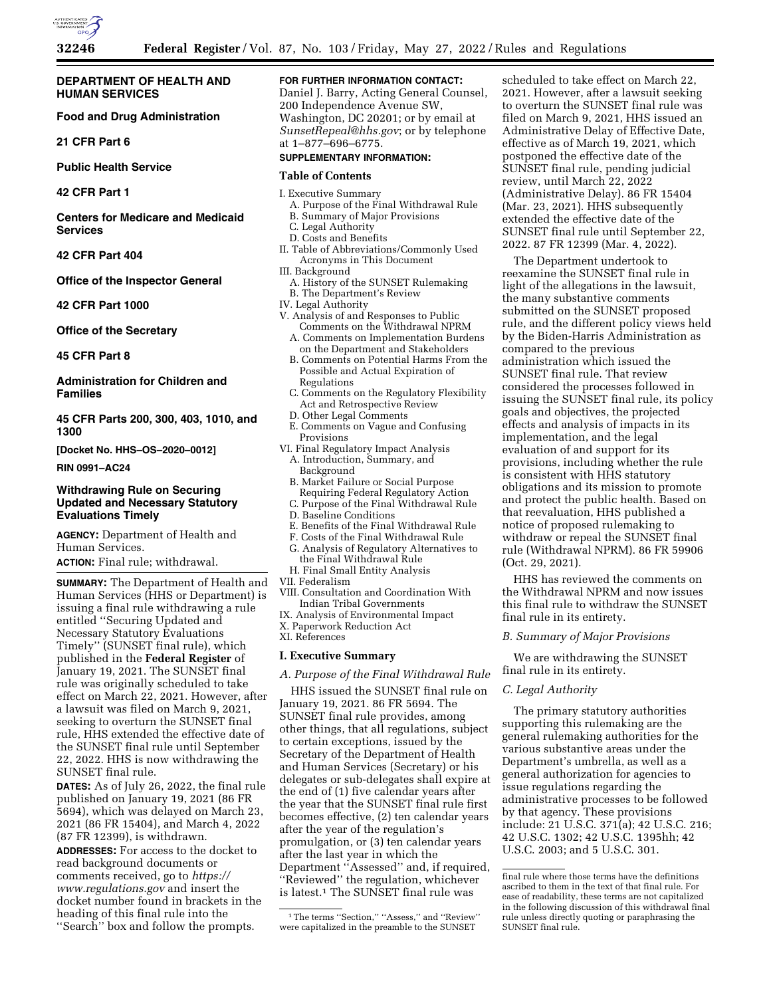

## **DEPARTMENT OF HEALTH AND HUMAN SERVICES**

**Food and Drug Administration** 

**21 CFR Part 6** 

**Public Health Service** 

**42 CFR Part 1** 

**Centers for Medicare and Medicaid Services** 

**42 CFR Part 404** 

**Office of the Inspector General** 

**42 CFR Part 1000** 

**Office of the Secretary** 

**45 CFR Part 8** 

**Administration for Children and Families** 

**45 CFR Parts 200, 300, 403, 1010, and 1300** 

**[Docket No. HHS–OS–2020–0012]** 

**RIN 0991–AC24** 

## **Withdrawing Rule on Securing Updated and Necessary Statutory Evaluations Timely**

**AGENCY:** Department of Health and Human Services. **ACTION:** Final rule; withdrawal.

**SUMMARY:** The Department of Health and Human Services (HHS or Department) is issuing a final rule withdrawing a rule entitled ''Securing Updated and Necessary Statutory Evaluations Timely'' (SUNSET final rule), which published in the **Federal Register** of January 19, 2021. The SUNSET final rule was originally scheduled to take effect on March 22, 2021. However, after a lawsuit was filed on March 9, 2021, seeking to overturn the SUNSET final rule, HHS extended the effective date of the SUNSET final rule until September 22, 2022. HHS is now withdrawing the SUNSET final rule.

**DATES:** As of July 26, 2022, the final rule published on January 19, 2021 (86 FR 5694), which was delayed on March 23, 2021 (86 FR 15404), and March 4, 2022 (87 FR 12399), is withdrawn.

**ADDRESSES:** For access to the docket to read background documents or comments received, go to *[https://](https://www.regulations.gov) [www.regulations.gov](https://www.regulations.gov)* and insert the docket number found in brackets in the heading of this final rule into the ''Search'' box and follow the prompts.

## **FOR FURTHER INFORMATION CONTACT:**

Daniel J. Barry, Acting General Counsel, 200 Independence Avenue SW, Washington, DC 20201; or by email at *[SunsetRepeal@hhs.gov](mailto:SunsetRepeal@hhs.gov)*; or by telephone at 1–877–696–6775.

## **SUPPLEMENTARY INFORMATION:**

#### **Table of Contents**

- I. Executive Summary
	- A. Purpose of the Final Withdrawal Rule
	- B. Summary of Major Provisions
	- C. Legal Authority
	- D. Costs and Benefits
- II. Table of Abbreviations/Commonly Used Acronyms in This Document
- III. Background
- A. History of the SUNSET Rulemaking B. The Department's Review
- IV. Legal Authority
- V. Analysis of and Responses to Public Comments on the Withdrawal NPRM
	- A. Comments on Implementation Burdens on the Department and Stakeholders
	- B. Comments on Potential Harms From the Possible and Actual Expiration of Regulations
	- C. Comments on the Regulatory Flexibility Act and Retrospective Review
	- D. Other Legal Comments
- E. Comments on Vague and Confusing Provisions
- VI. Final Regulatory Impact Analysis A. Introduction, Summary, and Background
	- B. Market Failure or Social Purpose Requiring Federal Regulatory Action
	- C. Purpose of the Final Withdrawal Rule
	- D. Baseline Conditions
	- E. Benefits of the Final Withdrawal Rule
	- F. Costs of the Final Withdrawal Rule
	- G. Analysis of Regulatory Alternatives to the Final Withdrawal Rule
	- H. Final Small Entity Analysis
- VII. Federalism
- VIII. Consultation and Coordination With Indian Tribal Governments
- IX. Analysis of Environmental Impact
- X. Paperwork Reduction Act

# XI. References

# **I. Executive Summary**

*A. Purpose of the Final Withdrawal Rule* 

HHS issued the SUNSET final rule on January 19, 2021. 86 FR 5694. The SUNSET final rule provides, among other things, that all regulations, subject to certain exceptions, issued by the Secretary of the Department of Health and Human Services (Secretary) or his delegates or sub-delegates shall expire at the end of (1) five calendar years after the year that the SUNSET final rule first becomes effective, (2) ten calendar years after the year of the regulation's promulgation, or (3) ten calendar years after the last year in which the Department ''Assessed'' and, if required, ''Reviewed'' the regulation, whichever is latest.1 The SUNSET final rule was

scheduled to take effect on March 22, 2021. However, after a lawsuit seeking to overturn the SUNSET final rule was filed on March 9, 2021, HHS issued an Administrative Delay of Effective Date, effective as of March 19, 2021, which postponed the effective date of the SUNSET final rule, pending judicial review, until March 22, 2022 (Administrative Delay). 86 FR 15404 (Mar. 23, 2021). HHS subsequently extended the effective date of the SUNSET final rule until September 22, 2022. 87 FR 12399 (Mar. 4, 2022).

The Department undertook to reexamine the SUNSET final rule in light of the allegations in the lawsuit, the many substantive comments submitted on the SUNSET proposed rule, and the different policy views held by the Biden-Harris Administration as compared to the previous administration which issued the SUNSET final rule. That review considered the processes followed in issuing the SUNSET final rule, its policy goals and objectives, the projected effects and analysis of impacts in its implementation, and the legal evaluation of and support for its provisions, including whether the rule is consistent with HHS statutory obligations and its mission to promote and protect the public health. Based on that reevaluation, HHS published a notice of proposed rulemaking to withdraw or repeal the SUNSET final rule (Withdrawal NPRM). 86 FR 59906 (Oct. 29, 2021).

HHS has reviewed the comments on the Withdrawal NPRM and now issues this final rule to withdraw the SUNSET final rule in its entirety.

## *B. Summary of Major Provisions*

We are withdrawing the SUNSET final rule in its entirety.

#### *C. Legal Authority*

The primary statutory authorities supporting this rulemaking are the general rulemaking authorities for the various substantive areas under the Department's umbrella, as well as a general authorization for agencies to issue regulations regarding the administrative processes to be followed by that agency. These provisions include: 21 U.S.C. 371(a); 42 U.S.C. 216; 42 U.S.C. 1302; 42 U.S.C. 1395hh; 42 U.S.C. 2003; and 5 U.S.C. 301.

<sup>&</sup>lt;sup>1</sup>The terms "Section," "Assess," and "Review" were capitalized in the preamble to the SUNSET

final rule where those terms have the definitions ascribed to them in the text of that final rule. For ease of readability, these terms are not capitalized in the following discussion of this withdrawal final rule unless directly quoting or paraphrasing the SUNSET final rule.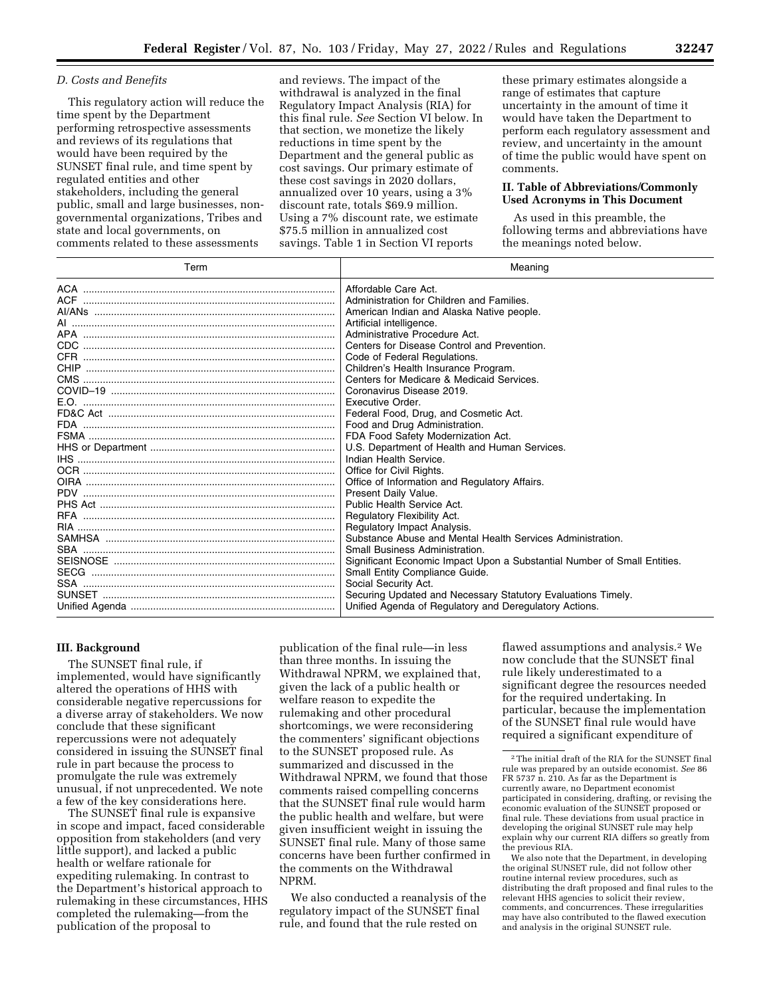## *D. Costs and Benefits*

This regulatory action will reduce the time spent by the Department performing retrospective assessments and reviews of its regulations that would have been required by the SUNSET final rule, and time spent by regulated entities and other stakeholders, including the general public, small and large businesses, nongovernmental organizations, Tribes and state and local governments, on comments related to these assessments

and reviews. The impact of the withdrawal is analyzed in the final Regulatory Impact Analysis (RIA) for this final rule. *See* Section VI below. In that section, we monetize the likely reductions in time spent by the Department and the general public as cost savings. Our primary estimate of these cost savings in 2020 dollars, annualized over 10 years, using a 3% discount rate, totals \$69.9 million. Using a 7% discount rate, we estimate \$75.5 million in annualized cost savings. Table 1 in Section VI reports

these primary estimates alongside a range of estimates that capture uncertainty in the amount of time it would have taken the Department to perform each regulatory assessment and review, and uncertainty in the amount of time the public would have spent on comments.

## **II. Table of Abbreviations/Commonly Used Acronyms in This Document**

As used in this preamble, the following terms and abbreviations have the meanings noted below.

| Term                               | Meaning                                                                  |
|------------------------------------|--------------------------------------------------------------------------|
|                                    | Affordable Care Act.                                                     |
|                                    | Administration for Children and Families.                                |
|                                    | American Indian and Alaska Native people.                                |
|                                    | Artificial intelligence.                                                 |
|                                    | Administrative Procedure Act.                                            |
|                                    | Centers for Disease Control and Prevention.                              |
|                                    | Code of Federal Regulations.                                             |
|                                    | Children's Health Insurance Program.                                     |
|                                    | Centers for Medicare & Medicaid Services.                                |
|                                    | Coronavirus Disease 2019.                                                |
|                                    | Executive Order.                                                         |
|                                    | Federal Food, Drug, and Cosmetic Act.                                    |
|                                    | Food and Drug Administration.                                            |
|                                    | FDA Food Safety Modernization Act.                                       |
|                                    | U.S. Department of Health and Human Services.                            |
|                                    | Indian Health Service.                                                   |
|                                    | Office for Civil Rights.                                                 |
|                                    | Office of Information and Regulatory Affairs.                            |
|                                    | Present Daily Value.                                                     |
|                                    | Public Health Service Act.                                               |
|                                    | Regulatory Flexibility Act.                                              |
| RIA ……………………………………………………………………………… | Regulatory Impact Analysis.                                              |
|                                    | Substance Abuse and Mental Health Services Administration.               |
|                                    | Small Business Administration.                                           |
|                                    | Significant Economic Impact Upon a Substantial Number of Small Entities. |
|                                    | Small Entity Compliance Guide.                                           |
| SSA ……………………………………………………………………………  | Social Security Act.                                                     |
|                                    | Securing Updated and Necessary Statutory Evaluations Timely.             |
|                                    | Unified Agenda of Regulatory and Deregulatory Actions.                   |

## **III. Background**

The SUNSET final rule, if implemented, would have significantly altered the operations of HHS with considerable negative repercussions for a diverse array of stakeholders. We now conclude that these significant repercussions were not adequately considered in issuing the SUNSET final rule in part because the process to promulgate the rule was extremely unusual, if not unprecedented. We note a few of the key considerations here.

The SUNSET final rule is expansive in scope and impact, faced considerable opposition from stakeholders (and very little support), and lacked a public health or welfare rationale for expediting rulemaking. In contrast to the Department's historical approach to rulemaking in these circumstances, HHS completed the rulemaking—from the publication of the proposal to

publication of the final rule—in less than three months. In issuing the Withdrawal NPRM, we explained that, given the lack of a public health or welfare reason to expedite the rulemaking and other procedural shortcomings, we were reconsidering the commenters' significant objections to the SUNSET proposed rule. As summarized and discussed in the Withdrawal NPRM, we found that those comments raised compelling concerns that the SUNSET final rule would harm the public health and welfare, but were given insufficient weight in issuing the SUNSET final rule. Many of those same concerns have been further confirmed in the comments on the Withdrawal NPRM.

We also conducted a reanalysis of the regulatory impact of the SUNSET final rule, and found that the rule rested on

flawed assumptions and analysis.2 We now conclude that the SUNSET final rule likely underestimated to a significant degree the resources needed for the required undertaking. In particular, because the implementation of the SUNSET final rule would have required a significant expenditure of

We also note that the Department, in developing the original SUNSET rule, did not follow other routine internal review procedures, such as distributing the draft proposed and final rules to the relevant HHS agencies to solicit their review, comments, and concurrences. These irregularities may have also contributed to the flawed execution and analysis in the original SUNSET rule.

<sup>2</sup>The initial draft of the RIA for the SUNSET final rule was prepared by an outside economist. *See* 86 FR 5737 n. 210. As far as the Department is currently aware, no Department economist participated in considering, drafting, or revising the economic evaluation of the SUNSET proposed or final rule. These deviations from usual practice in developing the original SUNSET rule may help explain why our current RIA differs so greatly from the previous RIA.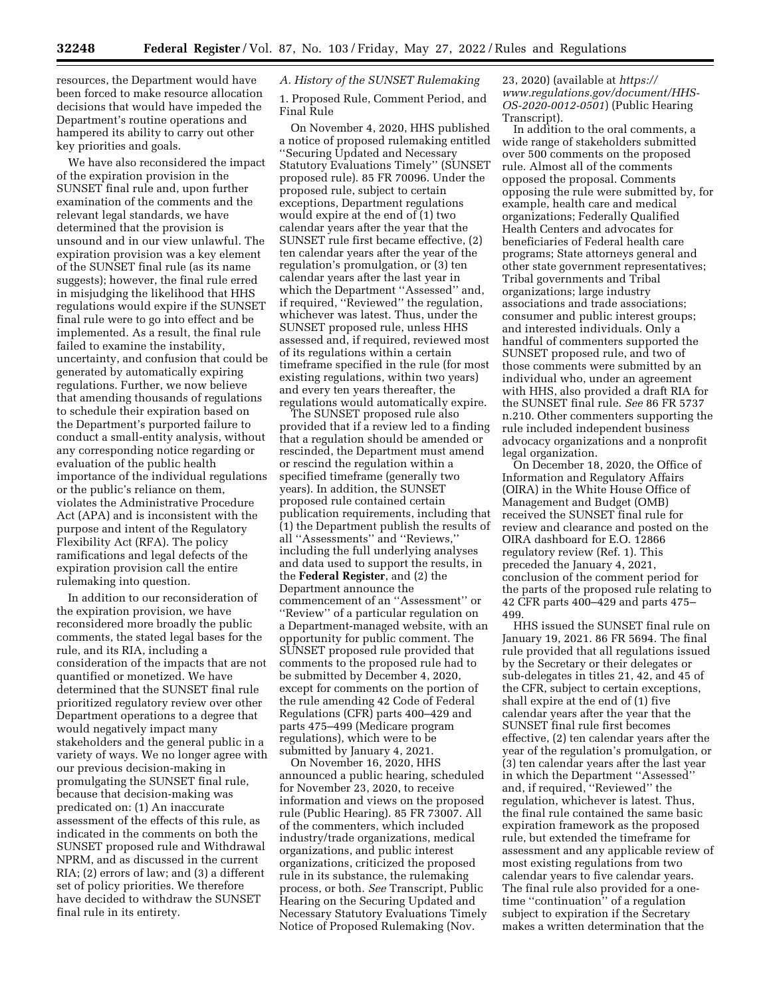resources, the Department would have been forced to make resource allocation decisions that would have impeded the Department's routine operations and hampered its ability to carry out other key priorities and goals.

We have also reconsidered the impact of the expiration provision in the SUNSET final rule and, upon further examination of the comments and the relevant legal standards, we have determined that the provision is unsound and in our view unlawful. The expiration provision was a key element of the SUNSET final rule (as its name suggests); however, the final rule erred in misjudging the likelihood that HHS regulations would expire if the SUNSET final rule were to go into effect and be implemented. As a result, the final rule failed to examine the instability, uncertainty, and confusion that could be generated by automatically expiring regulations. Further, we now believe that amending thousands of regulations to schedule their expiration based on the Department's purported failure to conduct a small-entity analysis, without any corresponding notice regarding or evaluation of the public health importance of the individual regulations or the public's reliance on them, violates the Administrative Procedure Act (APA) and is inconsistent with the purpose and intent of the Regulatory Flexibility Act (RFA). The policy ramifications and legal defects of the expiration provision call the entire rulemaking into question.

In addition to our reconsideration of the expiration provision, we have reconsidered more broadly the public comments, the stated legal bases for the rule, and its RIA, including a consideration of the impacts that are not quantified or monetized. We have determined that the SUNSET final rule prioritized regulatory review over other Department operations to a degree that would negatively impact many stakeholders and the general public in a variety of ways. We no longer agree with our previous decision-making in promulgating the SUNSET final rule, because that decision-making was predicated on: (1) An inaccurate assessment of the effects of this rule, as indicated in the comments on both the SUNSET proposed rule and Withdrawal NPRM, and as discussed in the current RIA; (2) errors of law; and (3) a different set of policy priorities. We therefore have decided to withdraw the SUNSET final rule in its entirety.

## *A. History of the SUNSET Rulemaking*

1. Proposed Rule, Comment Period, and Final Rule

On November 4, 2020, HHS published a notice of proposed rulemaking entitled ''Securing Updated and Necessary Statutory Evaluations Timely'' (SUNSET proposed rule). 85 FR 70096. Under the proposed rule, subject to certain exceptions, Department regulations would expire at the end of (1) two calendar years after the year that the SUNSET rule first became effective, (2) ten calendar years after the year of the regulation's promulgation, or (3) ten calendar years after the last year in which the Department ''Assessed'' and, if required, ''Reviewed'' the regulation, whichever was latest. Thus, under the SUNSET proposed rule, unless HHS assessed and, if required, reviewed most of its regulations within a certain timeframe specified in the rule (for most existing regulations, within two years) and every ten years thereafter, the regulations would automatically expire.

The SUNSET proposed rule also provided that if a review led to a finding that a regulation should be amended or rescinded, the Department must amend or rescind the regulation within a specified timeframe (generally two years). In addition, the SUNSET proposed rule contained certain publication requirements, including that (1) the Department publish the results of all ''Assessments'' and ''Reviews,'' including the full underlying analyses and data used to support the results, in the **Federal Register**, and (2) the Department announce the commencement of an ''Assessment'' or ''Review'' of a particular regulation on a Department-managed website, with an opportunity for public comment. The SUNSET proposed rule provided that comments to the proposed rule had to be submitted by December 4, 2020, except for comments on the portion of the rule amending 42 Code of Federal Regulations (CFR) parts 400–429 and parts 475–499 (Medicare program regulations), which were to be submitted by January 4, 2021.

On November 16, 2020, HHS announced a public hearing, scheduled for November 23, 2020, to receive information and views on the proposed rule (Public Hearing). 85 FR 73007. All of the commenters, which included industry/trade organizations, medical organizations, and public interest organizations, criticized the proposed rule in its substance, the rulemaking process, or both. *See* Transcript, Public Hearing on the Securing Updated and Necessary Statutory Evaluations Timely Notice of Proposed Rulemaking (Nov.

23, 2020) (available at *[https://](https://www.regulations.gov/document/HHS-OS-2020-0012-0501) [www.regulations.gov/document/HHS-](https://www.regulations.gov/document/HHS-OS-2020-0012-0501)[OS-2020-0012-0501](https://www.regulations.gov/document/HHS-OS-2020-0012-0501)*) (Public Hearing Transcript).

In addition to the oral comments, a wide range of stakeholders submitted over 500 comments on the proposed rule. Almost all of the comments opposed the proposal. Comments opposing the rule were submitted by, for example, health care and medical organizations; Federally Qualified Health Centers and advocates for beneficiaries of Federal health care programs; State attorneys general and other state government representatives; Tribal governments and Tribal organizations; large industry associations and trade associations; consumer and public interest groups; and interested individuals. Only a handful of commenters supported the SUNSET proposed rule, and two of those comments were submitted by an individual who, under an agreement with HHS, also provided a draft RIA for the SUNSET final rule. *See* 86 FR 5737 n.210. Other commenters supporting the rule included independent business advocacy organizations and a nonprofit legal organization.

On December 18, 2020, the Office of Information and Regulatory Affairs (OIRA) in the White House Office of Management and Budget (OMB) received the SUNSET final rule for review and clearance and posted on the OIRA dashboard for E.O. 12866 regulatory review (Ref. 1). This preceded the January 4, 2021, conclusion of the comment period for the parts of the proposed rule relating to 42 CFR parts 400–429 and parts 475– 499.

HHS issued the SUNSET final rule on January 19, 2021. 86 FR 5694. The final rule provided that all regulations issued by the Secretary or their delegates or sub-delegates in titles 21, 42, and 45 of the CFR, subject to certain exceptions, shall expire at the end of (1) five calendar years after the year that the SUNSET final rule first becomes effective, (2) ten calendar years after the year of the regulation's promulgation, or (3) ten calendar years after the last year in which the Department ''Assessed'' and, if required, ''Reviewed'' the regulation, whichever is latest. Thus, the final rule contained the same basic expiration framework as the proposed rule, but extended the timeframe for assessment and any applicable review of most existing regulations from two calendar years to five calendar years. The final rule also provided for a onetime ''continuation'' of a regulation subject to expiration if the Secretary makes a written determination that the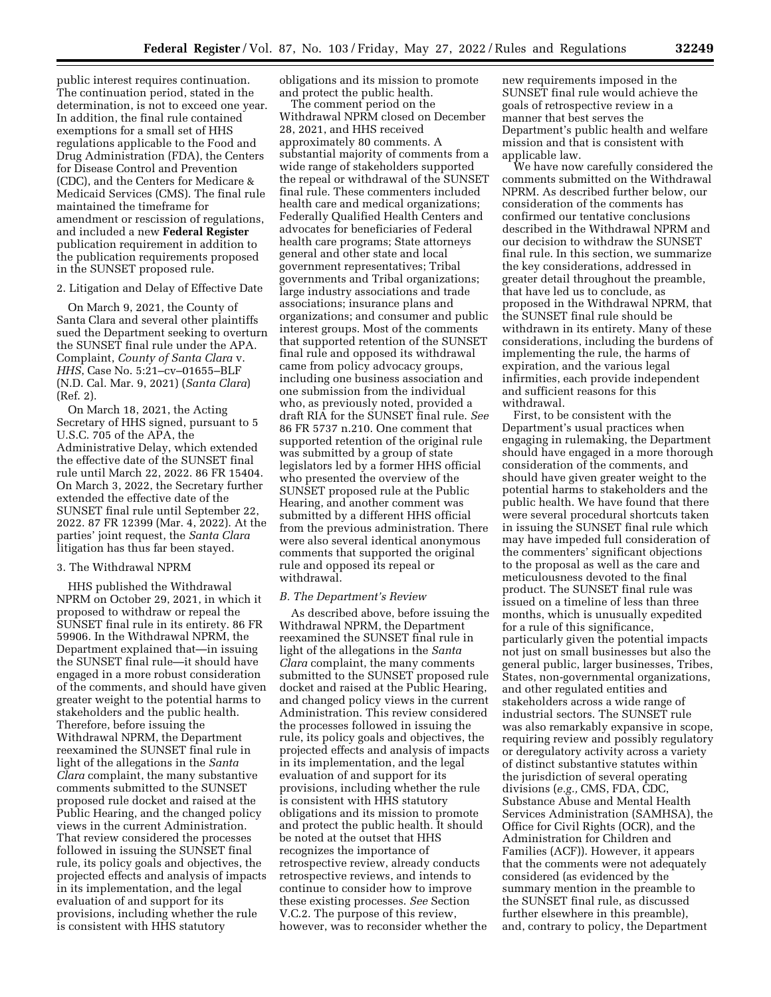public interest requires continuation. The continuation period, stated in the determination, is not to exceed one year. In addition, the final rule contained exemptions for a small set of HHS regulations applicable to the Food and Drug Administration (FDA), the Centers for Disease Control and Prevention (CDC), and the Centers for Medicare & Medicaid Services (CMS). The final rule maintained the timeframe for amendment or rescission of regulations, and included a new **Federal Register**  publication requirement in addition to the publication requirements proposed in the SUNSET proposed rule.

## 2. Litigation and Delay of Effective Date

On March 9, 2021, the County of Santa Clara and several other plaintiffs sued the Department seeking to overturn the SUNSET final rule under the APA. Complaint, *County of Santa Clara* v. *HHS*, Case No. 5:21–cv–01655–BLF (N.D. Cal. Mar. 9, 2021) (*Santa Clara*) (Ref. 2).

On March 18, 2021, the Acting Secretary of HHS signed, pursuant to 5 U.S.C. 705 of the APA, the Administrative Delay, which extended the effective date of the SUNSET final rule until March 22, 2022. 86 FR 15404. On March 3, 2022, the Secretary further extended the effective date of the SUNSET final rule until September 22, 2022. 87 FR 12399 (Mar. 4, 2022). At the parties' joint request, the *Santa Clara*  litigation has thus far been stayed.

## 3. The Withdrawal NPRM

HHS published the Withdrawal NPRM on October 29, 2021, in which it proposed to withdraw or repeal the SUNSET final rule in its entirety. 86 FR 59906. In the Withdrawal NPRM, the Department explained that—in issuing the SUNSET final rule—it should have engaged in a more robust consideration of the comments, and should have given greater weight to the potential harms to stakeholders and the public health. Therefore, before issuing the Withdrawal NPRM, the Department reexamined the SUNSET final rule in light of the allegations in the *Santa Clara* complaint, the many substantive comments submitted to the SUNSET proposed rule docket and raised at the Public Hearing, and the changed policy views in the current Administration. That review considered the processes followed in issuing the SUNSET final rule, its policy goals and objectives, the projected effects and analysis of impacts in its implementation, and the legal evaluation of and support for its provisions, including whether the rule is consistent with HHS statutory

obligations and its mission to promote and protect the public health.

The comment period on the Withdrawal NPRM closed on December 28, 2021, and HHS received approximately 80 comments. A substantial majority of comments from a wide range of stakeholders supported the repeal or withdrawal of the SUNSET final rule. These commenters included health care and medical organizations; Federally Qualified Health Centers and advocates for beneficiaries of Federal health care programs; State attorneys general and other state and local government representatives; Tribal governments and Tribal organizations; large industry associations and trade associations; insurance plans and organizations; and consumer and public interest groups. Most of the comments that supported retention of the SUNSET final rule and opposed its withdrawal came from policy advocacy groups, including one business association and one submission from the individual who, as previously noted, provided a draft RIA for the SUNSET final rule. *See*  86 FR 5737 n.210. One comment that supported retention of the original rule was submitted by a group of state legislators led by a former HHS official who presented the overview of the SUNSET proposed rule at the Public Hearing, and another comment was submitted by a different HHS official from the previous administration. There were also several identical anonymous comments that supported the original rule and opposed its repeal or withdrawal.

#### *B. The Department's Review*

As described above, before issuing the Withdrawal NPRM, the Department reexamined the SUNSET final rule in light of the allegations in the *Santa Clara* complaint, the many comments submitted to the SUNSET proposed rule docket and raised at the Public Hearing, and changed policy views in the current Administration. This review considered the processes followed in issuing the rule, its policy goals and objectives, the projected effects and analysis of impacts in its implementation, and the legal evaluation of and support for its provisions, including whether the rule is consistent with HHS statutory obligations and its mission to promote and protect the public health. It should be noted at the outset that HHS recognizes the importance of retrospective review, already conducts retrospective reviews, and intends to continue to consider how to improve these existing processes. *See* Section V.C.2. The purpose of this review, however, was to reconsider whether the

new requirements imposed in the SUNSET final rule would achieve the goals of retrospective review in a manner that best serves the Department's public health and welfare mission and that is consistent with applicable law.

We have now carefully considered the comments submitted on the Withdrawal NPRM. As described further below, our consideration of the comments has confirmed our tentative conclusions described in the Withdrawal NPRM and our decision to withdraw the SUNSET final rule. In this section, we summarize the key considerations, addressed in greater detail throughout the preamble, that have led us to conclude, as proposed in the Withdrawal NPRM, that the SUNSET final rule should be withdrawn in its entirety. Many of these considerations, including the burdens of implementing the rule, the harms of expiration, and the various legal infirmities, each provide independent and sufficient reasons for this withdrawal.

First, to be consistent with the Department's usual practices when engaging in rulemaking, the Department should have engaged in a more thorough consideration of the comments, and should have given greater weight to the potential harms to stakeholders and the public health. We have found that there were several procedural shortcuts taken in issuing the SUNSET final rule which may have impeded full consideration of the commenters' significant objections to the proposal as well as the care and meticulousness devoted to the final product. The SUNSET final rule was issued on a timeline of less than three months, which is unusually expedited for a rule of this significance, particularly given the potential impacts not just on small businesses but also the general public, larger businesses, Tribes, States, non-governmental organizations, and other regulated entities and stakeholders across a wide range of industrial sectors. The SUNSET rule was also remarkably expansive in scope, requiring review and possibly regulatory or deregulatory activity across a variety of distinct substantive statutes within the jurisdiction of several operating divisions (*e.g.,* CMS, FDA, CDC, Substance Abuse and Mental Health Services Administration (SAMHSA), the Office for Civil Rights (OCR), and the Administration for Children and Families (ACF)). However, it appears that the comments were not adequately considered (as evidenced by the summary mention in the preamble to the SUNSET final rule, as discussed further elsewhere in this preamble), and, contrary to policy, the Department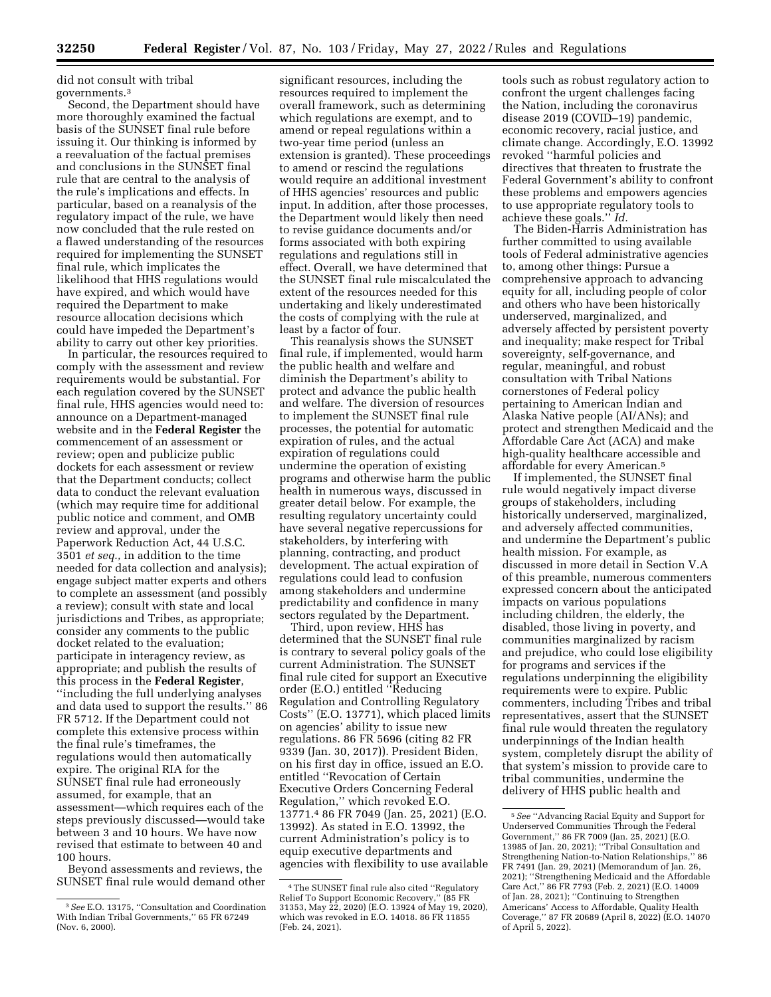did not consult with tribal governments.3

Second, the Department should have more thoroughly examined the factual basis of the SUNSET final rule before issuing it. Our thinking is informed by a reevaluation of the factual premises and conclusions in the SUNSET final rule that are central to the analysis of the rule's implications and effects. In particular, based on a reanalysis of the regulatory impact of the rule, we have now concluded that the rule rested on a flawed understanding of the resources required for implementing the SUNSET final rule, which implicates the likelihood that HHS regulations would have expired, and which would have required the Department to make resource allocation decisions which could have impeded the Department's ability to carry out other key priorities.

In particular, the resources required to comply with the assessment and review requirements would be substantial. For each regulation covered by the SUNSET final rule, HHS agencies would need to: announce on a Department-managed website and in the **Federal Register** the commencement of an assessment or review; open and publicize public dockets for each assessment or review that the Department conducts; collect data to conduct the relevant evaluation (which may require time for additional public notice and comment, and OMB review and approval, under the Paperwork Reduction Act, 44 U.S.C. 3501 *et seq.,* in addition to the time needed for data collection and analysis); engage subject matter experts and others to complete an assessment (and possibly a review); consult with state and local jurisdictions and Tribes, as appropriate; consider any comments to the public docket related to the evaluation; participate in interagency review, as appropriate; and publish the results of this process in the **Federal Register**, ''including the full underlying analyses and data used to support the results.'' 86 FR 5712. If the Department could not complete this extensive process within the final rule's timeframes, the regulations would then automatically expire. The original RIA for the SUNSET final rule had erroneously assumed, for example, that an assessment—which requires each of the steps previously discussed—would take between 3 and 10 hours. We have now revised that estimate to between 40 and 100 hours.

Beyond assessments and reviews, the SUNSET final rule would demand other

significant resources, including the resources required to implement the overall framework, such as determining which regulations are exempt, and to amend or repeal regulations within a two-year time period (unless an extension is granted). These proceedings to amend or rescind the regulations would require an additional investment of HHS agencies' resources and public input. In addition, after those processes, the Department would likely then need to revise guidance documents and/or forms associated with both expiring regulations and regulations still in effect. Overall, we have determined that the SUNSET final rule miscalculated the extent of the resources needed for this undertaking and likely underestimated the costs of complying with the rule at least by a factor of four.

This reanalysis shows the SUNSET final rule, if implemented, would harm the public health and welfare and diminish the Department's ability to protect and advance the public health and welfare. The diversion of resources to implement the SUNSET final rule processes, the potential for automatic expiration of rules, and the actual expiration of regulations could undermine the operation of existing programs and otherwise harm the public health in numerous ways, discussed in greater detail below. For example, the resulting regulatory uncertainty could have several negative repercussions for stakeholders, by interfering with planning, contracting, and product development. The actual expiration of regulations could lead to confusion among stakeholders and undermine predictability and confidence in many sectors regulated by the Department.

Third, upon review, HHS has determined that the SUNSET final rule is contrary to several policy goals of the current Administration. The SUNSET final rule cited for support an Executive order (E.O.) entitled ''Reducing Regulation and Controlling Regulatory Costs'' (E.O. 13771), which placed limits on agencies' ability to issue new regulations. 86 FR 5696 (citing 82 FR 9339 (Jan. 30, 2017)). President Biden, on his first day in office, issued an E.O. entitled ''Revocation of Certain Executive Orders Concerning Federal Regulation,'' which revoked E.O. 13771.4 86 FR 7049 (Jan. 25, 2021) (E.O. 13992). As stated in E.O. 13992, the current Administration's policy is to equip executive departments and agencies with flexibility to use available

tools such as robust regulatory action to confront the urgent challenges facing the Nation, including the coronavirus disease 2019 (COVID–19) pandemic, economic recovery, racial justice, and climate change. Accordingly, E.O. 13992 revoked ''harmful policies and directives that threaten to frustrate the Federal Government's ability to confront these problems and empowers agencies to use appropriate regulatory tools to achieve these goals.'' *Id.* 

The Biden-Harris Administration has further committed to using available tools of Federal administrative agencies to, among other things: Pursue a comprehensive approach to advancing equity for all, including people of color and others who have been historically underserved, marginalized, and adversely affected by persistent poverty and inequality; make respect for Tribal sovereignty, self-governance, and regular, meaningful, and robust consultation with Tribal Nations cornerstones of Federal policy pertaining to American Indian and Alaska Native people (AI/ANs); and protect and strengthen Medicaid and the Affordable Care Act (ACA) and make high-quality healthcare accessible and affordable for every American.5

If implemented, the SUNSET final rule would negatively impact diverse groups of stakeholders, including historically underserved, marginalized, and adversely affected communities, and undermine the Department's public health mission. For example, as discussed in more detail in Section V.A of this preamble, numerous commenters expressed concern about the anticipated impacts on various populations including children, the elderly, the disabled, those living in poverty, and communities marginalized by racism and prejudice, who could lose eligibility for programs and services if the regulations underpinning the eligibility requirements were to expire. Public commenters, including Tribes and tribal representatives, assert that the SUNSET final rule would threaten the regulatory underpinnings of the Indian health system, completely disrupt the ability of that system's mission to provide care to tribal communities, undermine the delivery of HHS public health and

<sup>3</sup>*See* E.O. 13175, ''Consultation and Coordination With Indian Tribal Governments,'' 65 FR 67249 (Nov. 6, 2000).

<sup>4</sup>The SUNSET final rule also cited ''Regulatory Relief To Support Economic Recovery,'' (85 FR 31353, May 22, 2020) (E.O. 13924 of May 19, 2020), which was revoked in E.O. 14018. 86 FR 11855 (Feb. 24, 2021).

<sup>5</sup>*See* ''Advancing Racial Equity and Support for Underserved Communities Through the Federal Government,'' 86 FR 7009 (Jan. 25, 2021) (E.O. 13985 of Jan. 20, 2021); ''Tribal Consultation and Strengthening Nation-to-Nation Relationships,'' 86 FR 7491 (Jan. 29, 2021) (Memorandum of Jan. 26, 2021); ''Strengthening Medicaid and the Affordable Care Act,'' 86 FR 7793 (Feb. 2, 2021) (E.O. 14009 of Jan. 28, 2021); ''Continuing to Strengthen Americans' Access to Affordable, Quality Health Coverage,'' 87 FR 20689 (April 8, 2022) (E.O. 14070 of April 5, 2022).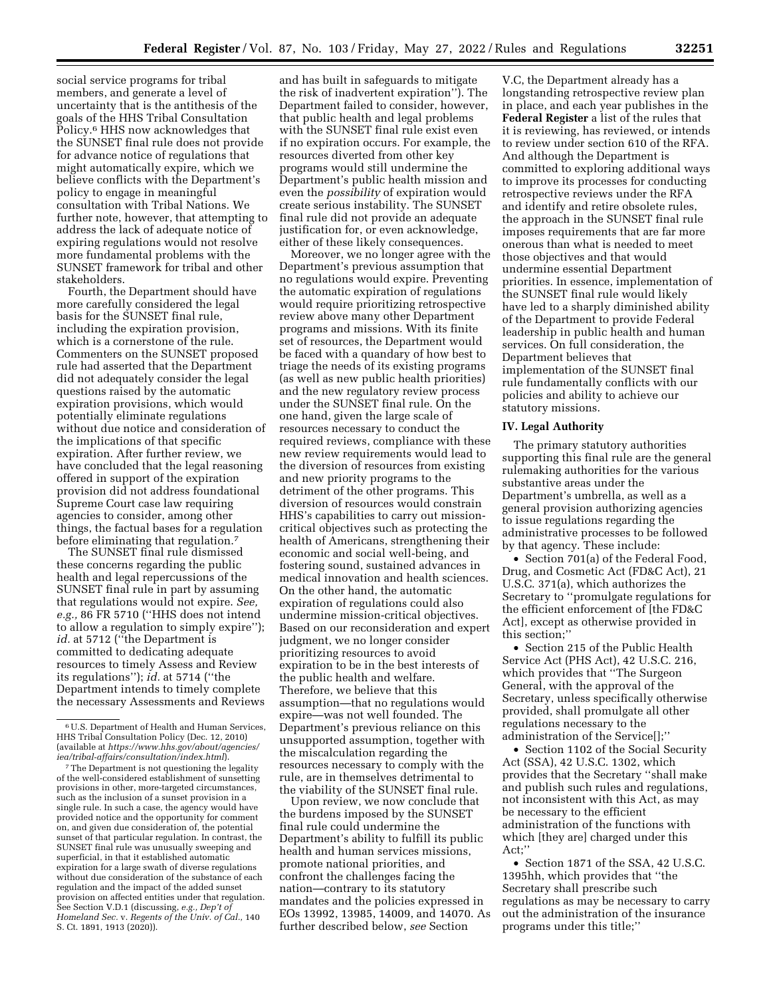social service programs for tribal members, and generate a level of uncertainty that is the antithesis of the goals of the HHS Tribal Consultation Policy.6 HHS now acknowledges that the SUNSET final rule does not provide for advance notice of regulations that might automatically expire, which we believe conflicts with the Department's policy to engage in meaningful consultation with Tribal Nations. We further note, however, that attempting to address the lack of adequate notice of expiring regulations would not resolve more fundamental problems with the SUNSET framework for tribal and other stakeholders.

Fourth, the Department should have more carefully considered the legal basis for the SUNSET final rule, including the expiration provision, which is a cornerstone of the rule. Commenters on the SUNSET proposed rule had asserted that the Department did not adequately consider the legal questions raised by the automatic expiration provisions, which would potentially eliminate regulations without due notice and consideration of the implications of that specific expiration. After further review, we have concluded that the legal reasoning offered in support of the expiration provision did not address foundational Supreme Court case law requiring agencies to consider, among other things, the factual bases for a regulation before eliminating that regulation.<sup>7</sup>

The SUNSET final rule dismissed these concerns regarding the public health and legal repercussions of the SUNSET final rule in part by assuming that regulations would not expire. *See, e.g.,* 86 FR 5710 (''HHS does not intend to allow a regulation to simply expire''); id. at 5712 ("the Department is committed to dedicating adequate resources to timely Assess and Review its regulations''); *id.* at 5714 (''the Department intends to timely complete the necessary Assessments and Reviews

<sup>7</sup>The Department is not questioning the legality of the well-considered establishment of sunsetting provisions in other, more-targeted circumstances, such as the inclusion of a sunset provision in a single rule. In such a case, the agency would have provided notice and the opportunity for comment on, and given due consideration of, the potential sunset of that particular regulation. In contrast, the SUNSET final rule was unusually sweeping and superficial, in that it established automatic expiration for a large swath of diverse regulations without due consideration of the substance of each regulation and the impact of the added sunset provision on affected entities under that regulation. See Section V.D.1 (discussing, *e.g., Dep't of Homeland Sec.* v. *Regents of the Univ. of Cal.,* 140 S. Ct. 1891, 1913 (2020)).

and has built in safeguards to mitigate the risk of inadvertent expiration''). The Department failed to consider, however, that public health and legal problems with the SUNSET final rule exist even if no expiration occurs. For example, the resources diverted from other key programs would still undermine the Department's public health mission and even the *possibility* of expiration would create serious instability. The SUNSET final rule did not provide an adequate justification for, or even acknowledge, either of these likely consequences.

Moreover, we no longer agree with the Department's previous assumption that no regulations would expire. Preventing the automatic expiration of regulations would require prioritizing retrospective review above many other Department programs and missions. With its finite set of resources, the Department would be faced with a quandary of how best to triage the needs of its existing programs (as well as new public health priorities) and the new regulatory review process under the SUNSET final rule. On the one hand, given the large scale of resources necessary to conduct the required reviews, compliance with these new review requirements would lead to the diversion of resources from existing and new priority programs to the detriment of the other programs. This diversion of resources would constrain HHS's capabilities to carry out missioncritical objectives such as protecting the health of Americans, strengthening their economic and social well-being, and fostering sound, sustained advances in medical innovation and health sciences. On the other hand, the automatic expiration of regulations could also undermine mission-critical objectives. Based on our reconsideration and expert judgment, we no longer consider prioritizing resources to avoid expiration to be in the best interests of the public health and welfare. Therefore, we believe that this assumption—that no regulations would expire—was not well founded. The Department's previous reliance on this unsupported assumption, together with the miscalculation regarding the resources necessary to comply with the rule, are in themselves detrimental to the viability of the SUNSET final rule.

Upon review, we now conclude that the burdens imposed by the SUNSET final rule could undermine the Department's ability to fulfill its public health and human services missions, promote national priorities, and confront the challenges facing the nation—contrary to its statutory mandates and the policies expressed in EOs 13992, 13985, 14009, and 14070. As further described below, *see* Section

V.C, the Department already has a longstanding retrospective review plan in place, and each year publishes in the **Federal Register** a list of the rules that it is reviewing, has reviewed, or intends to review under section 610 of the RFA. And although the Department is committed to exploring additional ways to improve its processes for conducting retrospective reviews under the RFA and identify and retire obsolete rules, the approach in the SUNSET final rule imposes requirements that are far more onerous than what is needed to meet those objectives and that would undermine essential Department priorities. In essence, implementation of the SUNSET final rule would likely have led to a sharply diminished ability of the Department to provide Federal leadership in public health and human services. On full consideration, the Department believes that implementation of the SUNSET final rule fundamentally conflicts with our policies and ability to achieve our statutory missions.

#### **IV. Legal Authority**

The primary statutory authorities supporting this final rule are the general rulemaking authorities for the various substantive areas under the Department's umbrella, as well as a general provision authorizing agencies to issue regulations regarding the administrative processes to be followed by that agency. These include:

• Section 701(a) of the Federal Food, Drug, and Cosmetic Act (FD&C Act), 21 U.S.C. 371(a), which authorizes the Secretary to ''promulgate regulations for the efficient enforcement of [the FD&C Act], except as otherwise provided in this section;''

• Section 215 of the Public Health Service Act (PHS Act), 42 U.S.C. 216, which provides that ''The Surgeon General, with the approval of the Secretary, unless specifically otherwise provided, shall promulgate all other regulations necessary to the administration of the Service[];''

• Section 1102 of the Social Security Act (SSA), 42 U.S.C. 1302, which provides that the Secretary ''shall make and publish such rules and regulations, not inconsistent with this Act, as may be necessary to the efficient administration of the functions with which [they are] charged under this Act;''

• Section 1871 of the SSA, 42 U.S.C. 1395hh, which provides that ''the Secretary shall prescribe such regulations as may be necessary to carry out the administration of the insurance programs under this title;''

<sup>6</sup>U.S. Department of Health and Human Services, HHS Tribal Consultation Policy (Dec. 12, 2010) (available at *[https://www.hhs.gov/about/agencies/](https://www.hhs.gov/about/agencies/iea/tribal-affairs/consultation/index.html)  [iea/tribal-affairs/consultation/index.html](https://www.hhs.gov/about/agencies/iea/tribal-affairs/consultation/index.html)*).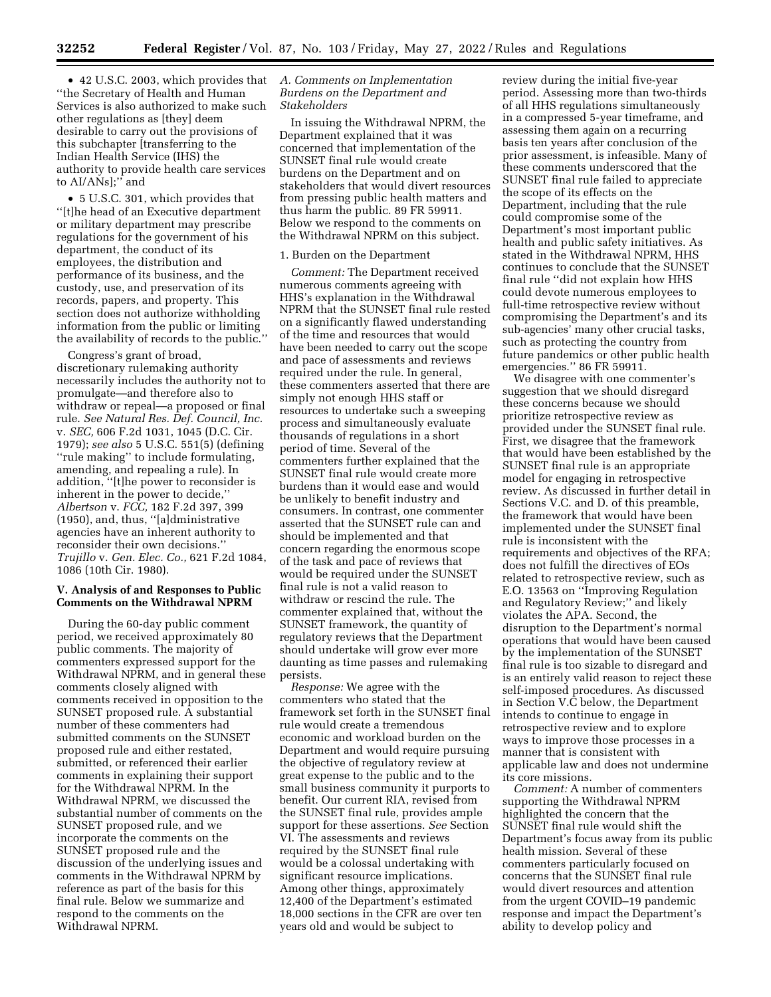• 42 U.S.C. 2003, which provides that ''the Secretary of Health and Human Services is also authorized to make such other regulations as [they] deem desirable to carry out the provisions of this subchapter [transferring to the Indian Health Service (IHS) the authority to provide health care services to AI/ANs];'' and

• 5 U.S.C. 301, which provides that ''[t]he head of an Executive department or military department may prescribe regulations for the government of his department, the conduct of its employees, the distribution and performance of its business, and the custody, use, and preservation of its records, papers, and property. This section does not authorize withholding information from the public or limiting the availability of records to the public.''

Congress's grant of broad, discretionary rulemaking authority necessarily includes the authority not to promulgate—and therefore also to withdraw or repeal—a proposed or final rule. *See Natural Res. Def. Council, Inc.*  v. *SEC,* 606 F.2d 1031, 1045 (D.C. Cir. 1979); *see also* 5 U.S.C. 551(5) (defining ''rule making'' to include formulating, amending, and repealing a rule). In addition, ''[t]he power to reconsider is inherent in the power to decide,'' *Albertson* v. *FCC,* 182 F.2d 397, 399 (1950), and, thus, ''[a]dministrative agencies have an inherent authority to reconsider their own decisions.'' *Trujillo* v. *Gen. Elec. Co.,* 621 F.2d 1084, 1086 (10th Cir. 1980).

#### **V. Analysis of and Responses to Public Comments on the Withdrawal NPRM**

During the 60-day public comment period, we received approximately 80 public comments. The majority of commenters expressed support for the Withdrawal NPRM, and in general these comments closely aligned with comments received in opposition to the SUNSET proposed rule. A substantial number of these commenters had submitted comments on the SUNSET proposed rule and either restated, submitted, or referenced their earlier comments in explaining their support for the Withdrawal NPRM. In the Withdrawal NPRM, we discussed the substantial number of comments on the SUNSET proposed rule, and we incorporate the comments on the SUNSET proposed rule and the discussion of the underlying issues and comments in the Withdrawal NPRM by reference as part of the basis for this final rule. Below we summarize and respond to the comments on the Withdrawal NPRM.

## *A. Comments on Implementation Burdens on the Department and Stakeholders*

In issuing the Withdrawal NPRM, the Department explained that it was concerned that implementation of the SUNSET final rule would create burdens on the Department and on stakeholders that would divert resources from pressing public health matters and thus harm the public. 89 FR 59911. Below we respond to the comments on the Withdrawal NPRM on this subject.

## 1. Burden on the Department

*Comment:* The Department received numerous comments agreeing with HHS's explanation in the Withdrawal NPRM that the SUNSET final rule rested on a significantly flawed understanding of the time and resources that would have been needed to carry out the scope and pace of assessments and reviews required under the rule. In general, these commenters asserted that there are simply not enough HHS staff or resources to undertake such a sweeping process and simultaneously evaluate thousands of regulations in a short period of time. Several of the commenters further explained that the SUNSET final rule would create more burdens than it would ease and would be unlikely to benefit industry and consumers. In contrast, one commenter asserted that the SUNSET rule can and should be implemented and that concern regarding the enormous scope of the task and pace of reviews that would be required under the SUNSET final rule is not a valid reason to withdraw or rescind the rule. The commenter explained that, without the SUNSET framework, the quantity of regulatory reviews that the Department should undertake will grow ever more daunting as time passes and rulemaking persists.

*Response:* We agree with the commenters who stated that the framework set forth in the SUNSET final rule would create a tremendous economic and workload burden on the Department and would require pursuing the objective of regulatory review at great expense to the public and to the small business community it purports to benefit. Our current RIA, revised from the SUNSET final rule, provides ample support for these assertions. *See* Section VI. The assessments and reviews required by the SUNSET final rule would be a colossal undertaking with significant resource implications. Among other things, approximately 12,400 of the Department's estimated 18,000 sections in the CFR are over ten years old and would be subject to

review during the initial five-year period. Assessing more than two-thirds of all HHS regulations simultaneously in a compressed 5-year timeframe, and assessing them again on a recurring basis ten years after conclusion of the prior assessment, is infeasible. Many of these comments underscored that the SUNSET final rule failed to appreciate the scope of its effects on the Department, including that the rule could compromise some of the Department's most important public health and public safety initiatives. As stated in the Withdrawal NPRM, HHS continues to conclude that the SUNSET final rule ''did not explain how HHS could devote numerous employees to full-time retrospective review without compromising the Department's and its sub-agencies' many other crucial tasks, such as protecting the country from future pandemics or other public health emergencies.'' 86 FR 59911.

We disagree with one commenter's suggestion that we should disregard these concerns because we should prioritize retrospective review as provided under the SUNSET final rule. First, we disagree that the framework that would have been established by the SUNSET final rule is an appropriate model for engaging in retrospective review. As discussed in further detail in Sections V.C. and D. of this preamble, the framework that would have been implemented under the SUNSET final rule is inconsistent with the requirements and objectives of the RFA; does not fulfill the directives of EOs related to retrospective review, such as E.O. 13563 on ''Improving Regulation and Regulatory Review;'' and likely violates the APA. Second, the disruption to the Department's normal operations that would have been caused by the implementation of the SUNSET final rule is too sizable to disregard and is an entirely valid reason to reject these self-imposed procedures. As discussed in Section V.C below, the Department intends to continue to engage in retrospective review and to explore ways to improve those processes in a manner that is consistent with applicable law and does not undermine its core missions.

*Comment:* A number of commenters supporting the Withdrawal NPRM highlighted the concern that the SUNSET final rule would shift the Department's focus away from its public health mission. Several of these commenters particularly focused on concerns that the SUNSET final rule would divert resources and attention from the urgent COVID–19 pandemic response and impact the Department's ability to develop policy and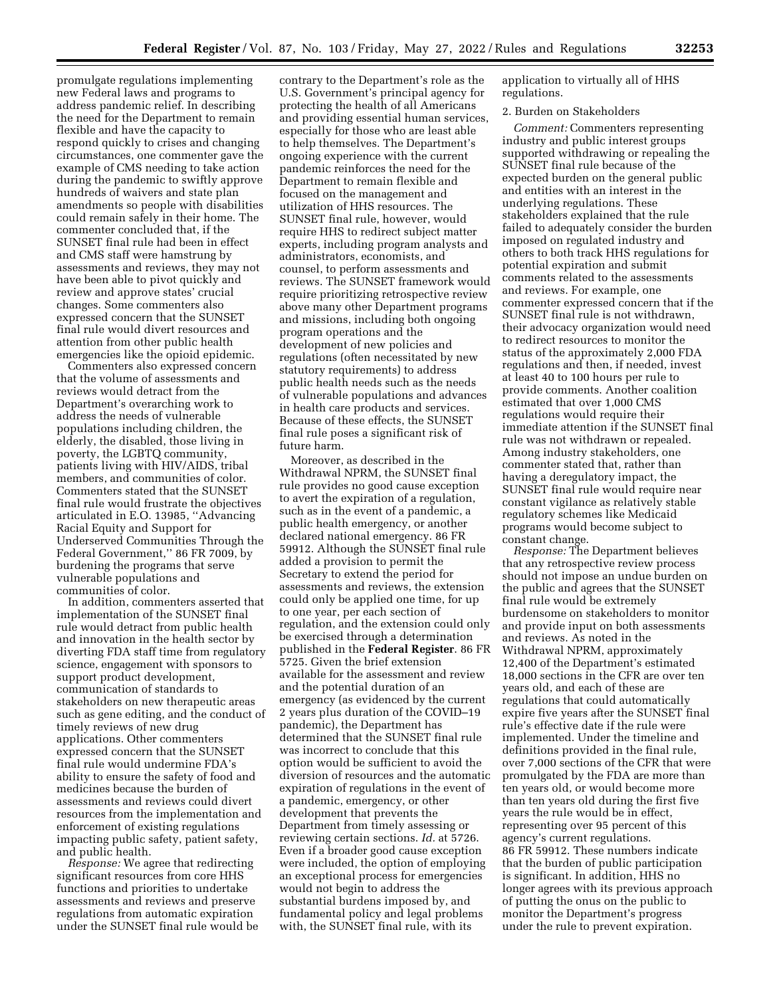promulgate regulations implementing new Federal laws and programs to address pandemic relief. In describing the need for the Department to remain flexible and have the capacity to respond quickly to crises and changing circumstances, one commenter gave the example of CMS needing to take action during the pandemic to swiftly approve hundreds of waivers and state plan amendments so people with disabilities could remain safely in their home. The commenter concluded that, if the SUNSET final rule had been in effect and CMS staff were hamstrung by assessments and reviews, they may not have been able to pivot quickly and review and approve states' crucial changes. Some commenters also expressed concern that the SUNSET final rule would divert resources and attention from other public health emergencies like the opioid epidemic.

Commenters also expressed concern that the volume of assessments and reviews would detract from the Department's overarching work to address the needs of vulnerable populations including children, the elderly, the disabled, those living in poverty, the LGBTQ community, patients living with HIV/AIDS, tribal members, and communities of color. Commenters stated that the SUNSET final rule would frustrate the objectives articulated in E.O. 13985, ''Advancing Racial Equity and Support for Underserved Communities Through the Federal Government,'' 86 FR 7009, by burdening the programs that serve vulnerable populations and communities of color.

In addition, commenters asserted that implementation of the SUNSET final rule would detract from public health and innovation in the health sector by diverting FDA staff time from regulatory science, engagement with sponsors to support product development, communication of standards to stakeholders on new therapeutic areas such as gene editing, and the conduct of timely reviews of new drug applications. Other commenters expressed concern that the SUNSET final rule would undermine FDA's ability to ensure the safety of food and medicines because the burden of assessments and reviews could divert resources from the implementation and enforcement of existing regulations impacting public safety, patient safety, and public health.

*Response:* We agree that redirecting significant resources from core HHS functions and priorities to undertake assessments and reviews and preserve regulations from automatic expiration under the SUNSET final rule would be

contrary to the Department's role as the U.S. Government's principal agency for protecting the health of all Americans and providing essential human services, especially for those who are least able to help themselves. The Department's ongoing experience with the current pandemic reinforces the need for the Department to remain flexible and focused on the management and utilization of HHS resources. The SUNSET final rule, however, would require HHS to redirect subject matter experts, including program analysts and administrators, economists, and counsel, to perform assessments and reviews. The SUNSET framework would require prioritizing retrospective review above many other Department programs and missions, including both ongoing program operations and the development of new policies and regulations (often necessitated by new statutory requirements) to address public health needs such as the needs of vulnerable populations and advances in health care products and services. Because of these effects, the SUNSET final rule poses a significant risk of future harm.

Moreover, as described in the Withdrawal NPRM, the SUNSET final rule provides no good cause exception to avert the expiration of a regulation, such as in the event of a pandemic, a public health emergency, or another declared national emergency. 86 FR 59912. Although the SUNSET final rule added a provision to permit the Secretary to extend the period for assessments and reviews, the extension could only be applied one time, for up to one year, per each section of regulation, and the extension could only be exercised through a determination published in the **Federal Register**. 86 FR 5725. Given the brief extension available for the assessment and review and the potential duration of an emergency (as evidenced by the current 2 years plus duration of the COVID–19 pandemic), the Department has determined that the SUNSET final rule was incorrect to conclude that this option would be sufficient to avoid the diversion of resources and the automatic expiration of regulations in the event of a pandemic, emergency, or other development that prevents the Department from timely assessing or reviewing certain sections. *Id.* at 5726. Even if a broader good cause exception were included, the option of employing an exceptional process for emergencies would not begin to address the substantial burdens imposed by, and fundamental policy and legal problems with, the SUNSET final rule, with its

application to virtually all of HHS regulations.

## 2. Burden on Stakeholders

*Comment:* Commenters representing industry and public interest groups supported withdrawing or repealing the SUNSET final rule because of the expected burden on the general public and entities with an interest in the underlying regulations. These stakeholders explained that the rule failed to adequately consider the burden imposed on regulated industry and others to both track HHS regulations for potential expiration and submit comments related to the assessments and reviews. For example, one commenter expressed concern that if the SUNSET final rule is not withdrawn, their advocacy organization would need to redirect resources to monitor the status of the approximately 2,000 FDA regulations and then, if needed, invest at least 40 to 100 hours per rule to provide comments. Another coalition estimated that over 1,000 CMS regulations would require their immediate attention if the SUNSET final rule was not withdrawn or repealed. Among industry stakeholders, one commenter stated that, rather than having a deregulatory impact, the SUNSET final rule would require near constant vigilance as relatively stable regulatory schemes like Medicaid programs would become subject to constant change.

*Response:* The Department believes that any retrospective review process should not impose an undue burden on the public and agrees that the SUNSET final rule would be extremely burdensome on stakeholders to monitor and provide input on both assessments and reviews. As noted in the Withdrawal NPRM, approximately 12,400 of the Department's estimated 18,000 sections in the CFR are over ten years old, and each of these are regulations that could automatically expire five years after the SUNSET final rule's effective date if the rule were implemented. Under the timeline and definitions provided in the final rule, over 7,000 sections of the CFR that were promulgated by the FDA are more than ten years old, or would become more than ten years old during the first five years the rule would be in effect, representing over 95 percent of this agency's current regulations. 86 FR 59912. These numbers indicate that the burden of public participation is significant. In addition, HHS no longer agrees with its previous approach of putting the onus on the public to monitor the Department's progress under the rule to prevent expiration.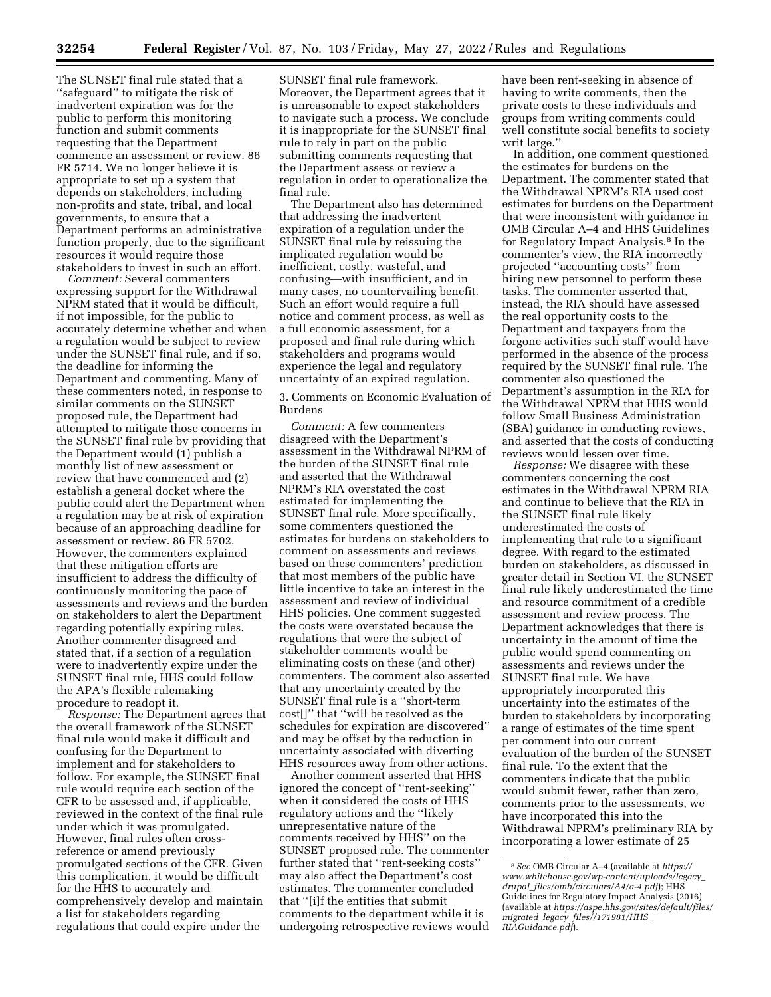The SUNSET final rule stated that a ''safeguard'' to mitigate the risk of inadvertent expiration was for the public to perform this monitoring function and submit comments requesting that the Department commence an assessment or review. 86 FR 5714. We no longer believe it is appropriate to set up a system that depends on stakeholders, including non-profits and state, tribal, and local governments, to ensure that a Department performs an administrative function properly, due to the significant resources it would require those stakeholders to invest in such an effort.

*Comment:* Several commenters expressing support for the Withdrawal NPRM stated that it would be difficult, if not impossible, for the public to accurately determine whether and when a regulation would be subject to review under the SUNSET final rule, and if so, the deadline for informing the Department and commenting. Many of these commenters noted, in response to similar comments on the SUNSET proposed rule, the Department had attempted to mitigate those concerns in the SUNSET final rule by providing that the Department would (1) publish a monthly list of new assessment or review that have commenced and (2) establish a general docket where the public could alert the Department when a regulation may be at risk of expiration because of an approaching deadline for assessment or review. 86 FR 5702. However, the commenters explained that these mitigation efforts are insufficient to address the difficulty of continuously monitoring the pace of assessments and reviews and the burden on stakeholders to alert the Department regarding potentially expiring rules. Another commenter disagreed and stated that, if a section of a regulation were to inadvertently expire under the SUNSET final rule, HHS could follow the APA's flexible rulemaking procedure to readopt it.

*Response:* The Department agrees that the overall framework of the SUNSET final rule would make it difficult and confusing for the Department to implement and for stakeholders to follow. For example, the SUNSET final rule would require each section of the CFR to be assessed and, if applicable, reviewed in the context of the final rule under which it was promulgated. However, final rules often crossreference or amend previously promulgated sections of the CFR. Given this complication, it would be difficult for the HHS to accurately and comprehensively develop and maintain a list for stakeholders regarding regulations that could expire under the

SUNSET final rule framework. Moreover, the Department agrees that it is unreasonable to expect stakeholders to navigate such a process. We conclude it is inappropriate for the SUNSET final rule to rely in part on the public submitting comments requesting that the Department assess or review a regulation in order to operationalize the final rule.

The Department also has determined that addressing the inadvertent expiration of a regulation under the SUNSET final rule by reissuing the implicated regulation would be inefficient, costly, wasteful, and confusing—with insufficient, and in many cases, no countervailing benefit. Such an effort would require a full notice and comment process, as well as a full economic assessment, for a proposed and final rule during which stakeholders and programs would experience the legal and regulatory uncertainty of an expired regulation.

3. Comments on Economic Evaluation of Burdens

*Comment:* A few commenters disagreed with the Department's assessment in the Withdrawal NPRM of the burden of the SUNSET final rule and asserted that the Withdrawal NPRM's RIA overstated the cost estimated for implementing the SUNSET final rule. More specifically, some commenters questioned the estimates for burdens on stakeholders to comment on assessments and reviews based on these commenters' prediction that most members of the public have little incentive to take an interest in the assessment and review of individual HHS policies. One comment suggested the costs were overstated because the regulations that were the subject of stakeholder comments would be eliminating costs on these (and other) commenters. The comment also asserted that any uncertainty created by the SUNSET final rule is a ''short-term cost[]'' that ''will be resolved as the schedules for expiration are discovered'' and may be offset by the reduction in uncertainty associated with diverting HHS resources away from other actions.

Another comment asserted that HHS ignored the concept of ''rent-seeking'' when it considered the costs of HHS regulatory actions and the ''likely unrepresentative nature of the comments received by HHS'' on the SUNSET proposed rule. The commenter further stated that ''rent-seeking costs'' may also affect the Department's cost estimates. The commenter concluded that ''[i]f the entities that submit comments to the department while it is undergoing retrospective reviews would have been rent-seeking in absence of having to write comments, then the private costs to these individuals and groups from writing comments could well constitute social benefits to society writ large.''

In addition, one comment questioned the estimates for burdens on the Department. The commenter stated that the Withdrawal NPRM's RIA used cost estimates for burdens on the Department that were inconsistent with guidance in OMB Circular A–4 and HHS Guidelines for Regulatory Impact Analysis.8 In the commenter's view, the RIA incorrectly projected ''accounting costs'' from hiring new personnel to perform these tasks. The commenter asserted that, instead, the RIA should have assessed the real opportunity costs to the Department and taxpayers from the forgone activities such staff would have performed in the absence of the process required by the SUNSET final rule. The commenter also questioned the Department's assumption in the RIA for the Withdrawal NPRM that HHS would follow Small Business Administration (SBA) guidance in conducting reviews, and asserted that the costs of conducting reviews would lessen over time.

*Response:* We disagree with these commenters concerning the cost estimates in the Withdrawal NPRM RIA and continue to believe that the RIA in the SUNSET final rule likely underestimated the costs of implementing that rule to a significant degree. With regard to the estimated burden on stakeholders, as discussed in greater detail in Section VI, the SUNSET final rule likely underestimated the time and resource commitment of a credible assessment and review process. The Department acknowledges that there is uncertainty in the amount of time the public would spend commenting on assessments and reviews under the SUNSET final rule. We have appropriately incorporated this uncertainty into the estimates of the burden to stakeholders by incorporating a range of estimates of the time spent per comment into our current evaluation of the burden of the SUNSET final rule. To the extent that the commenters indicate that the public would submit fewer, rather than zero, comments prior to the assessments, we have incorporated this into the Withdrawal NPRM's preliminary RIA by incorporating a lower estimate of 25

<sup>8</sup>*See* OMB Circular A–4 (available at *[https://](https://www.whitehouse.gov/wp-content/uploads/legacy_drupal_files/omb/circulars/A4/a-4.pdf) [www.whitehouse.gov/wp-content/uploads/legacy](https://www.whitehouse.gov/wp-content/uploads/legacy_drupal_files/omb/circulars/A4/a-4.pdf)*\_ *drupal*\_*[files/omb/circulars/A4/a-4.pdf](https://www.whitehouse.gov/wp-content/uploads/legacy_drupal_files/omb/circulars/A4/a-4.pdf)*); HHS Guidelines for Regulatory Impact Analysis (2016) (available at *[https://aspe.hhs.gov/sites/default/files/](https://aspe.hhs.gov/sites/default/files/migrated_legacy_files//171981/HHS_RIAGuidance.pdf) migrated*\_*legacy*\_*[files//171981/HHS](https://aspe.hhs.gov/sites/default/files/migrated_legacy_files//171981/HHS_RIAGuidance.pdf)*\_ *[RIAGuidance.pdf](https://aspe.hhs.gov/sites/default/files/migrated_legacy_files//171981/HHS_RIAGuidance.pdf)*).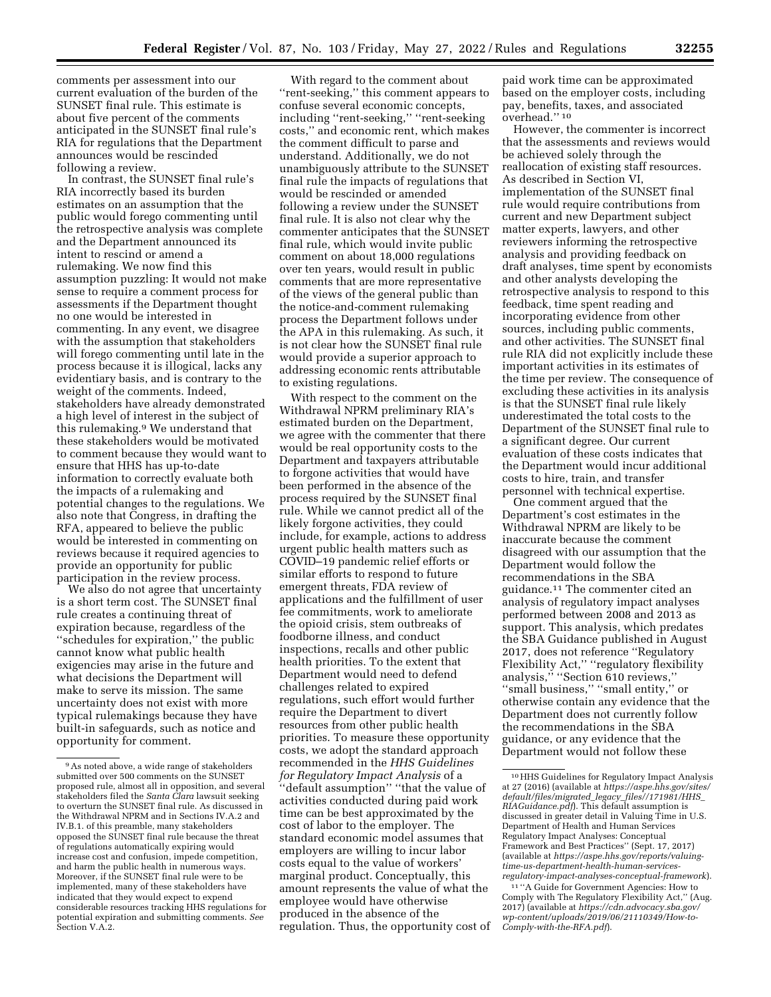With regard to the comment about

comments per assessment into our current evaluation of the burden of the SUNSET final rule. This estimate is about five percent of the comments anticipated in the SUNSET final rule's RIA for regulations that the Department announces would be rescinded following a review.

In contrast, the SUNSET final rule's RIA incorrectly based its burden estimates on an assumption that the public would forego commenting until the retrospective analysis was complete and the Department announced its intent to rescind or amend a rulemaking. We now find this assumption puzzling: It would not make sense to require a comment process for assessments if the Department thought no one would be interested in commenting. In any event, we disagree with the assumption that stakeholders will forego commenting until late in the process because it is illogical, lacks any evidentiary basis, and is contrary to the weight of the comments. Indeed, stakeholders have already demonstrated a high level of interest in the subject of this rulemaking.9 We understand that these stakeholders would be motivated to comment because they would want to ensure that HHS has up-to-date information to correctly evaluate both the impacts of a rulemaking and potential changes to the regulations. We also note that Congress, in drafting the RFA, appeared to believe the public would be interested in commenting on reviews because it required agencies to provide an opportunity for public participation in the review process.

We also do not agree that uncertainty is a short term cost. The SUNSET final rule creates a continuing threat of expiration because, regardless of the ''schedules for expiration,'' the public cannot know what public health exigencies may arise in the future and what decisions the Department will make to serve its mission. The same uncertainty does not exist with more typical rulemakings because they have built-in safeguards, such as notice and opportunity for comment.

''rent-seeking,'' this comment appears to confuse several economic concepts, including ''rent-seeking,'' ''rent-seeking costs,'' and economic rent, which makes the comment difficult to parse and understand. Additionally, we do not unambiguously attribute to the SUNSET final rule the impacts of regulations that would be rescinded or amended following a review under the SUNSET final rule. It is also not clear why the commenter anticipates that the SUNSET final rule, which would invite public comment on about 18,000 regulations over ten years, would result in public comments that are more representative of the views of the general public than the notice-and-comment rulemaking process the Department follows under the APA in this rulemaking. As such, it is not clear how the SUNSET final rule would provide a superior approach to addressing economic rents attributable to existing regulations.

With respect to the comment on the Withdrawal NPRM preliminary RIA's estimated burden on the Department, we agree with the commenter that there would be real opportunity costs to the Department and taxpayers attributable to forgone activities that would have been performed in the absence of the process required by the SUNSET final rule. While we cannot predict all of the likely forgone activities, they could include, for example, actions to address urgent public health matters such as COVID–19 pandemic relief efforts or similar efforts to respond to future emergent threats, FDA review of applications and the fulfillment of user fee commitments, work to ameliorate the opioid crisis, stem outbreaks of foodborne illness, and conduct inspections, recalls and other public health priorities. To the extent that Department would need to defend challenges related to expired regulations, such effort would further require the Department to divert resources from other public health priorities. To measure these opportunity costs, we adopt the standard approach recommended in the *HHS Guidelines for Regulatory Impact Analysis* of a ''default assumption'' ''that the value of activities conducted during paid work time can be best approximated by the cost of labor to the employer. The standard economic model assumes that employers are willing to incur labor costs equal to the value of workers' marginal product. Conceptually, this amount represents the value of what the employee would have otherwise produced in the absence of the regulation. Thus, the opportunity cost of

paid work time can be approximated based on the employer costs, including pay, benefits, taxes, and associated overhead.'' 10

However, the commenter is incorrect that the assessments and reviews would be achieved solely through the reallocation of existing staff resources. As described in Section VI, implementation of the SUNSET final rule would require contributions from current and new Department subject matter experts, lawyers, and other reviewers informing the retrospective analysis and providing feedback on draft analyses, time spent by economists and other analysts developing the retrospective analysis to respond to this feedback, time spent reading and incorporating evidence from other sources, including public comments, and other activities. The SUNSET final rule RIA did not explicitly include these important activities in its estimates of the time per review. The consequence of excluding these activities in its analysis is that the SUNSET final rule likely underestimated the total costs to the Department of the SUNSET final rule to a significant degree. Our current evaluation of these costs indicates that the Department would incur additional costs to hire, train, and transfer personnel with technical expertise.

One comment argued that the Department's cost estimates in the Withdrawal NPRM are likely to be inaccurate because the comment disagreed with our assumption that the Department would follow the recommendations in the SBA guidance.11 The commenter cited an analysis of regulatory impact analyses performed between 2008 and 2013 as support. This analysis, which predates the SBA Guidance published in August 2017, does not reference ''Regulatory Flexibility Act,'' ''regulatory flexibility analysis,'' ''Section 610 reviews,'' ''small business,'' ''small entity,'' or otherwise contain any evidence that the Department does not currently follow the recommendations in the SBA guidance, or any evidence that the Department would not follow these

<sup>9</sup>As noted above, a wide range of stakeholders submitted over 500 comments on the SUNSET proposed rule, almost all in opposition, and several stakeholders filed the *Santa Clara* lawsuit seeking to overturn the SUNSET final rule. As discussed in the Withdrawal NPRM and in Sections IV.A.2 and IV.B.1. of this preamble, many stakeholders opposed the SUNSET final rule because the threat of regulations automatically expiring would increase cost and confusion, impede competition, and harm the public health in numerous ways. Moreover, if the SUNSET final rule were to be implemented, many of these stakeholders have indicated that they would expect to expend considerable resources tracking HHS regulations for potential expiration and submitting comments. *See*  Section V.A.2.

<sup>10</sup>HHS Guidelines for Regulatory Impact Analysis at 27 (2016) (available at *[https://aspe.hhs.gov/sites/](https://aspe.hhs.gov/sites/default/files/migrated_legacy_files//171981/HHS_RIAGuidance.pdf) [default/files/migrated](https://aspe.hhs.gov/sites/default/files/migrated_legacy_files//171981/HHS_RIAGuidance.pdf)*\_*legacy*\_*files//171981/HHS*\_ *[RIAGuidance.pdf](https://aspe.hhs.gov/sites/default/files/migrated_legacy_files//171981/HHS_RIAGuidance.pdf)*). This default assumption is discussed in greater detail in Valuing Time in U.S. Department of Health and Human Services Regulatory Impact Analyses: Conceptual Framework and Best Practices'' (Sept. 17, 2017) (available at *[https://aspe.hhs.gov/reports/valuing](https://aspe.hhs.gov/reports/valuing-time-us-department-health-human-services-regulatory-impact-analyses-conceptual-framework)[time-us-department-health-human-services](https://aspe.hhs.gov/reports/valuing-time-us-department-health-human-services-regulatory-impact-analyses-conceptual-framework)[regulatory-impact-analyses-conceptual-framework](https://aspe.hhs.gov/reports/valuing-time-us-department-health-human-services-regulatory-impact-analyses-conceptual-framework)*).

<sup>11</sup> ''A Guide for Government Agencies: How to Comply with The Regulatory Flexibility Act,'' (Aug. 2017) (available at *[https://cdn.advocacy.sba.gov/](https://cdn.advocacy.sba.gov/wp-content/uploads/2019/06/21110349/How-to-Comply-with-the-RFA.pdf) [wp-content/uploads/2019/06/21110349/How-to-](https://cdn.advocacy.sba.gov/wp-content/uploads/2019/06/21110349/How-to-Comply-with-the-RFA.pdf)[Comply-with-the-RFA.pdf](https://cdn.advocacy.sba.gov/wp-content/uploads/2019/06/21110349/How-to-Comply-with-the-RFA.pdf)*).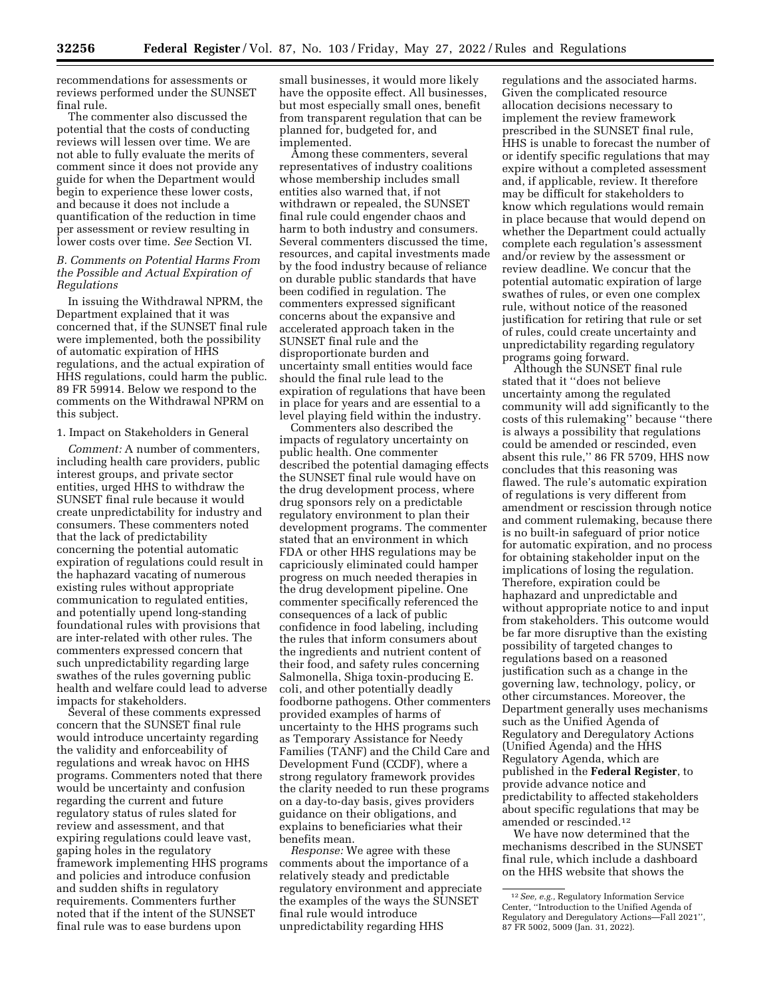recommendations for assessments or reviews performed under the SUNSET final rule.

The commenter also discussed the potential that the costs of conducting reviews will lessen over time. We are not able to fully evaluate the merits of comment since it does not provide any guide for when the Department would begin to experience these lower costs, and because it does not include a quantification of the reduction in time per assessment or review resulting in lower costs over time. *See* Section VI.

## *B. Comments on Potential Harms From the Possible and Actual Expiration of Regulations*

In issuing the Withdrawal NPRM, the Department explained that it was concerned that, if the SUNSET final rule were implemented, both the possibility of automatic expiration of HHS regulations, and the actual expiration of HHS regulations, could harm the public. 89 FR 59914. Below we respond to the comments on the Withdrawal NPRM on this subject.

### 1. Impact on Stakeholders in General

*Comment:* A number of commenters, including health care providers, public interest groups, and private sector entities, urged HHS to withdraw the SUNSET final rule because it would create unpredictability for industry and consumers. These commenters noted that the lack of predictability concerning the potential automatic expiration of regulations could result in the haphazard vacating of numerous existing rules without appropriate communication to regulated entities, and potentially upend long-standing foundational rules with provisions that are inter-related with other rules. The commenters expressed concern that such unpredictability regarding large swathes of the rules governing public health and welfare could lead to adverse impacts for stakeholders.

Several of these comments expressed concern that the SUNSET final rule would introduce uncertainty regarding the validity and enforceability of regulations and wreak havoc on HHS programs. Commenters noted that there would be uncertainty and confusion regarding the current and future regulatory status of rules slated for review and assessment, and that expiring regulations could leave vast, gaping holes in the regulatory framework implementing HHS programs and policies and introduce confusion and sudden shifts in regulatory requirements. Commenters further noted that if the intent of the SUNSET final rule was to ease burdens upon

small businesses, it would more likely have the opposite effect. All businesses, but most especially small ones, benefit from transparent regulation that can be planned for, budgeted for, and implemented.

Among these commenters, several representatives of industry coalitions whose membership includes small entities also warned that, if not withdrawn or repealed, the SUNSET final rule could engender chaos and harm to both industry and consumers. Several commenters discussed the time, resources, and capital investments made by the food industry because of reliance on durable public standards that have been codified in regulation. The commenters expressed significant concerns about the expansive and accelerated approach taken in the SUNSET final rule and the disproportionate burden and uncertainty small entities would face should the final rule lead to the expiration of regulations that have been in place for years and are essential to a level playing field within the industry.

Commenters also described the impacts of regulatory uncertainty on public health. One commenter described the potential damaging effects the SUNSET final rule would have on the drug development process, where drug sponsors rely on a predictable regulatory environment to plan their development programs. The commenter stated that an environment in which FDA or other HHS regulations may be capriciously eliminated could hamper progress on much needed therapies in the drug development pipeline. One commenter specifically referenced the consequences of a lack of public confidence in food labeling, including the rules that inform consumers about the ingredients and nutrient content of their food, and safety rules concerning Salmonella, Shiga toxin-producing E. coli, and other potentially deadly foodborne pathogens. Other commenters provided examples of harms of uncertainty to the HHS programs such as Temporary Assistance for Needy Families (TANF) and the Child Care and Development Fund (CCDF), where a strong regulatory framework provides the clarity needed to run these programs on a day-to-day basis, gives providers guidance on their obligations, and explains to beneficiaries what their benefits mean.

*Response:* We agree with these comments about the importance of a relatively steady and predictable regulatory environment and appreciate the examples of the ways the SUNSET final rule would introduce unpredictability regarding HHS

regulations and the associated harms. Given the complicated resource allocation decisions necessary to implement the review framework prescribed in the SUNSET final rule, HHS is unable to forecast the number of or identify specific regulations that may expire without a completed assessment and, if applicable, review. It therefore may be difficult for stakeholders to know which regulations would remain in place because that would depend on whether the Department could actually complete each regulation's assessment and/or review by the assessment or review deadline. We concur that the potential automatic expiration of large swathes of rules, or even one complex rule, without notice of the reasoned justification for retiring that rule or set of rules, could create uncertainty and unpredictability regarding regulatory programs going forward.

Although the SUNSET final rule stated that it ''does not believe uncertainty among the regulated community will add significantly to the costs of this rulemaking'' because ''there is always a possibility that regulations could be amended or rescinded, even absent this rule,'' 86 FR 5709, HHS now concludes that this reasoning was flawed. The rule's automatic expiration of regulations is very different from amendment or rescission through notice and comment rulemaking, because there is no built-in safeguard of prior notice for automatic expiration, and no process for obtaining stakeholder input on the implications of losing the regulation. Therefore, expiration could be haphazard and unpredictable and without appropriate notice to and input from stakeholders. This outcome would be far more disruptive than the existing possibility of targeted changes to regulations based on a reasoned justification such as a change in the governing law, technology, policy, or other circumstances. Moreover, the Department generally uses mechanisms such as the Unified Agenda of Regulatory and Deregulatory Actions (Unified Agenda) and the HHS Regulatory Agenda, which are published in the **Federal Register**, to provide advance notice and predictability to affected stakeholders about specific regulations that may be amended or rescinded.12

We have now determined that the mechanisms described in the SUNSET final rule, which include a dashboard on the HHS website that shows the

<sup>12</sup>*See, e.g.,* Regulatory Information Service Center, ''Introduction to the Unified Agenda of Regulatory and Deregulatory Actions—Fall 2021'', 87 FR 5002, 5009 (Jan. 31, 2022).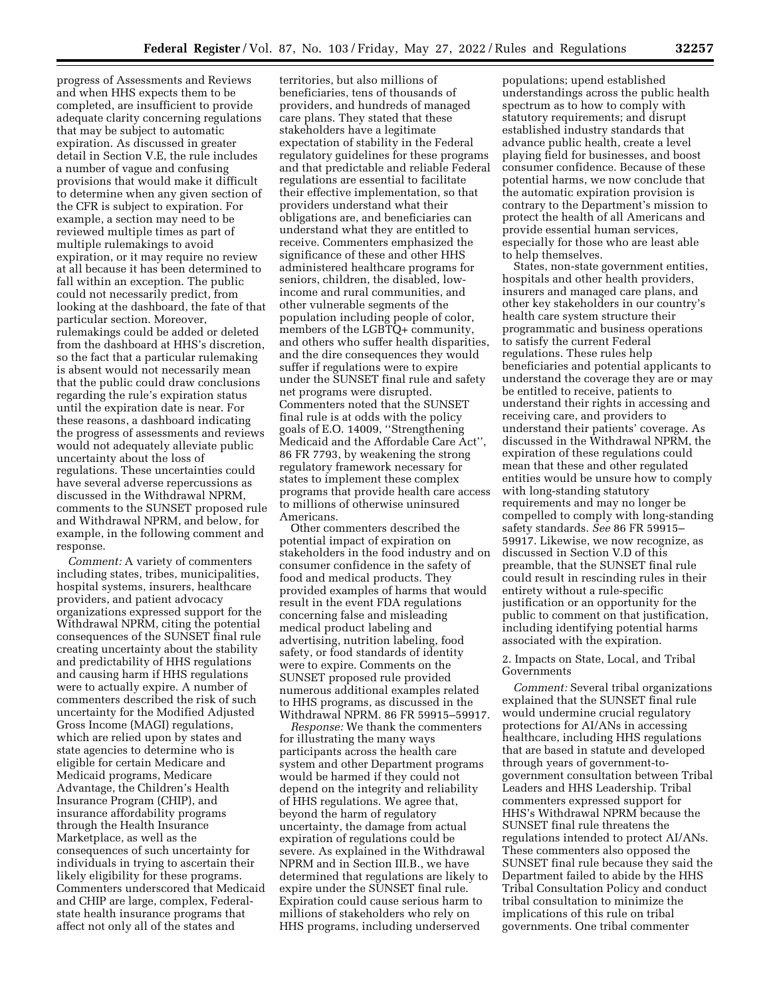progress of Assessments and Reviews and when HHS expects them to be completed, are insufficient to provide adequate clarity concerning regulations that may be subject to automatic expiration. As discussed in greater detail in Section V.E, the rule includes a number of vague and confusing provisions that would make it difficult to determine when any given section of the CFR is subject to expiration. For example, a section may need to be reviewed multiple times as part of multiple rulemakings to avoid expiration, or it may require no review at all because it has been determined to fall within an exception. The public could not necessarily predict, from looking at the dashboard, the fate of that particular section. Moreover, rulemakings could be added or deleted from the dashboard at HHS's discretion, so the fact that a particular rulemaking is absent would not necessarily mean that the public could draw conclusions regarding the rule's expiration status until the expiration date is near. For these reasons, a dashboard indicating the progress of assessments and reviews would not adequately alleviate public uncertainty about the loss of regulations. These uncertainties could have several adverse repercussions as discussed in the Withdrawal NPRM, comments to the SUNSET proposed rule and Withdrawal NPRM, and below, for example, in the following comment and response.

*Comment:* A variety of commenters including states, tribes, municipalities, hospital systems, insurers, healthcare providers, and patient advocacy organizations expressed support for the Withdrawal NPRM, citing the potential consequences of the SUNSET final rule creating uncertainty about the stability and predictability of HHS regulations and causing harm if HHS regulations were to actually expire. A number of commenters described the risk of such uncertainty for the Modified Adjusted Gross Income (MAGI) regulations, which are relied upon by states and state agencies to determine who is eligible for certain Medicare and Medicaid programs, Medicare Advantage, the Children's Health Insurance Program (CHIP), and insurance affordability programs through the Health Insurance Marketplace, as well as the consequences of such uncertainty for individuals in trying to ascertain their likely eligibility for these programs. Commenters underscored that Medicaid and CHIP are large, complex, Federalstate health insurance programs that affect not only all of the states and

territories, but also millions of beneficiaries, tens of thousands of providers, and hundreds of managed care plans. They stated that these stakeholders have a legitimate expectation of stability in the Federal regulatory guidelines for these programs and that predictable and reliable Federal regulations are essential to facilitate their effective implementation, so that providers understand what their obligations are, and beneficiaries can understand what they are entitled to receive. Commenters emphasized the significance of these and other HHS administered healthcare programs for seniors, children, the disabled, lowincome and rural communities, and other vulnerable segments of the population including people of color, members of the LGBTQ+ community, and others who suffer health disparities, and the dire consequences they would suffer if regulations were to expire under the SUNSET final rule and safety net programs were disrupted. Commenters noted that the SUNSET final rule is at odds with the policy goals of E.O. 14009, ''Strengthening Medicaid and the Affordable Care Act'', 86 FR 7793, by weakening the strong regulatory framework necessary for states to implement these complex programs that provide health care access to millions of otherwise uninsured Americans.

Other commenters described the potential impact of expiration on stakeholders in the food industry and on consumer confidence in the safety of food and medical products. They provided examples of harms that would result in the event FDA regulations concerning false and misleading medical product labeling and advertising, nutrition labeling, food safety, or food standards of identity were to expire. Comments on the SUNSET proposed rule provided numerous additional examples related to HHS programs, as discussed in the Withdrawal NPRM. 86 FR 59915–59917.

*Response:* We thank the commenters for illustrating the many ways participants across the health care system and other Department programs would be harmed if they could not depend on the integrity and reliability of HHS regulations. We agree that, beyond the harm of regulatory uncertainty, the damage from actual expiration of regulations could be severe. As explained in the Withdrawal NPRM and in Section III.B., we have determined that regulations are likely to expire under the SUNSET final rule. Expiration could cause serious harm to millions of stakeholders who rely on HHS programs, including underserved

populations; upend established understandings across the public health spectrum as to how to comply with statutory requirements; and disrupt established industry standards that advance public health, create a level playing field for businesses, and boost consumer confidence. Because of these potential harms, we now conclude that the automatic expiration provision is contrary to the Department's mission to protect the health of all Americans and provide essential human services, especially for those who are least able to help themselves.

States, non-state government entities, hospitals and other health providers, insurers and managed care plans, and other key stakeholders in our country's health care system structure their programmatic and business operations to satisfy the current Federal regulations. These rules help beneficiaries and potential applicants to understand the coverage they are or may be entitled to receive, patients to understand their rights in accessing and receiving care, and providers to understand their patients' coverage. As discussed in the Withdrawal NPRM, the expiration of these regulations could mean that these and other regulated entities would be unsure how to comply with long-standing statutory requirements and may no longer be compelled to comply with long-standing safety standards. *See* 86 FR 59915– 59917. Likewise, we now recognize, as discussed in Section V.D of this preamble, that the SUNSET final rule could result in rescinding rules in their entirety without a rule-specific justification or an opportunity for the public to comment on that justification, including identifying potential harms associated with the expiration.

2. Impacts on State, Local, and Tribal Governments

*Comment:* Several tribal organizations explained that the SUNSET final rule would undermine crucial regulatory protections for AI/ANs in accessing healthcare, including HHS regulations that are based in statute and developed through years of government-togovernment consultation between Tribal Leaders and HHS Leadership. Tribal commenters expressed support for HHS's Withdrawal NPRM because the SUNSET final rule threatens the regulations intended to protect AI/ANs. These commenters also opposed the SUNSET final rule because they said the Department failed to abide by the HHS Tribal Consultation Policy and conduct tribal consultation to minimize the implications of this rule on tribal governments. One tribal commenter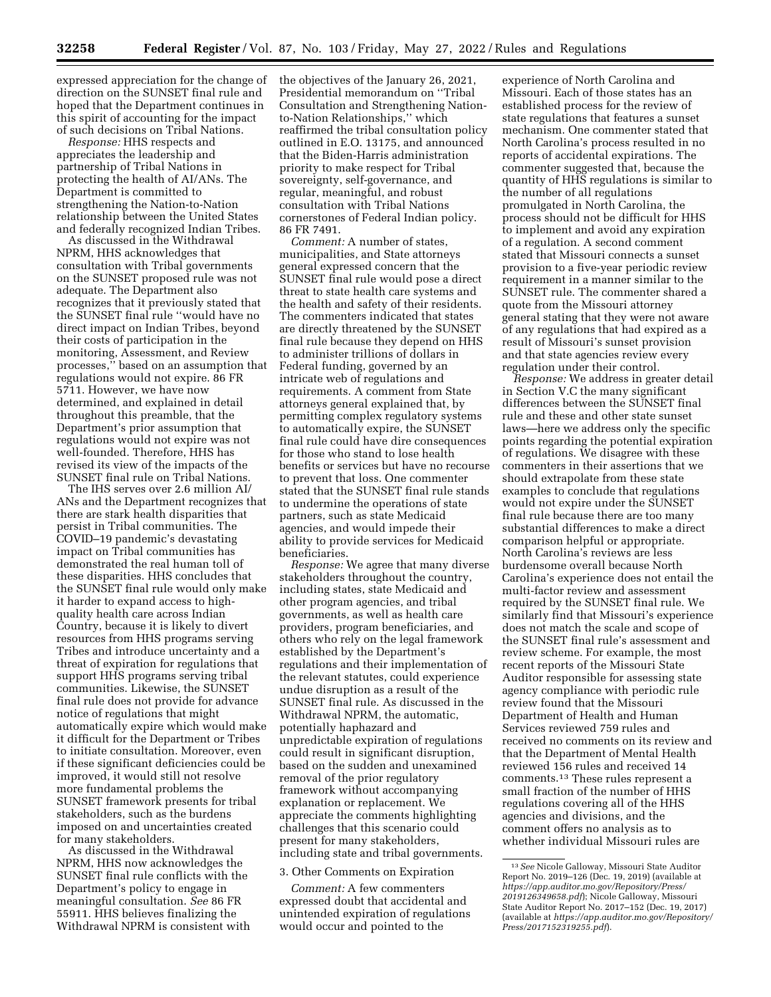expressed appreciation for the change of direction on the SUNSET final rule and hoped that the Department continues in this spirit of accounting for the impact of such decisions on Tribal Nations.

*Response:* HHS respects and appreciates the leadership and partnership of Tribal Nations in protecting the health of AI/ANs. The Department is committed to strengthening the Nation-to-Nation relationship between the United States and federally recognized Indian Tribes.

As discussed in the Withdrawal NPRM, HHS acknowledges that consultation with Tribal governments on the SUNSET proposed rule was not adequate. The Department also recognizes that it previously stated that the SUNSET final rule ''would have no direct impact on Indian Tribes, beyond their costs of participation in the monitoring, Assessment, and Review processes,'' based on an assumption that regulations would not expire. 86 FR 5711. However, we have now determined, and explained in detail throughout this preamble, that the Department's prior assumption that regulations would not expire was not well-founded. Therefore, HHS has revised its view of the impacts of the SUNSET final rule on Tribal Nations.

The IHS serves over 2.6 million AI/ ANs and the Department recognizes that there are stark health disparities that persist in Tribal communities. The COVID–19 pandemic's devastating impact on Tribal communities has demonstrated the real human toll of these disparities. HHS concludes that the SUNSET final rule would only make it harder to expand access to highquality health care across Indian Country, because it is likely to divert resources from HHS programs serving Tribes and introduce uncertainty and a threat of expiration for regulations that support HHS programs serving tribal communities. Likewise, the SUNSET final rule does not provide for advance notice of regulations that might automatically expire which would make it difficult for the Department or Tribes to initiate consultation. Moreover, even if these significant deficiencies could be improved, it would still not resolve more fundamental problems the SUNSET framework presents for tribal stakeholders, such as the burdens imposed on and uncertainties created for many stakeholders.

As discussed in the Withdrawal NPRM, HHS now acknowledges the SUNSET final rule conflicts with the Department's policy to engage in meaningful consultation. *See* 86 FR 55911. HHS believes finalizing the Withdrawal NPRM is consistent with the objectives of the January 26, 2021, Presidential memorandum on ''Tribal Consultation and Strengthening Nationto-Nation Relationships,'' which reaffirmed the tribal consultation policy outlined in E.O. 13175, and announced that the Biden-Harris administration priority to make respect for Tribal sovereignty, self-governance, and regular, meaningful, and robust consultation with Tribal Nations cornerstones of Federal Indian policy. 86 FR 7491.

*Comment:* A number of states, municipalities, and State attorneys general expressed concern that the SUNSET final rule would pose a direct threat to state health care systems and the health and safety of their residents. The commenters indicated that states are directly threatened by the SUNSET final rule because they depend on HHS to administer trillions of dollars in Federal funding, governed by an intricate web of regulations and requirements. A comment from State attorneys general explained that, by permitting complex regulatory systems to automatically expire, the SUNSET final rule could have dire consequences for those who stand to lose health benefits or services but have no recourse to prevent that loss. One commenter stated that the SUNSET final rule stands to undermine the operations of state partners, such as state Medicaid agencies, and would impede their ability to provide services for Medicaid beneficiaries.

*Response:* We agree that many diverse stakeholders throughout the country, including states, state Medicaid and other program agencies, and tribal governments, as well as health care providers, program beneficiaries, and others who rely on the legal framework established by the Department's regulations and their implementation of the relevant statutes, could experience undue disruption as a result of the SUNSET final rule. As discussed in the Withdrawal NPRM, the automatic, potentially haphazard and unpredictable expiration of regulations could result in significant disruption, based on the sudden and unexamined removal of the prior regulatory framework without accompanying explanation or replacement. We appreciate the comments highlighting challenges that this scenario could present for many stakeholders, including state and tribal governments.

#### 3. Other Comments on Expiration

*Comment:* A few commenters expressed doubt that accidental and unintended expiration of regulations would occur and pointed to the

experience of North Carolina and Missouri. Each of those states has an established process for the review of state regulations that features a sunset mechanism. One commenter stated that North Carolina's process resulted in no reports of accidental expirations. The commenter suggested that, because the quantity of HHS regulations is similar to the number of all regulations promulgated in North Carolina, the process should not be difficult for HHS to implement and avoid any expiration of a regulation. A second comment stated that Missouri connects a sunset provision to a five-year periodic review requirement in a manner similar to the SUNSET rule. The commenter shared a quote from the Missouri attorney general stating that they were not aware of any regulations that had expired as a result of Missouri's sunset provision and that state agencies review every regulation under their control.

*Response:* We address in greater detail in Section V.C the many significant differences between the SUNSET final rule and these and other state sunset laws—here we address only the specific points regarding the potential expiration of regulations. We disagree with these commenters in their assertions that we should extrapolate from these state examples to conclude that regulations would not expire under the SUNSET final rule because there are too many substantial differences to make a direct comparison helpful or appropriate. North Carolina's reviews are less burdensome overall because North Carolina's experience does not entail the multi-factor review and assessment required by the SUNSET final rule. We similarly find that Missouri's experience does not match the scale and scope of the SUNSET final rule's assessment and review scheme. For example, the most recent reports of the Missouri State Auditor responsible for assessing state agency compliance with periodic rule review found that the Missouri Department of Health and Human Services reviewed 759 rules and received no comments on its review and that the Department of Mental Health reviewed 156 rules and received 14 comments.13 These rules represent a small fraction of the number of HHS regulations covering all of the HHS agencies and divisions, and the comment offers no analysis as to whether individual Missouri rules are

<sup>13</sup>*See* Nicole Galloway, Missouri State Auditor Report No. 2019–126 (Dec. 19, 2019) (available at *[https://app.auditor.mo.gov/Repository/Press/](https://app.auditor.mo.gov/Repository/Press/2019126349658.pdf)  [2019126349658.pdf](https://app.auditor.mo.gov/Repository/Press/2019126349658.pdf)*); Nicole Galloway, Missouri State Auditor Report No. 2017–152 (Dec. 19, 2017) (available at *[https://app.auditor.mo.gov/Repository/](https://app.auditor.mo.gov/Repository/Press/2017152319255.pdf) [Press/2017152319255.pdf](https://app.auditor.mo.gov/Repository/Press/2017152319255.pdf)*).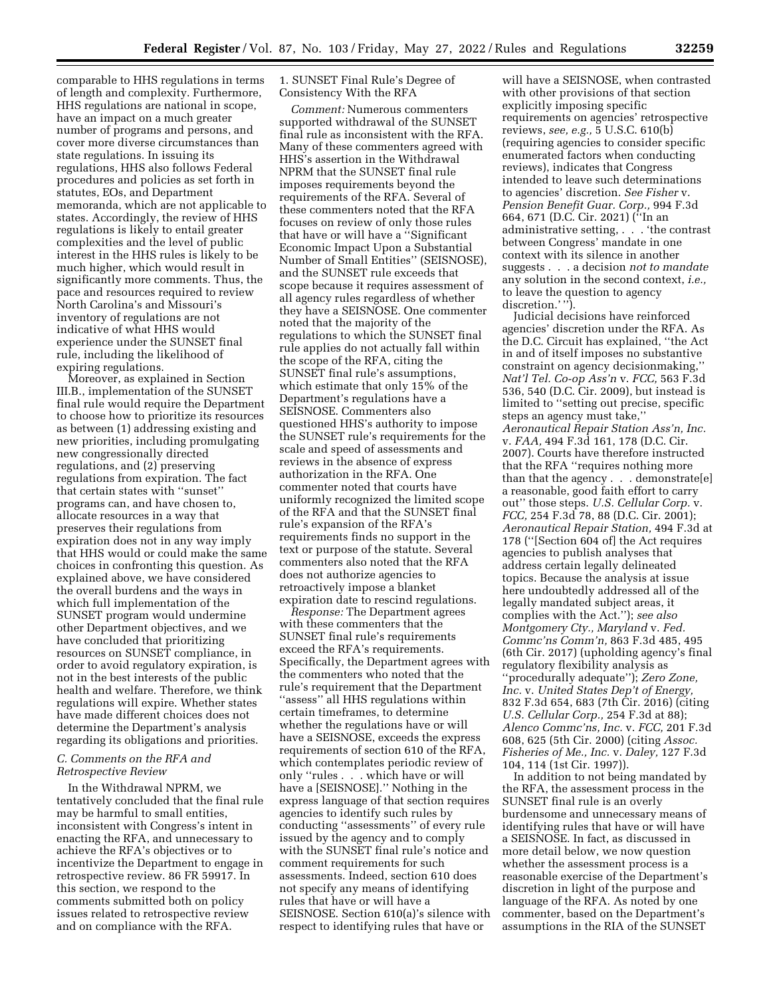comparable to HHS regulations in terms of length and complexity. Furthermore, HHS regulations are national in scope, have an impact on a much greater number of programs and persons, and cover more diverse circumstances than state regulations. In issuing its regulations, HHS also follows Federal procedures and policies as set forth in statutes, EOs, and Department memoranda, which are not applicable to states. Accordingly, the review of HHS regulations is likely to entail greater complexities and the level of public interest in the HHS rules is likely to be much higher, which would result in significantly more comments. Thus, the pace and resources required to review North Carolina's and Missouri's inventory of regulations are not indicative of what HHS would experience under the SUNSET final rule, including the likelihood of expiring regulations.

Moreover, as explained in Section III.B., implementation of the SUNSET final rule would require the Department to choose how to prioritize its resources as between (1) addressing existing and new priorities, including promulgating new congressionally directed regulations, and (2) preserving regulations from expiration. The fact that certain states with ''sunset'' programs can, and have chosen to, allocate resources in a way that preserves their regulations from expiration does not in any way imply that HHS would or could make the same choices in confronting this question. As explained above, we have considered the overall burdens and the ways in which full implementation of the SUNSET program would undermine other Department objectives, and we have concluded that prioritizing resources on SUNSET compliance, in order to avoid regulatory expiration, is not in the best interests of the public health and welfare. Therefore, we think regulations will expire. Whether states have made different choices does not determine the Department's analysis regarding its obligations and priorities.

## *C. Comments on the RFA and Retrospective Review*

In the Withdrawal NPRM, we tentatively concluded that the final rule may be harmful to small entities, inconsistent with Congress's intent in enacting the RFA, and unnecessary to achieve the RFA's objectives or to incentivize the Department to engage in retrospective review. 86 FR 59917. In this section, we respond to the comments submitted both on policy issues related to retrospective review and on compliance with the RFA.

1. SUNSET Final Rule's Degree of Consistency With the RFA

*Comment:* Numerous commenters supported withdrawal of the SUNSET final rule as inconsistent with the RFA. Many of these commenters agreed with HHS's assertion in the Withdrawal NPRM that the SUNSET final rule imposes requirements beyond the requirements of the RFA. Several of these commenters noted that the RFA focuses on review of only those rules that have or will have a ''Significant Economic Impact Upon a Substantial Number of Small Entities'' (SEISNOSE), and the SUNSET rule exceeds that scope because it requires assessment of all agency rules regardless of whether they have a SEISNOSE. One commenter noted that the majority of the regulations to which the SUNSET final rule applies do not actually fall within the scope of the RFA, citing the SUNSET final rule's assumptions, which estimate that only 15% of the Department's regulations have a SEISNOSE. Commenters also questioned HHS's authority to impose the SUNSET rule's requirements for the scale and speed of assessments and reviews in the absence of express authorization in the RFA. One commenter noted that courts have uniformly recognized the limited scope of the RFA and that the SUNSET final rule's expansion of the RFA's requirements finds no support in the text or purpose of the statute. Several commenters also noted that the RFA does not authorize agencies to retroactively impose a blanket expiration date to rescind regulations.

*Response:* The Department agrees with these commenters that the SUNSET final rule's requirements exceed the RFA's requirements. Specifically, the Department agrees with the commenters who noted that the rule's requirement that the Department ''assess'' all HHS regulations within certain timeframes, to determine whether the regulations have or will have a SEISNOSE, exceeds the express requirements of section 610 of the RFA, which contemplates periodic review of only ''rules . . . which have or will have a [SEISNOSE].'' Nothing in the express language of that section requires agencies to identify such rules by conducting ''assessments'' of every rule issued by the agency and to comply with the SUNSET final rule's notice and comment requirements for such assessments. Indeed, section 610 does not specify any means of identifying rules that have or will have a SEISNOSE. Section 610(a)'s silence with respect to identifying rules that have or

will have a SEISNOSE, when contrasted with other provisions of that section explicitly imposing specific requirements on agencies' retrospective reviews, *see, e.g.,* 5 U.S.C. 610(b) (requiring agencies to consider specific enumerated factors when conducting reviews), indicates that Congress intended to leave such determinations to agencies' discretion. *See Fisher* v. *Pension Benefit Guar. Corp.,* 994 F.3d 664, 671 (D.C. Cir. 2021) (''In an administrative setting, . . . 'the contrast between Congress' mandate in one context with its silence in another suggests . . . a decision *not to mandate*  any solution in the second context, *i.e.,*  to leave the question to agency discretion.''

Judicial decisions have reinforced agencies' discretion under the RFA. As the D.C. Circuit has explained, ''the Act in and of itself imposes no substantive constraint on agency decisionmaking,'' *Nat'l Tel. Co-op Ass'n* v. *FCC,* 563 F.3d 536, 540 (D.C. Cir. 2009), but instead is limited to ''setting out precise, specific steps an agency must take,'' *Aeronautical Repair Station Ass'n, Inc.*  v. *FAA,* 494 F.3d 161, 178 (D.C. Cir. 2007). Courts have therefore instructed that the RFA ''requires nothing more than that the agency . . . demonstrate[e] a reasonable, good faith effort to carry out'' those steps. *U.S. Cellular Corp.* v. *FCC,* 254 F.3d 78, 88 (D.C. Cir. 2001); *Aeronautical Repair Station,* 494 F.3d at 178 (''[Section 604 of] the Act requires agencies to publish analyses that address certain legally delineated topics. Because the analysis at issue here undoubtedly addressed all of the legally mandated subject areas, it complies with the Act.''); *see also Montgomery Cty., Maryland* v. *Fed. Commc'ns Comm'n,* 863 F.3d 485, 495 (6th Cir. 2017) (upholding agency's final regulatory flexibility analysis as ''procedurally adequate''); *Zero Zone, Inc.* v. *United States Dep't of Energy,*  832 F.3d 654, 683 (7th Cir. 2016) (citing *U.S. Cellular Corp.,* 254 F.3d at 88); *Alenco Commc'ns, Inc.* v. *FCC,* 201 F.3d 608, 625 (5th Cir. 2000) (citing *Assoc. Fisheries of Me., Inc.* v. *Daley,* 127 F.3d 104, 114 (1st Cir. 1997)).

In addition to not being mandated by the RFA, the assessment process in the SUNSET final rule is an overly burdensome and unnecessary means of identifying rules that have or will have a SEISNOSE. In fact, as discussed in more detail below, we now question whether the assessment process is a reasonable exercise of the Department's discretion in light of the purpose and language of the RFA. As noted by one commenter, based on the Department's assumptions in the RIA of the SUNSET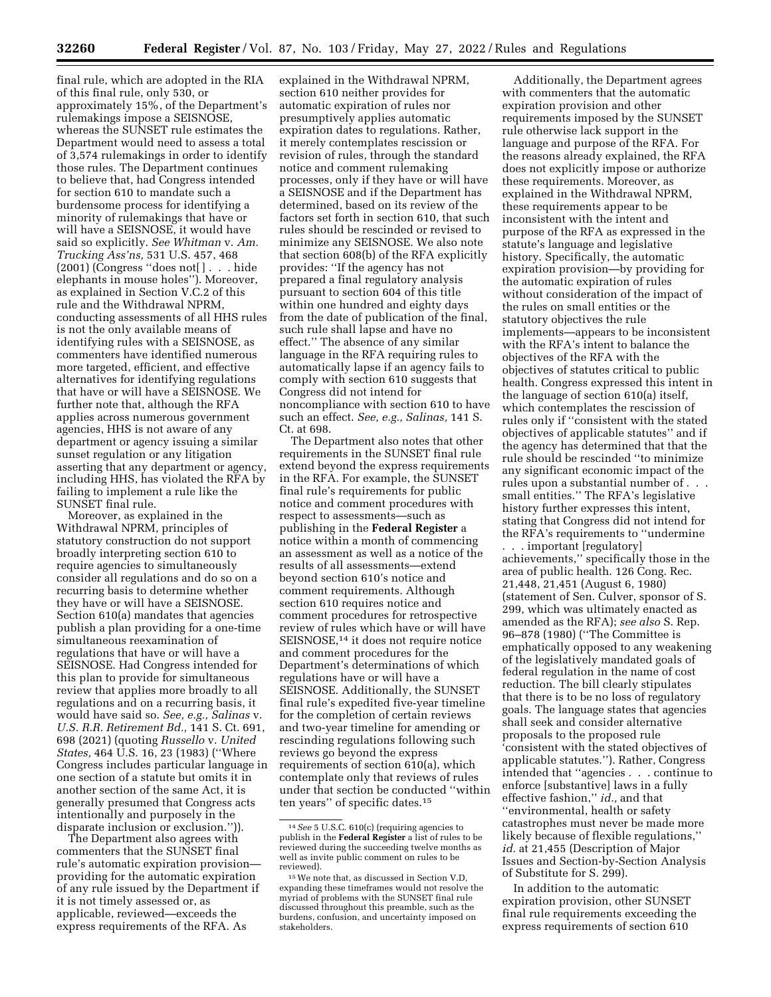final rule, which are adopted in the RIA of this final rule, only 530, or approximately 15%, of the Department's rulemakings impose a SEISNOSE, whereas the SUNSET rule estimates the Department would need to assess a total of 3,574 rulemakings in order to identify those rules. The Department continues to believe that, had Congress intended for section 610 to mandate such a burdensome process for identifying a minority of rulemakings that have or will have a SEISNOSE, it would have said so explicitly. *See Whitman* v. *Am. Trucking Ass'ns,* 531 U.S. 457, 468 (2001) (Congress ''does not[ ] . . . hide elephants in mouse holes''). Moreover, as explained in Section V.C.2 of this rule and the Withdrawal NPRM, conducting assessments of all HHS rules is not the only available means of identifying rules with a SEISNOSE, as commenters have identified numerous more targeted, efficient, and effective alternatives for identifying regulations that have or will have a SEISNOSE. We further note that, although the RFA applies across numerous government agencies, HHS is not aware of any department or agency issuing a similar sunset regulation or any litigation asserting that any department or agency, including HHS, has violated the RFA by failing to implement a rule like the SUNSET final rule.

Moreover, as explained in the Withdrawal NPRM, principles of statutory construction do not support broadly interpreting section 610 to require agencies to simultaneously consider all regulations and do so on a recurring basis to determine whether they have or will have a SEISNOSE. Section 610(a) mandates that agencies publish a plan providing for a one-time simultaneous reexamination of regulations that have or will have a SEISNOSE. Had Congress intended for this plan to provide for simultaneous review that applies more broadly to all regulations and on a recurring basis, it would have said so. *See, e.g., Salinas* v. *U.S. R.R. Retirement Bd.,* 141 S. Ct. 691, 698 (2021) (quoting *Russello* v. *United States,* 464 U.S. 16, 23 (1983) (''Where Congress includes particular language in one section of a statute but omits it in another section of the same Act, it is generally presumed that Congress acts intentionally and purposely in the disparate inclusion or exclusion.'')).

The Department also agrees with commenters that the SUNSET final rule's automatic expiration provision providing for the automatic expiration of any rule issued by the Department if it is not timely assessed or, as applicable, reviewed—exceeds the express requirements of the RFA. As

explained in the Withdrawal NPRM, section 610 neither provides for automatic expiration of rules nor presumptively applies automatic expiration dates to regulations. Rather, it merely contemplates rescission or revision of rules, through the standard notice and comment rulemaking processes, only if they have or will have a SEISNOSE and if the Department has determined, based on its review of the factors set forth in section 610, that such rules should be rescinded or revised to minimize any SEISNOSE. We also note that section 608(b) of the RFA explicitly provides: ''If the agency has not prepared a final regulatory analysis pursuant to section 604 of this title within one hundred and eighty days from the date of publication of the final, such rule shall lapse and have no effect.'' The absence of any similar language in the RFA requiring rules to automatically lapse if an agency fails to comply with section 610 suggests that Congress did not intend for noncompliance with section 610 to have such an effect. *See, e.g., Salinas,* 141 S. Ct. at 698.

The Department also notes that other requirements in the SUNSET final rule extend beyond the express requirements in the RFA. For example, the SUNSET final rule's requirements for public notice and comment procedures with respect to assessments—such as publishing in the **Federal Register** a notice within a month of commencing an assessment as well as a notice of the results of all assessments—extend beyond section 610's notice and comment requirements. Although section 610 requires notice and comment procedures for retrospective review of rules which have or will have SEISNOSE,14 it does not require notice and comment procedures for the Department's determinations of which regulations have or will have a SEISNOSE. Additionally, the SUNSET final rule's expedited five-year timeline for the completion of certain reviews and two-year timeline for amending or rescinding regulations following such reviews go beyond the express requirements of section 610(a), which contemplate only that reviews of rules under that section be conducted ''within ten years'' of specific dates.15

Additionally, the Department agrees with commenters that the automatic expiration provision and other requirements imposed by the SUNSET rule otherwise lack support in the language and purpose of the RFA. For the reasons already explained, the RFA does not explicitly impose or authorize these requirements. Moreover, as explained in the Withdrawal NPRM, these requirements appear to be inconsistent with the intent and purpose of the RFA as expressed in the statute's language and legislative history. Specifically, the automatic expiration provision—by providing for the automatic expiration of rules without consideration of the impact of the rules on small entities or the statutory objectives the rule implements—appears to be inconsistent with the RFA's intent to balance the objectives of the RFA with the objectives of statutes critical to public health. Congress expressed this intent in the language of section 610(a) itself, which contemplates the rescission of rules only if ''consistent with the stated objectives of applicable statutes'' and if the agency has determined that that the rule should be rescinded ''to minimize any significant economic impact of the rules upon a substantial number of . . . small entities.'' The RFA's legislative history further expresses this intent, stating that Congress did not intend for the RFA's requirements to ''undermine

. . . important [regulatory] achievements,'' specifically those in the area of public health. 126 Cong. Rec. 21,448, 21,451 (August 6, 1980) (statement of Sen. Culver, sponsor of S. 299, which was ultimately enacted as amended as the RFA); *see also* S. Rep. 96–878 (1980) (''The Committee is emphatically opposed to any weakening of the legislatively mandated goals of federal regulation in the name of cost reduction. The bill clearly stipulates that there is to be no loss of regulatory goals. The language states that agencies shall seek and consider alternative proposals to the proposed rule 'consistent with the stated objectives of applicable statutes.''). Rather, Congress intended that ''agencies . . . continue to enforce [substantive] laws in a fully effective fashion,'' *id.,* and that ''environmental, health or safety catastrophes must never be made more likely because of flexible regulations,'' *id.* at 21,455 (Description of Major Issues and Section-by-Section Analysis of Substitute for S. 299).

In addition to the automatic expiration provision, other SUNSET final rule requirements exceeding the express requirements of section 610

<sup>14</sup>*See* 5 U.S.C. 610(c) (requiring agencies to publish in the **Federal Register** a list of rules to be reviewed during the succeeding twelve months as well as invite public comment on rules to be<br>reviewed).

<sup>&</sup>lt;sup>15</sup> We note that, as discussed in Section V.D, expanding these timeframes would not resolve the myriad of problems with the SUNSET final rule discussed throughout this preamble, such as the burdens, confusion, and uncertainty imposed on stakeholders.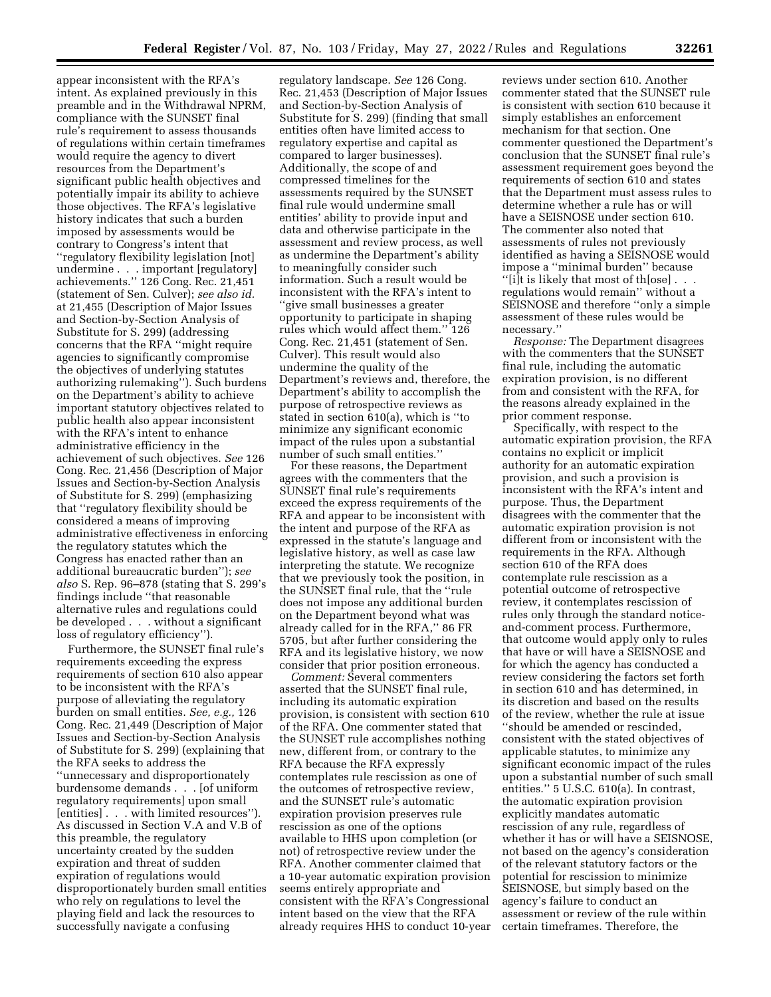appear inconsistent with the RFA's intent. As explained previously in this preamble and in the Withdrawal NPRM, compliance with the SUNSET final rule's requirement to assess thousands of regulations within certain timeframes would require the agency to divert resources from the Department's significant public health objectives and potentially impair its ability to achieve those objectives. The RFA's legislative history indicates that such a burden imposed by assessments would be contrary to Congress's intent that ''regulatory flexibility legislation [not] undermine . . . important [regulatory] achievements.'' 126 Cong. Rec. 21,451 (statement of Sen. Culver); *see also id.*  at 21,455 (Description of Major Issues and Section-by-Section Analysis of Substitute for S. 299) (addressing concerns that the RFA ''might require agencies to significantly compromise the objectives of underlying statutes authorizing rulemaking''). Such burdens on the Department's ability to achieve important statutory objectives related to public health also appear inconsistent with the RFA's intent to enhance administrative efficiency in the achievement of such objectives. *See* 126 Cong. Rec. 21,456 (Description of Major Issues and Section-by-Section Analysis of Substitute for S. 299) (emphasizing that ''regulatory flexibility should be considered a means of improving administrative effectiveness in enforcing the regulatory statutes which the Congress has enacted rather than an additional bureaucratic burden''); *see also* S. Rep. 96–878 (stating that S. 299's findings include ''that reasonable alternative rules and regulations could be developed . . . without a significant loss of regulatory efficiency'').

Furthermore, the SUNSET final rule's requirements exceeding the express requirements of section 610 also appear to be inconsistent with the RFA's purpose of alleviating the regulatory burden on small entities. *See, e.g.,* 126 Cong. Rec. 21,449 (Description of Major Issues and Section-by-Section Analysis of Substitute for S. 299) (explaining that the RFA seeks to address the ''unnecessary and disproportionately burdensome demands . . . [of uniform regulatory requirements] upon small [entities] . . . with limited resources''). As discussed in Section V.A and V.B of this preamble, the regulatory uncertainty created by the sudden expiration and threat of sudden expiration of regulations would disproportionately burden small entities who rely on regulations to level the playing field and lack the resources to successfully navigate a confusing

regulatory landscape. *See* 126 Cong. Rec. 21,453 (Description of Major Issues and Section-by-Section Analysis of Substitute for S. 299) (finding that small entities often have limited access to regulatory expertise and capital as compared to larger businesses). Additionally, the scope of and compressed timelines for the assessments required by the SUNSET final rule would undermine small entities' ability to provide input and data and otherwise participate in the assessment and review process, as well as undermine the Department's ability to meaningfully consider such information. Such a result would be inconsistent with the RFA's intent to ''give small businesses a greater opportunity to participate in shaping rules which would affect them.'' 126 Cong. Rec. 21,451 (statement of Sen. Culver). This result would also undermine the quality of the Department's reviews and, therefore, the Department's ability to accomplish the purpose of retrospective reviews as stated in section 610(a), which is ''to minimize any significant economic impact of the rules upon a substantial number of such small entities.''

For these reasons, the Department agrees with the commenters that the SUNSET final rule's requirements exceed the express requirements of the RFA and appear to be inconsistent with the intent and purpose of the RFA as expressed in the statute's language and legislative history, as well as case law interpreting the statute. We recognize that we previously took the position, in the SUNSET final rule, that the ''rule does not impose any additional burden on the Department beyond what was already called for in the RFA,'' 86 FR 5705, but after further considering the RFA and its legislative history, we now consider that prior position erroneous.

*Comment:* Several commenters asserted that the SUNSET final rule, including its automatic expiration provision, is consistent with section 610 of the RFA. One commenter stated that the SUNSET rule accomplishes nothing new, different from, or contrary to the RFA because the RFA expressly contemplates rule rescission as one of the outcomes of retrospective review, and the SUNSET rule's automatic expiration provision preserves rule rescission as one of the options available to HHS upon completion (or not) of retrospective review under the RFA. Another commenter claimed that a 10-year automatic expiration provision seems entirely appropriate and consistent with the RFA's Congressional intent based on the view that the RFA already requires HHS to conduct 10-year

reviews under section 610. Another commenter stated that the SUNSET rule is consistent with section 610 because it simply establishes an enforcement mechanism for that section. One commenter questioned the Department's conclusion that the SUNSET final rule's assessment requirement goes beyond the requirements of section 610 and states that the Department must assess rules to determine whether a rule has or will have a SEISNOSE under section 610. The commenter also noted that assessments of rules not previously identified as having a SEISNOSE would impose a ''minimal burden'' because "[i]t is likely that most of th $[ose]$ ... regulations would remain'' without a SEISNOSE and therefore ''only a simple assessment of these rules would be necessary.''

*Response:* The Department disagrees with the commenters that the SUNSET final rule, including the automatic expiration provision, is no different from and consistent with the RFA, for the reasons already explained in the prior comment response.

Specifically, with respect to the automatic expiration provision, the RFA contains no explicit or implicit authority for an automatic expiration provision, and such a provision is inconsistent with the RFA's intent and purpose. Thus, the Department disagrees with the commenter that the automatic expiration provision is not different from or inconsistent with the requirements in the RFA. Although section 610 of the RFA does contemplate rule rescission as a potential outcome of retrospective review, it contemplates rescission of rules only through the standard noticeand-comment process. Furthermore, that outcome would apply only to rules that have or will have a SEISNOSE and for which the agency has conducted a review considering the factors set forth in section 610 and has determined, in its discretion and based on the results of the review, whether the rule at issue ''should be amended or rescinded, consistent with the stated objectives of applicable statutes, to minimize any significant economic impact of the rules upon a substantial number of such small entities.'' 5 U.S.C. 610(a). In contrast, the automatic expiration provision explicitly mandates automatic rescission of any rule, regardless of whether it has or will have a SEISNOSE, not based on the agency's consideration of the relevant statutory factors or the potential for rescission to minimize SEISNOSE, but simply based on the agency's failure to conduct an assessment or review of the rule within certain timeframes. Therefore, the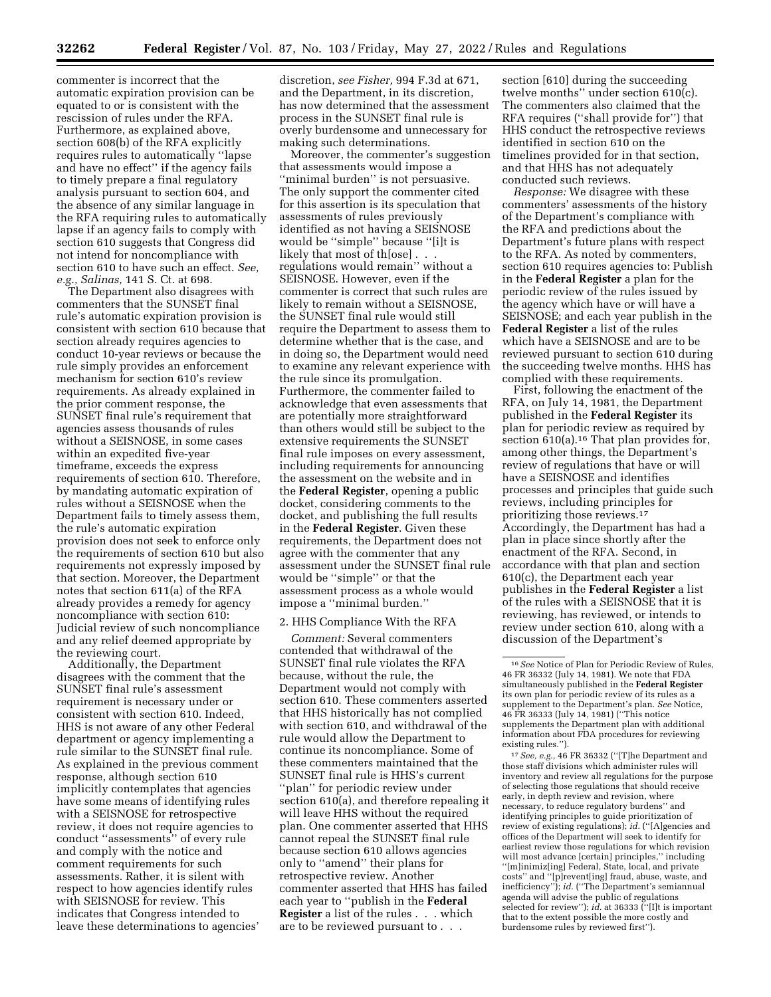commenter is incorrect that the automatic expiration provision can be equated to or is consistent with the rescission of rules under the RFA. Furthermore, as explained above, section 608(b) of the RFA explicitly requires rules to automatically ''lapse and have no effect'' if the agency fails to timely prepare a final regulatory analysis pursuant to section 604, and the absence of any similar language in the RFA requiring rules to automatically lapse if an agency fails to comply with section 610 suggests that Congress did not intend for noncompliance with section 610 to have such an effect. *See, e.g., Salinas,* 141 S. Ct. at 698.

The Department also disagrees with commenters that the SUNSET final rule's automatic expiration provision is consistent with section 610 because that section already requires agencies to conduct 10-year reviews or because the rule simply provides an enforcement mechanism for section 610's review requirements. As already explained in the prior comment response, the SUNSET final rule's requirement that agencies assess thousands of rules without a SEISNOSE, in some cases within an expedited five-year timeframe, exceeds the express requirements of section 610. Therefore, by mandating automatic expiration of rules without a SEISNOSE when the Department fails to timely assess them, the rule's automatic expiration provision does not seek to enforce only the requirements of section 610 but also requirements not expressly imposed by that section. Moreover, the Department notes that section 611(a) of the RFA already provides a remedy for agency noncompliance with section 610: Judicial review of such noncompliance and any relief deemed appropriate by the reviewing court.

Additionally, the Department disagrees with the comment that the SUNSET final rule's assessment requirement is necessary under or consistent with section 610. Indeed, HHS is not aware of any other Federal department or agency implementing a rule similar to the SUNSET final rule. As explained in the previous comment response, although section 610 implicitly contemplates that agencies have some means of identifying rules with a SEISNOSE for retrospective review, it does not require agencies to conduct ''assessments'' of every rule and comply with the notice and comment requirements for such assessments. Rather, it is silent with respect to how agencies identify rules with SEISNOSE for review. This indicates that Congress intended to leave these determinations to agencies'

discretion, *see Fisher,* 994 F.3d at 671, and the Department, in its discretion, has now determined that the assessment process in the SUNSET final rule is overly burdensome and unnecessary for making such determinations.

Moreover, the commenter's suggestion that assessments would impose a ''minimal burden'' is not persuasive. The only support the commenter cited for this assertion is its speculation that assessments of rules previously identified as not having a SEISNOSE would be ''simple'' because ''[i]t is likely that most of th[ose] . . . regulations would remain'' without a SEISNOSE. However, even if the commenter is correct that such rules are likely to remain without a SEISNOSE, the SUNSET final rule would still require the Department to assess them to determine whether that is the case, and in doing so, the Department would need to examine any relevant experience with the rule since its promulgation. Furthermore, the commenter failed to acknowledge that even assessments that are potentially more straightforward than others would still be subject to the extensive requirements the SUNSET final rule imposes on every assessment, including requirements for announcing the assessment on the website and in the **Federal Register**, opening a public docket, considering comments to the docket, and publishing the full results in the **Federal Register**. Given these requirements, the Department does not agree with the commenter that any assessment under the SUNSET final rule would be ''simple'' or that the assessment process as a whole would impose a ''minimal burden.''

#### 2. HHS Compliance With the RFA

*Comment:* Several commenters contended that withdrawal of the SUNSET final rule violates the RFA because, without the rule, the Department would not comply with section 610. These commenters asserted that HHS historically has not complied with section 610, and withdrawal of the rule would allow the Department to continue its noncompliance. Some of these commenters maintained that the SUNSET final rule is HHS's current ''plan'' for periodic review under section 610(a), and therefore repealing it will leave HHS without the required plan. One commenter asserted that HHS cannot repeal the SUNSET final rule because section 610 allows agencies only to ''amend'' their plans for retrospective review. Another commenter asserted that HHS has failed each year to ''publish in the **Federal Register** a list of the rules . . . which are to be reviewed pursuant to . . .

section [610] during the succeeding twelve months'' under section 610(c). The commenters also claimed that the RFA requires (''shall provide for'') that HHS conduct the retrospective reviews identified in section 610 on the timelines provided for in that section, and that HHS has not adequately conducted such reviews.

*Response:* We disagree with these commenters' assessments of the history of the Department's compliance with the RFA and predictions about the Department's future plans with respect to the RFA. As noted by commenters, section 610 requires agencies to: Publish in the **Federal Register** a plan for the periodic review of the rules issued by the agency which have or will have a SEISNOSE; and each year publish in the **Federal Register** a list of the rules which have a SEISNOSE and are to be reviewed pursuant to section 610 during the succeeding twelve months. HHS has complied with these requirements.

First, following the enactment of the RFA, on July 14, 1981, the Department published in the **Federal Register** its plan for periodic review as required by section 610(a).<sup>16</sup> That plan provides for, among other things, the Department's review of regulations that have or will have a SEISNOSE and identifies processes and principles that guide such reviews, including principles for prioritizing those reviews.17 Accordingly, the Department has had a plan in place since shortly after the enactment of the RFA. Second, in accordance with that plan and section 610(c), the Department each year publishes in the **Federal Register** a list of the rules with a SEISNOSE that it is reviewing, has reviewed, or intends to review under section 610, along with a discussion of the Department's

17*See, e.g.,* 46 FR 36332 (''[T]he Department and those staff divisions which administer rules will inventory and review all regulations for the purpose of selecting those regulations that should receive early, in depth review and revision, where necessary, to reduce regulatory burdens'' and identifying principles to guide prioritization of review of existing regulations); *id.* (''[A]gencies and offices of the Department will seek to identify for earliest review those regulations for which revision will most advance [certain] principles,'' including ''[m]inimiz[ing] Federal, State, local, and private costs'' and ''[p]revent[ing] fraud, abuse, waste, and inefficiency''); *id.* (''The Department's semiannual agenda will advise the public of regulations selected for review''); *id.* at 36333 ("[I]t is important that to the extent possible the more costly and burdensome rules by reviewed first'').

<sup>16</sup>*See* Notice of Plan for Periodic Review of Rules, 46 FR 36332 (July 14, 1981). We note that FDA simultaneously published in the **Federal Register**  its own plan for periodic review of its rules as a supplement to the Department's plan. *See* Notice, 46 FR 36333 (July 14, 1981) (''This notice supplements the Department plan with additional information about FDA procedures for reviewing existing rules.'').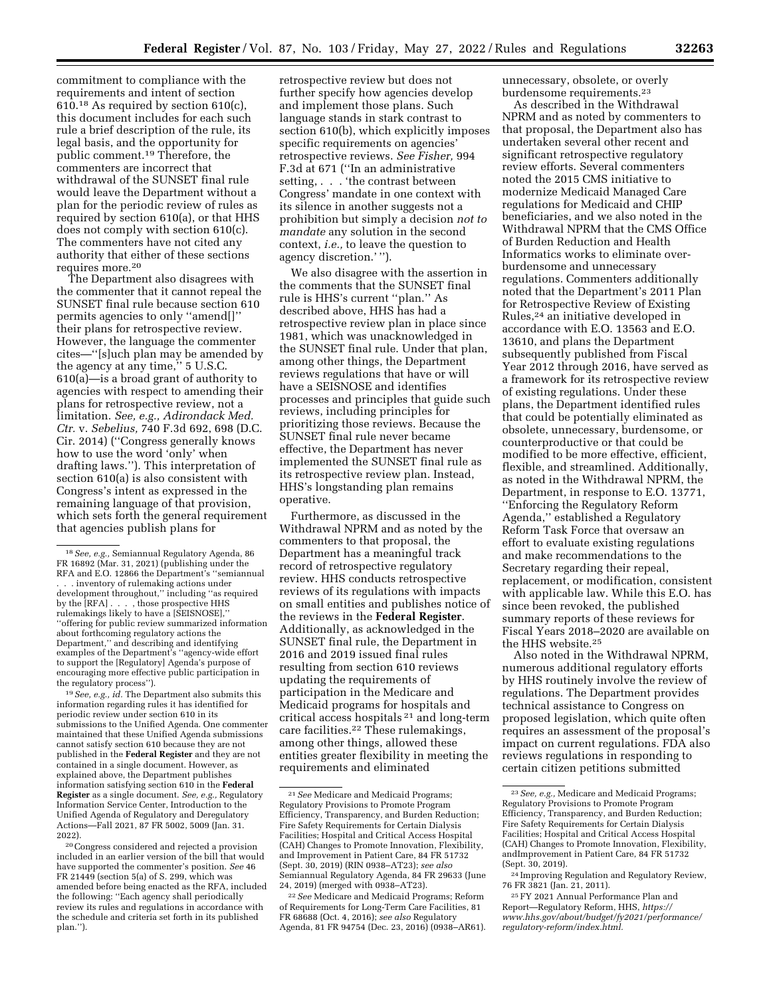commitment to compliance with the requirements and intent of section 610.18 As required by section 610(c), this document includes for each such rule a brief description of the rule, its legal basis, and the opportunity for public comment.19 Therefore, the commenters are incorrect that withdrawal of the SUNSET final rule would leave the Department without a plan for the periodic review of rules as required by section 610(a), or that HHS does not comply with section 610(c). The commenters have not cited any authority that either of these sections requires more.<sup>20</sup>

The Department also disagrees with the commenter that it cannot repeal the SUNSET final rule because section 610 permits agencies to only ''amend[]'' their plans for retrospective review. However, the language the commenter cites—''[s]uch plan may be amended by the agency at any time,'' 5 U.S.C. 610(a)—is a broad grant of authority to agencies with respect to amending their plans for retrospective review, not a limitation. *See, e.g., Adirondack Med. Ctr.* v. *Sebelius,* 740 F.3d 692, 698 (D.C. Cir. 2014) (''Congress generally knows how to use the word 'only' when drafting laws.''). This interpretation of section 610(a) is also consistent with Congress's intent as expressed in the remaining language of that provision, which sets forth the general requirement that agencies publish plans for

19*See, e.g., id.* The Department also submits this information regarding rules it has identified for periodic review under section 610 in its submissions to the Unified Agenda. One commenter maintained that these Unified Agenda submissions cannot satisfy section 610 because they are not published in the **Federal Register** and they are not contained in a single document. However, as explained above, the Department publishes information satisfying section 610 in the **Federal Register** as a single document. *See, e.g.,* Regulatory Information Service Center, Introduction to the Unified Agenda of Regulatory and Deregulatory Actions—Fall 2021, 87 FR 5002, 5009 (Jan. 31. 2022).

20Congress considered and rejected a provision included in an earlier version of the bill that would have supported the commenter's position. *See* 46 FR 21449 (section 5(a) of S. 299, which was amended before being enacted as the RFA, included the following: ''Each agency shall periodically review its rules and regulations in accordance with the schedule and criteria set forth in its published plan.'').

retrospective review but does not further specify how agencies develop and implement those plans. Such language stands in stark contrast to section 610(b), which explicitly imposes specific requirements on agencies' retrospective reviews. *See Fisher,* 994 F.3d at 671 (''In an administrative setting, . . . 'the contrast between Congress' mandate in one context with its silence in another suggests not a prohibition but simply a decision *not to mandate* any solution in the second context, *i.e.,* to leave the question to agency discretion.' '').

We also disagree with the assertion in the comments that the SUNSET final rule is HHS's current ''plan.'' As described above, HHS has had a retrospective review plan in place since 1981, which was unacknowledged in the SUNSET final rule. Under that plan, among other things, the Department reviews regulations that have or will have a SEISNOSE and identifies processes and principles that guide such reviews, including principles for prioritizing those reviews. Because the SUNSET final rule never became effective, the Department has never implemented the SUNSET final rule as its retrospective review plan. Instead, HHS's longstanding plan remains operative.

Furthermore, as discussed in the Withdrawal NPRM and as noted by the commenters to that proposal, the Department has a meaningful track record of retrospective regulatory review. HHS conducts retrospective reviews of its regulations with impacts on small entities and publishes notice of the reviews in the **Federal Register**. Additionally, as acknowledged in the SUNSET final rule, the Department in 2016 and 2019 issued final rules resulting from section 610 reviews updating the requirements of participation in the Medicare and Medicaid programs for hospitals and critical access hospitals 21 and long-term care facilities.22 These rulemakings, among other things, allowed these entities greater flexibility in meeting the requirements and eliminated

unnecessary, obsolete, or overly burdensome requirements.23

As described in the Withdrawal NPRM and as noted by commenters to that proposal, the Department also has undertaken several other recent and significant retrospective regulatory review efforts. Several commenters noted the 2015 CMS initiative to modernize Medicaid Managed Care regulations for Medicaid and CHIP beneficiaries, and we also noted in the Withdrawal NPRM that the CMS Office of Burden Reduction and Health Informatics works to eliminate overburdensome and unnecessary regulations. Commenters additionally noted that the Department's 2011 Plan for Retrospective Review of Existing Rules,24 an initiative developed in accordance with E.O. 13563 and E.O. 13610, and plans the Department subsequently published from Fiscal Year 2012 through 2016, have served as a framework for its retrospective review of existing regulations. Under these plans, the Department identified rules that could be potentially eliminated as obsolete, unnecessary, burdensome, or counterproductive or that could be modified to be more effective, efficient, flexible, and streamlined. Additionally, as noted in the Withdrawal NPRM, the Department, in response to E.O. 13771, ''Enforcing the Regulatory Reform Agenda,'' established a Regulatory Reform Task Force that oversaw an effort to evaluate existing regulations and make recommendations to the Secretary regarding their repeal, replacement, or modification, consistent with applicable law. While this E.O. has since been revoked, the published summary reports of these reviews for Fiscal Years 2018–2020 are available on the HHS website.25

Also noted in the Withdrawal NPRM, numerous additional regulatory efforts by HHS routinely involve the review of regulations. The Department provides technical assistance to Congress on proposed legislation, which quite often requires an assessment of the proposal's impact on current regulations. FDA also reviews regulations in responding to certain citizen petitions submitted

<sup>18</sup>*See, e.g.,* Semiannual Regulatory Agenda, 86 FR 16892 (Mar. 31, 2021) (publishing under the RFA and E.O. 12866 the Department's ''semiannual . . . inventory of rulemaking actions under development throughout,'' including ''as required by the [RFA] . . . , those prospective HHS rulemakings likely to have a [SEISNOSE],'' ''offering for public review summarized information about forthcoming regulatory actions the Department,'' and describing and identifying examples of the Department's ''agency-wide effort to support the [Regulatory] Agenda's purpose of encouraging more effective public participation in the regulatory process'').

<sup>21</sup>*See* Medicare and Medicaid Programs; Regulatory Provisions to Promote Program Efficiency, Transparency, and Burden Reduction; Fire Safety Requirements for Certain Dialysis Facilities; Hospital and Critical Access Hospital (CAH) Changes to Promote Innovation, Flexibility, and Improvement in Patient Care, 84 FR 51732 (Sept. 30, 2019) (RIN 0938–AT23); *see also*  Semiannual Regulatory Agenda, 84 FR 29633 (June 24, 2019) (merged with 0938–AT23).

<sup>22</sup>*See* Medicare and Medicaid Programs; Reform of Requirements for Long-Term Care Facilities, 81 FR 68688 (Oct. 4, 2016); *see also* Regulatory Agenda, 81 FR 94754 (Dec. 23, 2016) (0938–AR61).

<sup>23</sup>*See, e.g.,* Medicare and Medicaid Programs; Regulatory Provisions to Promote Program Efficiency, Transparency, and Burden Reduction; Fire Safety Requirements for Certain Dialysis Facilities; Hospital and Critical Access Hospital (CAH) Changes to Promote Innovation, Flexibility, andImprovement in Patient Care, 84 FR 51732 (Sept. 30, 2019).

<sup>24</sup> Improving Regulation and Regulatory Review, 76 FR 3821 (Jan. 21, 2011).

<sup>25</sup>FY 2021 Annual Performance Plan and Report—Regulatory Reform, HHS, *[https://](https://www.hhs.gov/about/budget/fy2021/performance/regulatory-reform/index.html) [www.hhs.gov/about/budget/fy2021/performance/](https://www.hhs.gov/about/budget/fy2021/performance/regulatory-reform/index.html)  [regulatory-reform/index.html.](https://www.hhs.gov/about/budget/fy2021/performance/regulatory-reform/index.html)*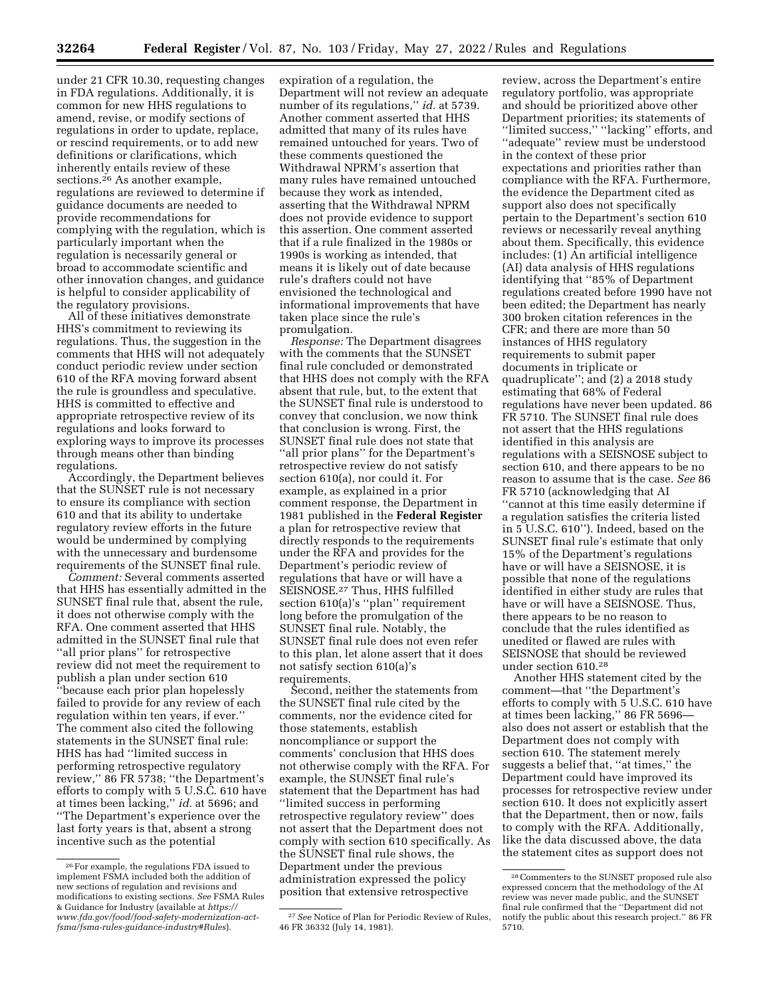under 21 CFR 10.30, requesting changes in FDA regulations. Additionally, it is common for new HHS regulations to amend, revise, or modify sections of regulations in order to update, replace, or rescind requirements, or to add new definitions or clarifications, which inherently entails review of these sections.26 As another example, regulations are reviewed to determine if guidance documents are needed to provide recommendations for complying with the regulation, which is particularly important when the regulation is necessarily general or broad to accommodate scientific and other innovation changes, and guidance is helpful to consider applicability of the regulatory provisions.

All of these initiatives demonstrate HHS's commitment to reviewing its regulations. Thus, the suggestion in the comments that HHS will not adequately conduct periodic review under section 610 of the RFA moving forward absent the rule is groundless and speculative. HHS is committed to effective and appropriate retrospective review of its regulations and looks forward to exploring ways to improve its processes through means other than binding regulations.

Accordingly, the Department believes that the SUNSET rule is not necessary to ensure its compliance with section 610 and that its ability to undertake regulatory review efforts in the future would be undermined by complying with the unnecessary and burdensome requirements of the SUNSET final rule.

*Comment:* Several comments asserted that HHS has essentially admitted in the SUNSET final rule that, absent the rule, it does not otherwise comply with the RFA. One comment asserted that HHS admitted in the SUNSET final rule that ''all prior plans'' for retrospective review did not meet the requirement to publish a plan under section 610 ''because each prior plan hopelessly failed to provide for any review of each regulation within ten years, if ever.'' The comment also cited the following statements in the SUNSET final rule: HHS has had ''limited success in performing retrospective regulatory review,'' 86 FR 5738; ''the Department's efforts to comply with 5 U.S.C. 610 have at times been lacking,'' *id.* at 5696; and ''The Department's experience over the last forty years is that, absent a strong incentive such as the potential

expiration of a regulation, the Department will not review an adequate number of its regulations,'' *id.* at 5739. Another comment asserted that HHS admitted that many of its rules have remained untouched for years. Two of these comments questioned the Withdrawal NPRM's assertion that many rules have remained untouched because they work as intended, asserting that the Withdrawal NPRM does not provide evidence to support this assertion. One comment asserted that if a rule finalized in the 1980s or 1990s is working as intended, that means it is likely out of date because rule's drafters could not have envisioned the technological and informational improvements that have taken place since the rule's promulgation.

*Response:* The Department disagrees with the comments that the SUNSET final rule concluded or demonstrated that HHS does not comply with the RFA absent that rule, but, to the extent that the SUNSET final rule is understood to convey that conclusion, we now think that conclusion is wrong. First, the SUNSET final rule does not state that ''all prior plans'' for the Department's retrospective review do not satisfy section 610(a), nor could it. For example, as explained in a prior comment response, the Department in 1981 published in the **Federal Register**  a plan for retrospective review that directly responds to the requirements under the RFA and provides for the Department's periodic review of regulations that have or will have a SEISNOSE.27 Thus, HHS fulfilled section 610(a)'s ''plan'' requirement long before the promulgation of the SUNSET final rule. Notably, the SUNSET final rule does not even refer to this plan, let alone assert that it does not satisfy section 610(a)'s requirements.

Second, neither the statements from the SUNSET final rule cited by the comments, nor the evidence cited for those statements, establish noncompliance or support the comments' conclusion that HHS does not otherwise comply with the RFA. For example, the SUNSET final rule's statement that the Department has had ''limited success in performing retrospective regulatory review'' does not assert that the Department does not comply with section 610 specifically. As the SUNSET final rule shows, the Department under the previous administration expressed the policy position that extensive retrospective

review, across the Department's entire regulatory portfolio, was appropriate and should be prioritized above other Department priorities; its statements of ''limited success,'' ''lacking'' efforts, and ''adequate'' review must be understood in the context of these prior expectations and priorities rather than compliance with the RFA. Furthermore, the evidence the Department cited as support also does not specifically pertain to the Department's section 610 reviews or necessarily reveal anything about them. Specifically, this evidence includes: (1) An artificial intelligence (AI) data analysis of HHS regulations identifying that ''85% of Department regulations created before 1990 have not been edited; the Department has nearly 300 broken citation references in the CFR; and there are more than 50 instances of HHS regulatory requirements to submit paper documents in triplicate or quadruplicate''; and (2) a 2018 study estimating that 68% of Federal regulations have never been updated. 86 FR 5710. The SUNSET final rule does not assert that the HHS regulations identified in this analysis are regulations with a SEISNOSE subject to section 610, and there appears to be no reason to assume that is the case. *See* 86 FR 5710 (acknowledging that AI ''cannot at this time easily determine if a regulation satisfies the criteria listed in 5 U.S.C. 610''). Indeed, based on the SUNSET final rule's estimate that only 15% of the Department's regulations have or will have a SEISNOSE, it is possible that none of the regulations identified in either study are rules that have or will have a SEISNOSE. Thus, there appears to be no reason to conclude that the rules identified as unedited or flawed are rules with SEISNOSE that should be reviewed under section 610.28

Another HHS statement cited by the comment—that ''the Department's efforts to comply with 5 U.S.C. 610 have at times been lacking,'' 86 FR 5696 also does not assert or establish that the Department does not comply with section 610. The statement merely suggests a belief that, ''at times,'' the Department could have improved its processes for retrospective review under section 610. It does not explicitly assert that the Department, then or now, fails to comply with the RFA. Additionally, like the data discussed above, the data the statement cites as support does not

<sup>26</sup>For example, the regulations FDA issued to implement FSMA included both the addition of new sections of regulation and revisions and modifications to existing sections. *See* FSMA Rules & Guidance for Industry (available at *[https://](https://www.fda.gov/food/food-safety-modernization-act-fsma/fsma-rules-guidance-industry#Rules) [www.fda.gov/food/food-safety-modernization-act](https://www.fda.gov/food/food-safety-modernization-act-fsma/fsma-rules-guidance-industry#Rules)[fsma/fsma-rules-guidance-industry#Rules](https://www.fda.gov/food/food-safety-modernization-act-fsma/fsma-rules-guidance-industry#Rules)*).

<sup>27</sup>*See* Notice of Plan for Periodic Review of Rules, 46 FR 36332 (July 14, 1981).

<sup>28</sup>Commenters to the SUNSET proposed rule also expressed concern that the methodology of the AI review was never made public, and the SUNSET final rule confirmed that the ''Department did not notify the public about this research project.'' 86 FR 5710.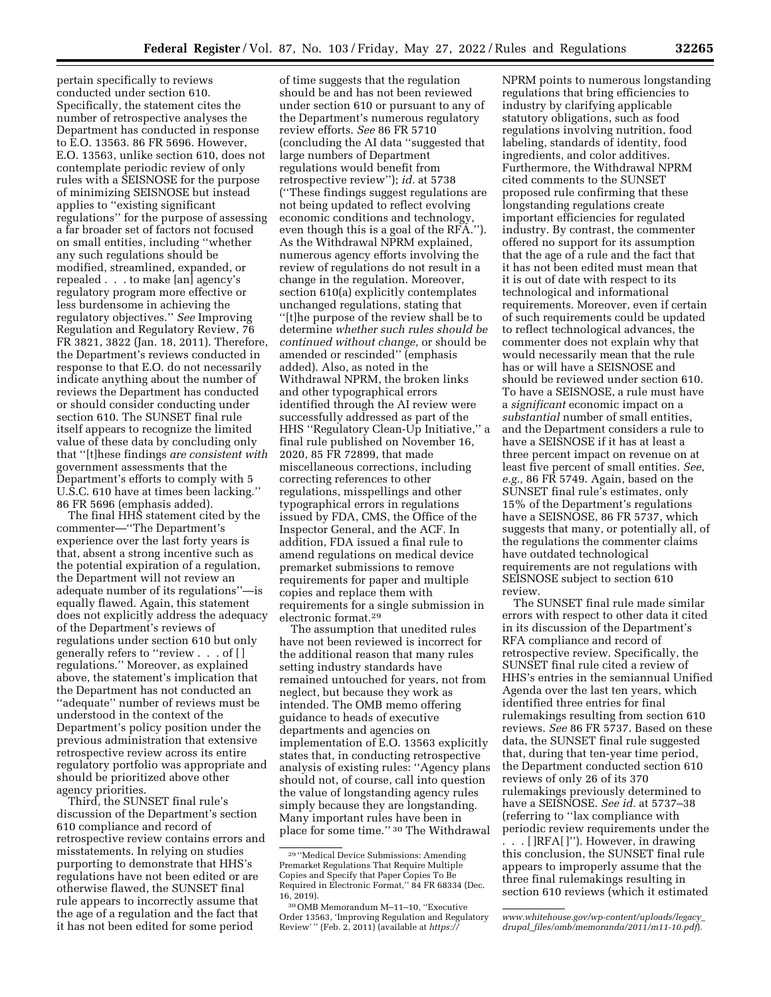pertain specifically to reviews conducted under section 610. Specifically, the statement cites the number of retrospective analyses the Department has conducted in response to E.O. 13563. 86 FR 5696. However, E.O. 13563, unlike section 610, does not contemplate periodic review of only rules with a SEISNOSE for the purpose of minimizing SEISNOSE but instead applies to ''existing significant regulations'' for the purpose of assessing a far broader set of factors not focused on small entities, including ''whether any such regulations should be modified, streamlined, expanded, or repealed . . . to make [an] agency's regulatory program more effective or less burdensome in achieving the regulatory objectives.'' *See* Improving Regulation and Regulatory Review, 76 FR 3821, 3822 (Jan. 18, 2011). Therefore, the Department's reviews conducted in response to that E.O. do not necessarily indicate anything about the number of reviews the Department has conducted or should consider conducting under section 610. The SUNSET final rule itself appears to recognize the limited value of these data by concluding only that ''[t]hese findings *are consistent with*  government assessments that the Department's efforts to comply with 5 U.S.C. 610 have at times been lacking.'' 86 FR 5696 (emphasis added).

The final HHS statement cited by the commenter—''The Department's experience over the last forty years is that, absent a strong incentive such as the potential expiration of a regulation, the Department will not review an adequate number of its regulations''—is equally flawed. Again, this statement does not explicitly address the adequacy of the Department's reviews of regulations under section 610 but only generally refers to ''review . . . of [ ] regulations.'' Moreover, as explained above, the statement's implication that the Department has not conducted an ''adequate'' number of reviews must be understood in the context of the Department's policy position under the previous administration that extensive retrospective review across its entire regulatory portfolio was appropriate and should be prioritized above other agency priorities.

Third, the SUNSET final rule's discussion of the Department's section 610 compliance and record of retrospective review contains errors and misstatements. In relying on studies purporting to demonstrate that HHS's regulations have not been edited or are otherwise flawed, the SUNSET final rule appears to incorrectly assume that the age of a regulation and the fact that it has not been edited for some period

of time suggests that the regulation should be and has not been reviewed under section 610 or pursuant to any of the Department's numerous regulatory review efforts. *See* 86 FR 5710 (concluding the AI data ''suggested that large numbers of Department regulations would benefit from retrospective review''); *id.* at 5738 (''These findings suggest regulations are not being updated to reflect evolving economic conditions and technology, even though this is a goal of the RFA.''). As the Withdrawal NPRM explained, numerous agency efforts involving the review of regulations do not result in a change in the regulation. Moreover, section 610(a) explicitly contemplates unchanged regulations, stating that ''[t]he purpose of the review shall be to determine *whether such rules should be continued without change,* or should be amended or rescinded'' (emphasis added). Also, as noted in the Withdrawal NPRM, the broken links and other typographical errors identified through the AI review were successfully addressed as part of the HHS ''Regulatory Clean-Up Initiative,'' a final rule published on November 16, 2020, 85 FR 72899, that made miscellaneous corrections, including correcting references to other regulations, misspellings and other typographical errors in regulations issued by FDA, CMS, the Office of the Inspector General, and the ACF. In addition, FDA issued a final rule to amend regulations on medical device premarket submissions to remove requirements for paper and multiple copies and replace them with requirements for a single submission in electronic format.29

The assumption that unedited rules have not been reviewed is incorrect for the additional reason that many rules setting industry standards have remained untouched for years, not from neglect, but because they work as intended. The OMB memo offering guidance to heads of executive departments and agencies on implementation of E.O. 13563 explicitly states that, in conducting retrospective analysis of existing rules: ''Agency plans should not, of course, call into question the value of longstanding agency rules simply because they are longstanding. Many important rules have been in place for some time.'' 30 The Withdrawal

NPRM points to numerous longstanding regulations that bring efficiencies to industry by clarifying applicable statutory obligations, such as food regulations involving nutrition, food labeling, standards of identity, food ingredients, and color additives. Furthermore, the Withdrawal NPRM cited comments to the SUNSET proposed rule confirming that these longstanding regulations create important efficiencies for regulated industry. By contrast, the commenter offered no support for its assumption that the age of a rule and the fact that it has not been edited must mean that it is out of date with respect to its technological and informational requirements. Moreover, even if certain of such requirements could be updated to reflect technological advances, the commenter does not explain why that would necessarily mean that the rule has or will have a SEISNOSE and should be reviewed under section 610. To have a SEISNOSE, a rule must have a *significant* economic impact on a *substantial* number of small entities, and the Department considers a rule to have a SEISNOSE if it has at least a three percent impact on revenue on at least five percent of small entities. *See, e.g.,* 86 FR 5749. Again, based on the SUNSET final rule's estimates, only 15% of the Department's regulations have a SEISNOSE, 86 FR 5737, which suggests that many, or potentially all, of the regulations the commenter claims have outdated technological requirements are not regulations with SEISNOSE subject to section 610 review.

The SUNSET final rule made similar errors with respect to other data it cited in its discussion of the Department's RFA compliance and record of retrospective review. Specifically, the SUNSET final rule cited a review of HHS's entries in the semiannual Unified Agenda over the last ten years, which identified three entries for final rulemakings resulting from section 610 reviews. *See* 86 FR 5737. Based on these data, the SUNSET final rule suggested that, during that ten-year time period, the Department conducted section 610 reviews of only 26 of its 370 rulemakings previously determined to have a SEISNOSE. *See id.* at 5737–38 (referring to ''lax compliance with periodic review requirements under the . . . [ ]RFA[ ]''). However, in drawing this conclusion, the SUNSET final rule appears to improperly assume that the three final rulemakings resulting in section 610 reviews (which it estimated

<sup>29</sup> ''Medical Device Submissions: Amending Premarket Regulations That Require Multiple Copies and Specify that Paper Copies To Be Required in Electronic Format,'' 84 FR 68334 (Dec. 16, 2019).

<sup>30</sup>OMB Memorandum M–11–10, ''Executive Order 13563, 'Improving Regulation and Regulatory Review' '' (Feb. 2, 2011) (available at *[https://](https://www.whitehouse.gov/wp-content/uploads/legacy_drupal_files/omb/memoranda/2011/m11-10.pdf)*

*[www.whitehouse.gov/wp-content/uploads/legacy](https://www.whitehouse.gov/wp-content/uploads/legacy_drupal_files/omb/memoranda/2011/m11-10.pdf)*\_ *drupal*\_*[files/omb/memoranda/2011/m11-10.pdf](https://www.whitehouse.gov/wp-content/uploads/legacy_drupal_files/omb/memoranda/2011/m11-10.pdf)*).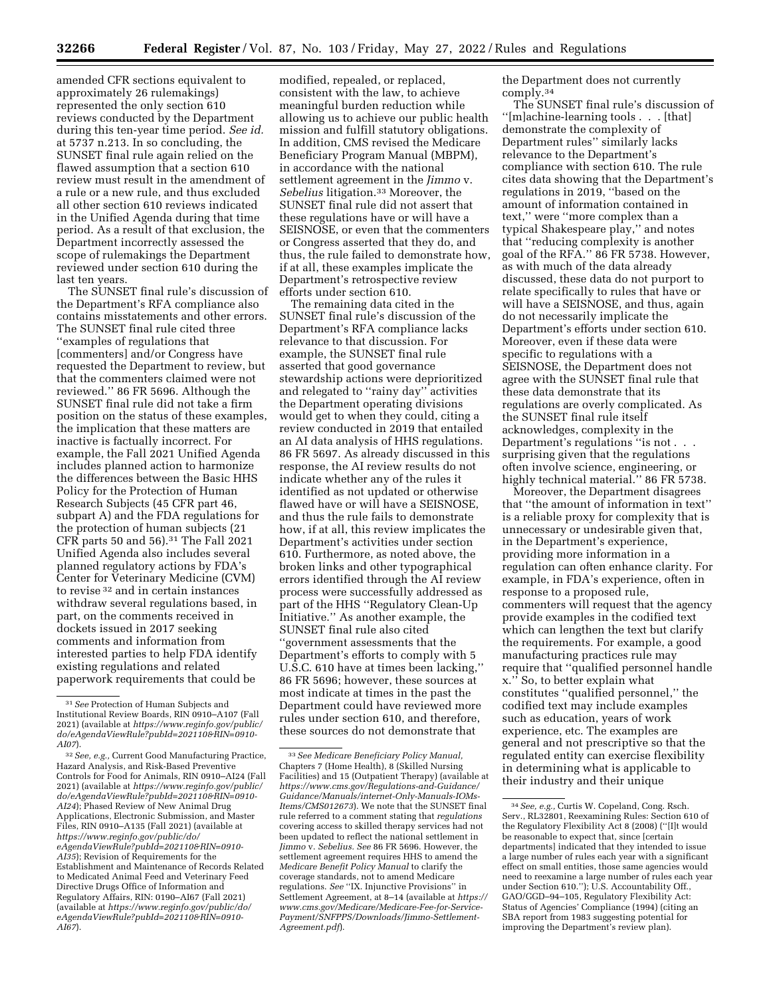**32266 Federal Register** / Vol. 87, No. 103 / Friday, May 27, 2022 / Rules and Regulations

amended CFR sections equivalent to approximately 26 rulemakings) represented the only section 610 reviews conducted by the Department during this ten-year time period. *See id.*  at 5737 n.213. In so concluding, the SUNSET final rule again relied on the flawed assumption that a section 610 review must result in the amendment of a rule or a new rule, and thus excluded all other section 610 reviews indicated in the Unified Agenda during that time period. As a result of that exclusion, the Department incorrectly assessed the scope of rulemakings the Department reviewed under section 610 during the last ten years.

The SUNSET final rule's discussion of the Department's RFA compliance also contains misstatements and other errors. The SUNSET final rule cited three ''examples of regulations that [commenters] and/or Congress have requested the Department to review, but that the commenters claimed were not reviewed.'' 86 FR 5696. Although the SUNSET final rule did not take a firm position on the status of these examples, the implication that these matters are inactive is factually incorrect. For example, the Fall 2021 Unified Agenda includes planned action to harmonize the differences between the Basic HHS Policy for the Protection of Human Research Subjects (45 CFR part 46, subpart A) and the FDA regulations for the protection of human subjects (21 CFR parts 50 and 56).31 The Fall 2021 Unified Agenda also includes several planned regulatory actions by FDA's Center for Veterinary Medicine (CVM) to revise 32 and in certain instances withdraw several regulations based, in part, on the comments received in dockets issued in 2017 seeking comments and information from interested parties to help FDA identify existing regulations and related paperwork requirements that could be

modified, repealed, or replaced, consistent with the law, to achieve meaningful burden reduction while allowing us to achieve our public health mission and fulfill statutory obligations. In addition, CMS revised the Medicare Beneficiary Program Manual (MBPM), in accordance with the national settlement agreement in the *Jimmo* v. *Sebelius* litigation.33 Moreover, the SUNSET final rule did not assert that these regulations have or will have a SEISNOSE, or even that the commenters or Congress asserted that they do, and thus, the rule failed to demonstrate how, if at all, these examples implicate the Department's retrospective review efforts under section 610.

The remaining data cited in the SUNSET final rule's discussion of the Department's RFA compliance lacks relevance to that discussion. For example, the SUNSET final rule asserted that good governance stewardship actions were deprioritized and relegated to ''rainy day'' activities the Department operating divisions would get to when they could, citing a review conducted in 2019 that entailed an AI data analysis of HHS regulations. 86 FR 5697. As already discussed in this response, the AI review results do not indicate whether any of the rules it identified as not updated or otherwise flawed have or will have a SEISNOSE, and thus the rule fails to demonstrate how, if at all, this review implicates the Department's activities under section 610. Furthermore, as noted above, the broken links and other typographical errors identified through the AI review process were successfully addressed as part of the HHS ''Regulatory Clean-Up Initiative.'' As another example, the SUNSET final rule also cited ''government assessments that the Department's efforts to comply with 5 U.S.C. 610 have at times been lacking,'' 86 FR 5696; however, these sources at most indicate at times in the past the Department could have reviewed more rules under section 610, and therefore, these sources do not demonstrate that

the Department does not currently comply.34

The SUNSET final rule's discussion of ''[m]achine-learning tools . . . [that] demonstrate the complexity of Department rules'' similarly lacks relevance to the Department's compliance with section 610. The rule cites data showing that the Department's regulations in 2019, ''based on the amount of information contained in text,'' were ''more complex than a typical Shakespeare play,'' and notes that ''reducing complexity is another goal of the RFA.'' 86 FR 5738. However, as with much of the data already discussed, these data do not purport to relate specifically to rules that have or will have a SEISNOSE, and thus, again do not necessarily implicate the Department's efforts under section 610. Moreover, even if these data were specific to regulations with a SEISNOSE, the Department does not agree with the SUNSET final rule that these data demonstrate that its regulations are overly complicated. As the SUNSET final rule itself acknowledges, complexity in the Department's regulations "is not . . . surprising given that the regulations often involve science, engineering, or highly technical material.'' 86 FR 5738.

Moreover, the Department disagrees that ''the amount of information in text'' is a reliable proxy for complexity that is unnecessary or undesirable given that, in the Department's experience, providing more information in a regulation can often enhance clarity. For example, in FDA's experience, often in response to a proposed rule, commenters will request that the agency provide examples in the codified text which can lengthen the text but clarify the requirements. For example, a good manufacturing practices rule may require that ''qualified personnel handle x.'' So, to better explain what constitutes ''qualified personnel,'' the codified text may include examples such as education, years of work experience, etc. The examples are general and not prescriptive so that the regulated entity can exercise flexibility in determining what is applicable to their industry and their unique

<sup>31</sup>*See* Protection of Human Subjects and Institutional Review Boards, RIN 0910–A107 (Fall 2021) (available at *[https://www.reginfo.gov/public/](https://www.reginfo.gov/public/do/eAgendaViewRule?pubId=202110&RIN=0910-AI07) [do/eAgendaViewRule?pubId=202110&RIN=0910-](https://www.reginfo.gov/public/do/eAgendaViewRule?pubId=202110&RIN=0910-AI07) [AI07](https://www.reginfo.gov/public/do/eAgendaViewRule?pubId=202110&RIN=0910-AI07)*).

<sup>32</sup>*See, e.g.,* Current Good Manufacturing Practice, Hazard Analysis, and Risk-Based Preventive Controls for Food for Animals, RIN 0910–AI24 (Fall 2021) (available at *[https://www.reginfo.gov/public/](https://www.reginfo.gov/public/do/eAgendaViewRule?pubId=202110&RIN=0910-AI24) [do/eAgendaViewRule?pubId=202110&RIN=0910-](https://www.reginfo.gov/public/do/eAgendaViewRule?pubId=202110&RIN=0910-AI24) [AI24](https://www.reginfo.gov/public/do/eAgendaViewRule?pubId=202110&RIN=0910-AI24)*); Phased Review of New Animal Drug Applications, Electronic Submission, and Master Files, RIN 0910–A135 (Fall 2021) (available at *[https://www.reginfo.gov/public/do/](https://www.reginfo.gov/public/do/eAgendaViewRule?pubId=202110&RIN=0910-AI35)  [eAgendaViewRule?pubId=202110&RIN=0910-](https://www.reginfo.gov/public/do/eAgendaViewRule?pubId=202110&RIN=0910-AI35) [AI35](https://www.reginfo.gov/public/do/eAgendaViewRule?pubId=202110&RIN=0910-AI35)*); Revision of Requirements for the Establishment and Maintenance of Records Related to Medicated Animal Feed and Veterinary Feed Directive Drugs Office of Information and Regulatory Affairs, RIN: 0190–AI67 (Fall 2021) (available at *[https://www.reginfo.gov/public/do/](https://www.reginfo.gov/public/do/eAgendaViewRule?pubId=202110&RIN=0910-AI67)  [eAgendaViewRule?pubId=202110&RIN=0910-](https://www.reginfo.gov/public/do/eAgendaViewRule?pubId=202110&RIN=0910-AI67) [AI67](https://www.reginfo.gov/public/do/eAgendaViewRule?pubId=202110&RIN=0910-AI67)*).

<sup>33</sup>*See Medicare Beneficiary Policy Manual,*  Chapters 7 (Home Health), 8 (Skilled Nursing Facilities) and 15 (Outpatient Therapy) (available at *[https://www.cms.gov/Regulations-and-Guidance/](https://www.cms.gov/Regulations-and-Guidance/Guidance/Manuals/internet-Only-Manuals-IOMs-Items/CMS012673)  [Guidance/Manuals/internet-Only-Manuals-IOMs-](https://www.cms.gov/Regulations-and-Guidance/Guidance/Manuals/internet-Only-Manuals-IOMs-Items/CMS012673)[Items/CMS012673](https://www.cms.gov/Regulations-and-Guidance/Guidance/Manuals/internet-Only-Manuals-IOMs-Items/CMS012673)*). We note that the SUNSET final rule referred to a comment stating that *regulations*  covering access to skilled therapy services had not been updated to reflect the national settlement in *Jimmo* v. *Sebelius. See* 86 FR 5696. However, the settlement agreement requires HHS to amend the *Medicare Benefit Policy Manual* to clarify the coverage standards, not to amend Medicare regulations. *See* ''IX. Injunctive Provisions'' in Settlement Agreement, at 8–14 (available at *[https://](https://www.cms.gov/Medicare/Medicare-Fee-for-Service-Payment/SNFPPS/Downloads/Jimmo-Settlement-Agreement.pdf) [www.cms.gov/Medicare/Medicare-Fee-for-Service-](https://www.cms.gov/Medicare/Medicare-Fee-for-Service-Payment/SNFPPS/Downloads/Jimmo-Settlement-Agreement.pdf)[Payment/SNFPPS/Downloads/Jimmo-Settlement-](https://www.cms.gov/Medicare/Medicare-Fee-for-Service-Payment/SNFPPS/Downloads/Jimmo-Settlement-Agreement.pdf)[Agreement.pdf](https://www.cms.gov/Medicare/Medicare-Fee-for-Service-Payment/SNFPPS/Downloads/Jimmo-Settlement-Agreement.pdf)*).

<sup>34</sup>*See, e.g.,* Curtis W. Copeland, Cong. Rsch. Serv., RL32801, Reexamining Rules: Section 610 of the Regulatory Flexibility Act 8 (2008) (''[I]t would be reasonable to expect that, since [certain departments] indicated that they intended to issue a large number of rules each year with a significant effect on small entities, those same agencies would need to reexamine a large number of rules each year under Section 610.''); U.S. Accountability Off., GAO/GGD–94–105, Regulatory Flexibility Act: Status of Agencies' Compliance (1994) (citing an SBA report from 1983 suggesting potential for improving the Department's review plan).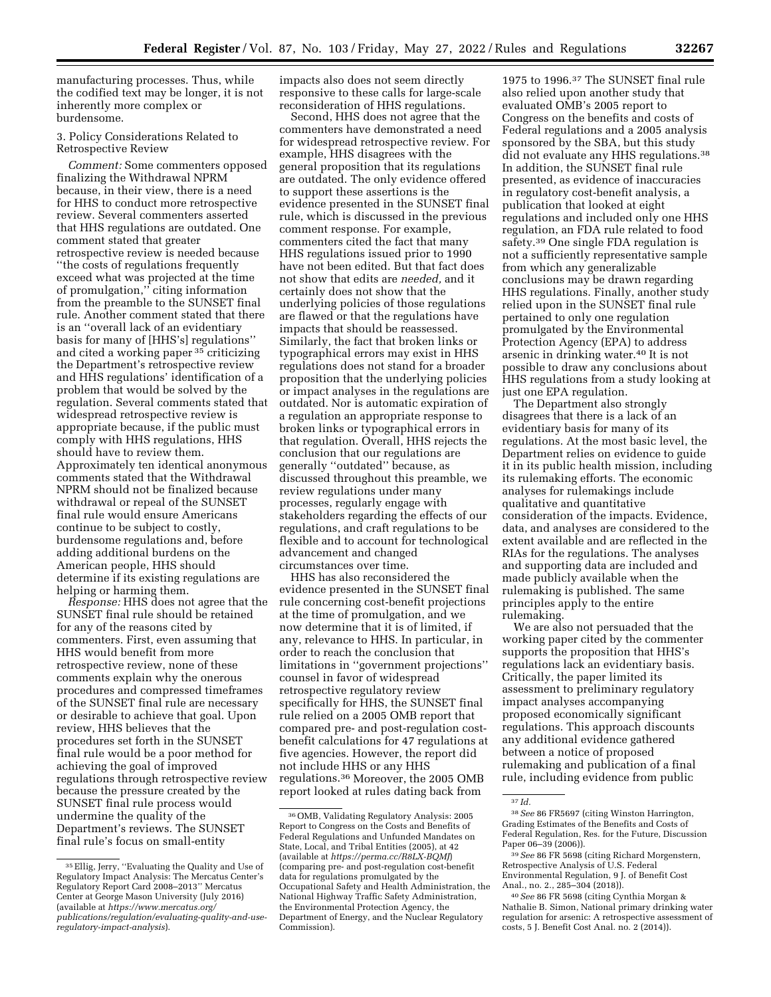manufacturing processes. Thus, while the codified text may be longer, it is not inherently more complex or burdensome.

## 3. Policy Considerations Related to Retrospective Review

*Comment:* Some commenters opposed finalizing the Withdrawal NPRM because, in their view, there is a need for HHS to conduct more retrospective review. Several commenters asserted that HHS regulations are outdated. One comment stated that greater retrospective review is needed because ''the costs of regulations frequently exceed what was projected at the time of promulgation,'' citing information from the preamble to the SUNSET final rule. Another comment stated that there is an ''overall lack of an evidentiary basis for many of [HHS's] regulations'' and cited a working paper 35 criticizing the Department's retrospective review and HHS regulations' identification of a problem that would be solved by the regulation. Several comments stated that widespread retrospective review is appropriate because, if the public must comply with HHS regulations, HHS should have to review them. Approximately ten identical anonymous comments stated that the Withdrawal NPRM should not be finalized because withdrawal or repeal of the SUNSET final rule would ensure Americans continue to be subject to costly, burdensome regulations and, before adding additional burdens on the American people, HHS should determine if its existing regulations are helping or harming them.

*Response:* HHS does not agree that the SUNSET final rule should be retained for any of the reasons cited by commenters. First, even assuming that HHS would benefit from more retrospective review, none of these comments explain why the onerous procedures and compressed timeframes of the SUNSET final rule are necessary or desirable to achieve that goal. Upon review, HHS believes that the procedures set forth in the SUNSET final rule would be a poor method for achieving the goal of improved regulations through retrospective review because the pressure created by the SUNSET final rule process would undermine the quality of the Department's reviews. The SUNSET final rule's focus on small-entity

impacts also does not seem directly responsive to these calls for large-scale reconsideration of HHS regulations.

Second, HHS does not agree that the commenters have demonstrated a need for widespread retrospective review. For example, HHS disagrees with the general proposition that its regulations are outdated. The only evidence offered to support these assertions is the evidence presented in the SUNSET final rule, which is discussed in the previous comment response. For example, commenters cited the fact that many HHS regulations issued prior to 1990 have not been edited. But that fact does not show that edits are *needed,* and it certainly does not show that the underlying policies of those regulations are flawed or that the regulations have impacts that should be reassessed. Similarly, the fact that broken links or typographical errors may exist in HHS regulations does not stand for a broader proposition that the underlying policies or impact analyses in the regulations are outdated. Nor is automatic expiration of a regulation an appropriate response to broken links or typographical errors in that regulation. Overall, HHS rejects the conclusion that our regulations are generally ''outdated'' because, as discussed throughout this preamble, we review regulations under many processes, regularly engage with stakeholders regarding the effects of our regulations, and craft regulations to be flexible and to account for technological advancement and changed circumstances over time.

HHS has also reconsidered the evidence presented in the SUNSET final rule concerning cost-benefit projections at the time of promulgation, and we now determine that it is of limited, if any, relevance to HHS. In particular, in order to reach the conclusion that limitations in ''government projections'' counsel in favor of widespread retrospective regulatory review specifically for HHS, the SUNSET final rule relied on a 2005 OMB report that compared pre- and post-regulation costbenefit calculations for 47 regulations at five agencies. However, the report did not include HHS or any HHS regulations.36 Moreover, the 2005 OMB report looked at rules dating back from

1975 to 1996.37 The SUNSET final rule also relied upon another study that evaluated OMB's 2005 report to Congress on the benefits and costs of Federal regulations and a 2005 analysis sponsored by the SBA, but this study did not evaluate any HHS regulations.38 In addition, the SUNSET final rule presented, as evidence of inaccuracies in regulatory cost-benefit analysis, a publication that looked at eight regulations and included only one HHS regulation, an FDA rule related to food safety.39 One single FDA regulation is not a sufficiently representative sample from which any generalizable conclusions may be drawn regarding HHS regulations. Finally, another study relied upon in the SUNSET final rule pertained to only one regulation promulgated by the Environmental Protection Agency (EPA) to address arsenic in drinking water.40 It is not possible to draw any conclusions about HHS regulations from a study looking at just one EPA regulation.

The Department also strongly disagrees that there is a lack of an evidentiary basis for many of its regulations. At the most basic level, the Department relies on evidence to guide it in its public health mission, including its rulemaking efforts. The economic analyses for rulemakings include qualitative and quantitative consideration of the impacts. Evidence, data, and analyses are considered to the extent available and are reflected in the RIAs for the regulations. The analyses and supporting data are included and made publicly available when the rulemaking is published. The same principles apply to the entire rulemaking.

We are also not persuaded that the working paper cited by the commenter supports the proposition that HHS's regulations lack an evidentiary basis. Critically, the paper limited its assessment to preliminary regulatory impact analyses accompanying proposed economically significant regulations. This approach discounts any additional evidence gathered between a notice of proposed rulemaking and publication of a final rule, including evidence from public

<sup>35</sup>Ellig, Jerry, ''Evaluating the Quality and Use of Regulatory Impact Analysis: The Mercatus Center's Regulatory Report Card 2008–2013'' Mercatus Center at George Mason University (July 2016) (available at *[https://www.mercatus.org/](https://www.mercatus.org/publications/regulation/evaluating-quality-and-use-regulatory-impact-analysis)  [publications/regulation/evaluating-quality-and-use](https://www.mercatus.org/publications/regulation/evaluating-quality-and-use-regulatory-impact-analysis)[regulatory-impact-analysis](https://www.mercatus.org/publications/regulation/evaluating-quality-and-use-regulatory-impact-analysis)*).

<sup>36</sup>OMB, Validating Regulatory Analysis: 2005 Report to Congress on the Costs and Benefits of Federal Regulations and Unfunded Mandates on State, Local, and Tribal Entities (2005), at 42 (available at *<https://perma.cc/R8LX-BQMJ>*) (comparing pre- and post-regulation cost-benefit data for regulations promulgated by the Occupational Safety and Health Administration, the National Highway Traffic Safety Administration, the Environmental Protection Agency, the Department of Energy, and the Nuclear Regulatory Commission).

<sup>37</sup> *Id.* 

<sup>38</sup>*See* 86 FR5697 (citing Winston Harrington, Grading Estimates of the Benefits and Costs of Federal Regulation, Res. for the Future, Discussion Paper 06–39 (2006)).

<sup>39</sup>*See* 86 FR 5698 (citing Richard Morgenstern, Retrospective Analysis of U.S. Federal Environmental Regulation, 9 J. of Benefit Cost Anal., no. 2., 285–304 (2018)).

<sup>40</sup>*See* 86 FR 5698 (citing Cynthia Morgan & Nathalie B. Simon, National primary drinking water regulation for arsenic: A retrospective assessment of costs, 5 J. Benefit Cost Anal. no. 2 (2014)).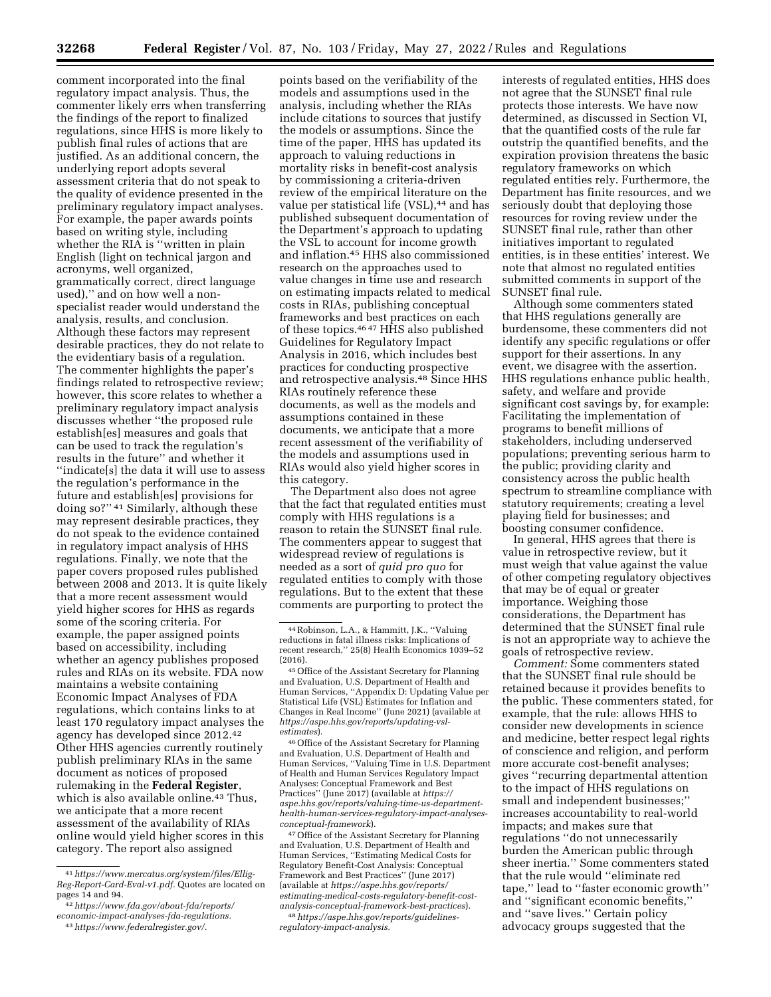comment incorporated into the final regulatory impact analysis. Thus, the commenter likely errs when transferring the findings of the report to finalized regulations, since HHS is more likely to publish final rules of actions that are justified. As an additional concern, the underlying report adopts several assessment criteria that do not speak to the quality of evidence presented in the preliminary regulatory impact analyses. For example, the paper awards points based on writing style, including whether the RIA is ''written in plain English (light on technical jargon and acronyms, well organized, grammatically correct, direct language used),'' and on how well a nonspecialist reader would understand the analysis, results, and conclusion. Although these factors may represent desirable practices, they do not relate to the evidentiary basis of a regulation. The commenter highlights the paper's findings related to retrospective review; however, this score relates to whether a preliminary regulatory impact analysis discusses whether ''the proposed rule establish[es] measures and goals that can be used to track the regulation's results in the future'' and whether it ''indicate[s] the data it will use to assess the regulation's performance in the future and establish[es] provisions for doing so?'' 41 Similarly, although these may represent desirable practices, they do not speak to the evidence contained in regulatory impact analysis of HHS regulations. Finally, we note that the paper covers proposed rules published between 2008 and 2013. It is quite likely that a more recent assessment would yield higher scores for HHS as regards some of the scoring criteria. For example, the paper assigned points based on accessibility, including whether an agency publishes proposed rules and RIAs on its website. FDA now maintains a website containing Economic Impact Analyses of FDA regulations, which contains links to at least 170 regulatory impact analyses the agency has developed since 2012.42 Other HHS agencies currently routinely publish preliminary RIAs in the same document as notices of proposed rulemaking in the **Federal Register**, which is also available online.<sup>43</sup> Thus, we anticipate that a more recent assessment of the availability of RIAs online would yield higher scores in this category. The report also assigned

41*[https://www.mercatus.org/system/files/Ellig-](https://www.mercatus.org/system/files/Ellig-Reg-Report-Card-Eval-v1.pdf)[Reg-Report-Card-Eval-v1.pdf.](https://www.mercatus.org/system/files/Ellig-Reg-Report-Card-Eval-v1.pdf)* Quotes are located on pages 14 and 94.

points based on the verifiability of the models and assumptions used in the analysis, including whether the RIAs include citations to sources that justify the models or assumptions. Since the time of the paper, HHS has updated its approach to valuing reductions in mortality risks in benefit-cost analysis by commissioning a criteria-driven review of the empirical literature on the value per statistical life (VSL),<sup>44</sup> and has published subsequent documentation of the Department's approach to updating the VSL to account for income growth and inflation.45 HHS also commissioned research on the approaches used to value changes in time use and research on estimating impacts related to medical costs in RIAs, publishing conceptual frameworks and best practices on each of these topics.<sup>4647</sup> HHS also published Guidelines for Regulatory Impact Analysis in 2016, which includes best practices for conducting prospective and retrospective analysis.48 Since HHS RIAs routinely reference these documents, as well as the models and assumptions contained in these documents, we anticipate that a more recent assessment of the verifiability of the models and assumptions used in RIAs would also yield higher scores in this category.

The Department also does not agree that the fact that regulated entities must comply with HHS regulations is a reason to retain the SUNSET final rule. The commenters appear to suggest that widespread review of regulations is needed as a sort of *quid pro quo* for regulated entities to comply with those regulations. But to the extent that these comments are purporting to protect the

46Office of the Assistant Secretary for Planning and Evaluation, U.S. Department of Health and Human Services, ''Valuing Time in U.S. Department of Health and Human Services Regulatory Impact Analyses: Conceptual Framework and Best Practices'' (June 2017) (available at *[https://](https://aspe.hhs.gov/reports/valuing-time-us-department-health-human-services-regulatory-impact-analyses-conceptual-framework) [aspe.hhs.gov/reports/valuing-time-us-department](https://aspe.hhs.gov/reports/valuing-time-us-department-health-human-services-regulatory-impact-analyses-conceptual-framework)[health-human-services-regulatory-impact-analyses](https://aspe.hhs.gov/reports/valuing-time-us-department-health-human-services-regulatory-impact-analyses-conceptual-framework)[conceptual-framework](https://aspe.hhs.gov/reports/valuing-time-us-department-health-human-services-regulatory-impact-analyses-conceptual-framework)*).

47Office of the Assistant Secretary for Planning and Evaluation, U.S. Department of Health and Human Services, ''Estimating Medical Costs for Regulatory Benefit-Cost Analysis: Conceptual Framework and Best Practices'' (June 2017) (available at *[https://aspe.hhs.gov/reports/](https://aspe.hhs.gov/reports/estimating-medical-costs-regulatory-benefit-cost-analysis-conceptual-framework-best-practices)  [estimating-medical-costs-regulatory-benefit-cost](https://aspe.hhs.gov/reports/estimating-medical-costs-regulatory-benefit-cost-analysis-conceptual-framework-best-practices)[analysis-conceptual-framework-best-practices](https://aspe.hhs.gov/reports/estimating-medical-costs-regulatory-benefit-cost-analysis-conceptual-framework-best-practices)*). 48*[https://aspe.hhs.gov/reports/guidelines-](https://aspe.hhs.gov/reports/guidelines-regulatory-impact-analysis)*

*[regulatory-impact-analysis.](https://aspe.hhs.gov/reports/guidelines-regulatory-impact-analysis)* 

interests of regulated entities, HHS does not agree that the SUNSET final rule protects those interests. We have now determined, as discussed in Section VI, that the quantified costs of the rule far outstrip the quantified benefits, and the expiration provision threatens the basic regulatory frameworks on which regulated entities rely. Furthermore, the Department has finite resources, and we seriously doubt that deploying those resources for roving review under the SUNSET final rule, rather than other initiatives important to regulated entities, is in these entities' interest. We note that almost no regulated entities submitted comments in support of the SUNSET final rule.

Although some commenters stated that HHS regulations generally are burdensome, these commenters did not identify any specific regulations or offer support for their assertions. In any event, we disagree with the assertion. HHS regulations enhance public health, safety, and welfare and provide significant cost savings by, for example: Facilitating the implementation of programs to benefit millions of stakeholders, including underserved populations; preventing serious harm to the public; providing clarity and consistency across the public health spectrum to streamline compliance with statutory requirements; creating a level playing field for businesses; and boosting consumer confidence.

In general, HHS agrees that there is value in retrospective review, but it must weigh that value against the value of other competing regulatory objectives that may be of equal or greater importance. Weighing those considerations, the Department has determined that the SUNSET final rule is not an appropriate way to achieve the goals of retrospective review.

*Comment:* Some commenters stated that the SUNSET final rule should be retained because it provides benefits to the public. These commenters stated, for example, that the rule: allows HHS to consider new developments in science and medicine, better respect legal rights of conscience and religion, and perform more accurate cost-benefit analyses; gives ''recurring departmental attention to the impact of HHS regulations on small and independent businesses;'' increases accountability to real-world impacts; and makes sure that regulations ''do not unnecessarily burden the American public through sheer inertia.'' Some commenters stated that the rule would ''eliminate red tape,'' lead to ''faster economic growth'' and ''significant economic benefits,'' and ''save lives.'' Certain policy advocacy groups suggested that the

<sup>42</sup>*[https://www.fda.gov/about-fda/reports/](https://www.fda.gov/about-fda/reports/economic-impact-analyses-fda-regulations) [economic-impact-analyses-fda-regulations.](https://www.fda.gov/about-fda/reports/economic-impact-analyses-fda-regulations)*  43*[https://www.federalregister.gov/.](https://www.federalregister.gov/)* 

<sup>44</sup>Robinson, L.A., & Hammitt, J.K., ''Valuing reductions in fatal illness risks: Implications of recent research,'' 25(8) Health Economics 1039–52 (2016).

<sup>45</sup>Office of the Assistant Secretary for Planning and Evaluation, U.S. Department of Health and Human Services, ''Appendix D: Updating Value per Statistical Life (VSL) Estimates for Inflation and Changes in Real Income'' (June 2021) (available at *[https://aspe.hhs.gov/reports/updating-vsl](https://aspe.hhs.gov/reports/updating-vsl-estimates)[estimates](https://aspe.hhs.gov/reports/updating-vsl-estimates)*).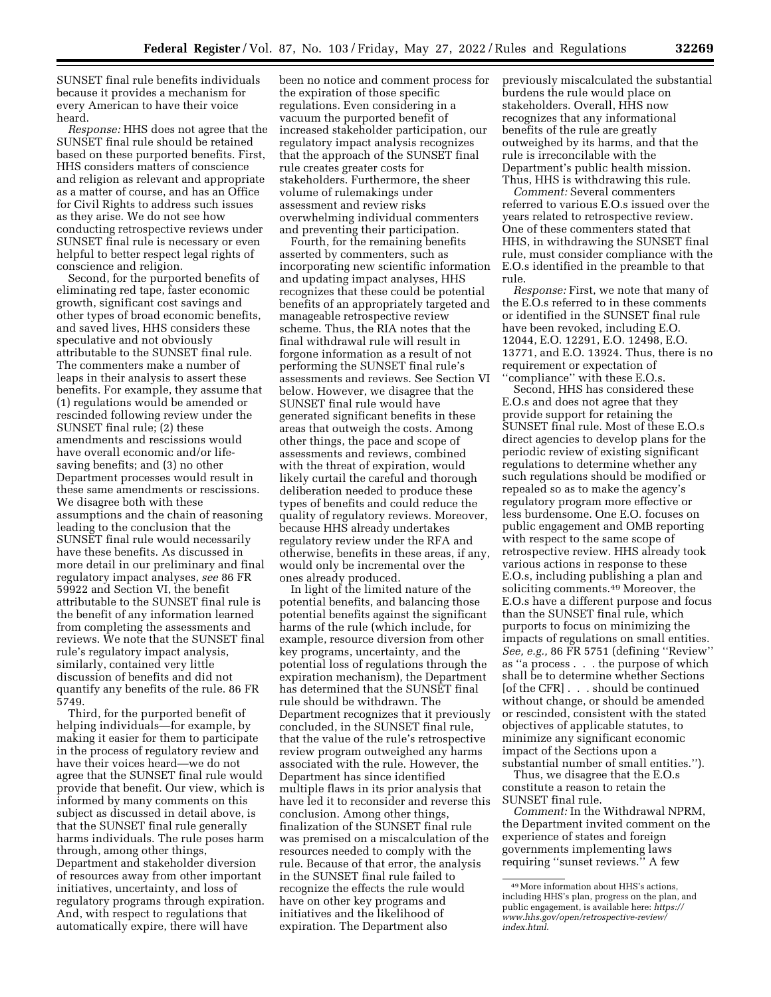SUNSET final rule benefits individuals because it provides a mechanism for every American to have their voice heard.

*Response:* HHS does not agree that the SUNSET final rule should be retained based on these purported benefits. First, HHS considers matters of conscience and religion as relevant and appropriate as a matter of course, and has an Office for Civil Rights to address such issues as they arise. We do not see how conducting retrospective reviews under SUNSET final rule is necessary or even helpful to better respect legal rights of conscience and religion.

Second, for the purported benefits of eliminating red tape, faster economic growth, significant cost savings and other types of broad economic benefits, and saved lives, HHS considers these speculative and not obviously attributable to the SUNSET final rule. The commenters make a number of leaps in their analysis to assert these benefits. For example, they assume that (1) regulations would be amended or rescinded following review under the SUNSET final rule; (2) these amendments and rescissions would have overall economic and/or lifesaving benefits; and (3) no other Department processes would result in these same amendments or rescissions. We disagree both with these assumptions and the chain of reasoning leading to the conclusion that the SUNSET final rule would necessarily have these benefits. As discussed in more detail in our preliminary and final regulatory impact analyses, *see* 86 FR 59922 and Section VI, the benefit attributable to the SUNSET final rule is the benefit of any information learned from completing the assessments and reviews. We note that the SUNSET final rule's regulatory impact analysis, similarly, contained very little discussion of benefits and did not quantify any benefits of the rule. 86 FR 5749.

Third, for the purported benefit of helping individuals—for example, by making it easier for them to participate in the process of regulatory review and have their voices heard—we do not agree that the SUNSET final rule would provide that benefit. Our view, which is informed by many comments on this subject as discussed in detail above, is that the SUNSET final rule generally harms individuals. The rule poses harm through, among other things, Department and stakeholder diversion of resources away from other important initiatives, uncertainty, and loss of regulatory programs through expiration. And, with respect to regulations that automatically expire, there will have

been no notice and comment process for the expiration of those specific regulations. Even considering in a vacuum the purported benefit of increased stakeholder participation, our regulatory impact analysis recognizes that the approach of the SUNSET final rule creates greater costs for stakeholders. Furthermore, the sheer volume of rulemakings under assessment and review risks overwhelming individual commenters and preventing their participation.

Fourth, for the remaining benefits asserted by commenters, such as incorporating new scientific information and updating impact analyses, HHS recognizes that these could be potential benefits of an appropriately targeted and manageable retrospective review scheme. Thus, the RIA notes that the final withdrawal rule will result in forgone information as a result of not performing the SUNSET final rule's assessments and reviews. See Section VI below. However, we disagree that the SUNSET final rule would have generated significant benefits in these areas that outweigh the costs. Among other things, the pace and scope of assessments and reviews, combined with the threat of expiration, would likely curtail the careful and thorough deliberation needed to produce these types of benefits and could reduce the quality of regulatory reviews. Moreover, because HHS already undertakes regulatory review under the RFA and otherwise, benefits in these areas, if any, would only be incremental over the ones already produced.

In light of the limited nature of the potential benefits, and balancing those potential benefits against the significant harms of the rule (which include, for example, resource diversion from other key programs, uncertainty, and the potential loss of regulations through the expiration mechanism), the Department has determined that the SUNSET final rule should be withdrawn. The Department recognizes that it previously concluded, in the SUNSET final rule, that the value of the rule's retrospective review program outweighed any harms associated with the rule. However, the Department has since identified multiple flaws in its prior analysis that have led it to reconsider and reverse this conclusion. Among other things, finalization of the SUNSET final rule was premised on a miscalculation of the resources needed to comply with the rule. Because of that error, the analysis in the SUNSET final rule failed to recognize the effects the rule would have on other key programs and initiatives and the likelihood of expiration. The Department also

previously miscalculated the substantial burdens the rule would place on stakeholders. Overall, HHS now recognizes that any informational benefits of the rule are greatly outweighed by its harms, and that the rule is irreconcilable with the Department's public health mission. Thus, HHS is withdrawing this rule.

*Comment:* Several commenters referred to various E.O.s issued over the years related to retrospective review. One of these commenters stated that HHS, in withdrawing the SUNSET final rule, must consider compliance with the E.O.s identified in the preamble to that rule.

*Response:* First, we note that many of the E.O.s referred to in these comments or identified in the SUNSET final rule have been revoked, including E.O. 12044, E.O. 12291, E.O. 12498, E.O. 13771, and E.O. 13924. Thus, there is no requirement or expectation of ''compliance'' with these E.O.s.

Second, HHS has considered these E.O.s and does not agree that they provide support for retaining the SUNSET final rule. Most of these E.O.s direct agencies to develop plans for the periodic review of existing significant regulations to determine whether any such regulations should be modified or repealed so as to make the agency's regulatory program more effective or less burdensome. One E.O. focuses on public engagement and OMB reporting with respect to the same scope of retrospective review. HHS already took various actions in response to these E.O.s, including publishing a plan and soliciting comments.49 Moreover, the E.O.s have a different purpose and focus than the SUNSET final rule, which purports to focus on minimizing the impacts of regulations on small entities. *See, e.g.,* 86 FR 5751 (defining ''Review'' as ''a process . . . the purpose of which shall be to determine whether Sections [of the CFR] . . . should be continued without change, or should be amended or rescinded, consistent with the stated objectives of applicable statutes, to minimize any significant economic impact of the Sections upon a substantial number of small entities.'').

Thus, we disagree that the E.O.s constitute a reason to retain the SUNSET final rule.

*Comment:* In the Withdrawal NPRM, the Department invited comment on the experience of states and foreign governments implementing laws requiring ''sunset reviews.'' A few

<sup>49</sup>More information about HHS's actions, including HHS's plan, progress on the plan, and public engagement, is available here: *[https://](https://www.hhs.gov/open/retrospective-review/index.html) [www.hhs.gov/open/retrospective-review/](https://www.hhs.gov/open/retrospective-review/index.html) [index.html.](https://www.hhs.gov/open/retrospective-review/index.html)*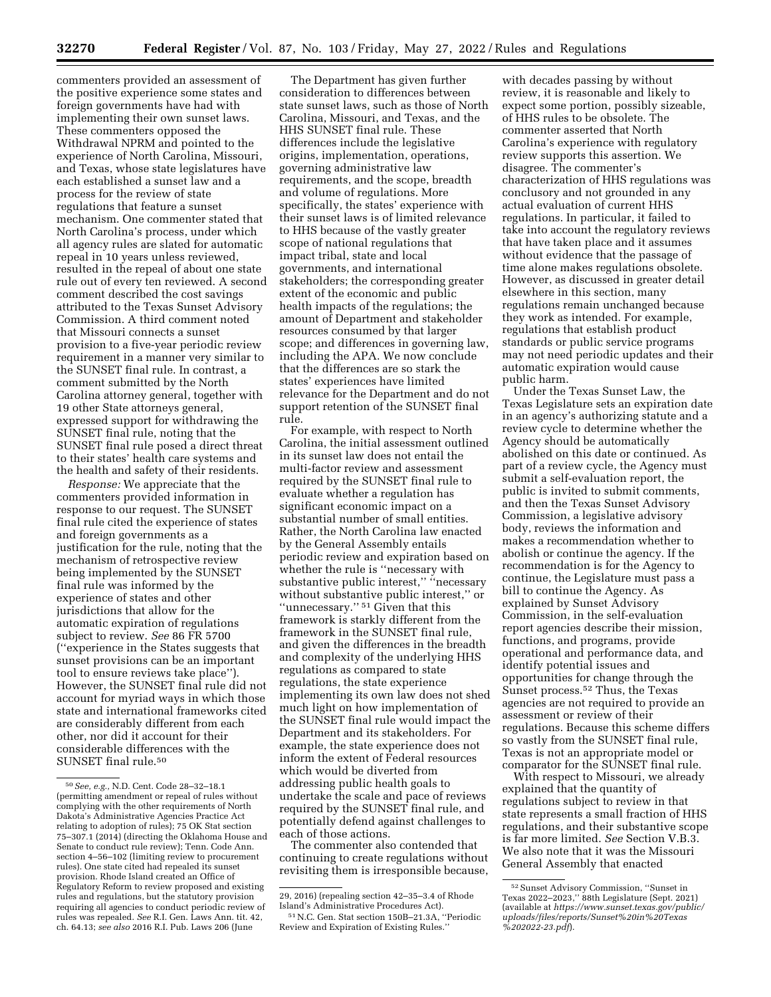commenters provided an assessment of the positive experience some states and foreign governments have had with implementing their own sunset laws. These commenters opposed the Withdrawal NPRM and pointed to the experience of North Carolina, Missouri, and Texas, whose state legislatures have each established a sunset law and a process for the review of state regulations that feature a sunset mechanism. One commenter stated that North Carolina's process, under which all agency rules are slated for automatic repeal in 10 years unless reviewed, resulted in the repeal of about one state rule out of every ten reviewed. A second comment described the cost savings attributed to the Texas Sunset Advisory Commission. A third comment noted that Missouri connects a sunset provision to a five-year periodic review requirement in a manner very similar to the SUNSET final rule. In contrast, a comment submitted by the North Carolina attorney general, together with 19 other State attorneys general, expressed support for withdrawing the SUNSET final rule, noting that the SUNSET final rule posed a direct threat to their states' health care systems and the health and safety of their residents.

*Response:* We appreciate that the commenters provided information in response to our request. The SUNSET final rule cited the experience of states and foreign governments as a justification for the rule, noting that the mechanism of retrospective review being implemented by the SUNSET final rule was informed by the experience of states and other jurisdictions that allow for the automatic expiration of regulations subject to review. *See* 86 FR 5700 (''experience in the States suggests that sunset provisions can be an important tool to ensure reviews take place''). However, the SUNSET final rule did not account for myriad ways in which those state and international frameworks cited are considerably different from each other, nor did it account for their considerable differences with the SUNSET final rule.50

The Department has given further consideration to differences between state sunset laws, such as those of North Carolina, Missouri, and Texas, and the HHS SUNSET final rule. These differences include the legislative origins, implementation, operations, governing administrative law requirements, and the scope, breadth and volume of regulations. More specifically, the states' experience with their sunset laws is of limited relevance to HHS because of the vastly greater scope of national regulations that impact tribal, state and local governments, and international stakeholders; the corresponding greater extent of the economic and public health impacts of the regulations; the amount of Department and stakeholder resources consumed by that larger scope; and differences in governing law, including the APA. We now conclude that the differences are so stark the states' experiences have limited relevance for the Department and do not support retention of the SUNSET final rule.

For example, with respect to North Carolina, the initial assessment outlined in its sunset law does not entail the multi-factor review and assessment required by the SUNSET final rule to evaluate whether a regulation has significant economic impact on a substantial number of small entities. Rather, the North Carolina law enacted by the General Assembly entails periodic review and expiration based on whether the rule is ''necessary with substantive public interest," "necessary without substantive public interest,'' or ''unnecessary.'' 51 Given that this framework is starkly different from the framework in the SUNSET final rule, and given the differences in the breadth and complexity of the underlying HHS regulations as compared to state regulations, the state experience implementing its own law does not shed much light on how implementation of the SUNSET final rule would impact the Department and its stakeholders. For example, the state experience does not inform the extent of Federal resources which would be diverted from addressing public health goals to undertake the scale and pace of reviews required by the SUNSET final rule, and potentially defend against challenges to each of those actions.

The commenter also contended that continuing to create regulations without revisiting them is irresponsible because,

with decades passing by without review, it is reasonable and likely to expect some portion, possibly sizeable, of HHS rules to be obsolete. The commenter asserted that North Carolina's experience with regulatory review supports this assertion. We disagree. The commenter's characterization of HHS regulations was conclusory and not grounded in any actual evaluation of current HHS regulations. In particular, it failed to take into account the regulatory reviews that have taken place and it assumes without evidence that the passage of time alone makes regulations obsolete. However, as discussed in greater detail elsewhere in this section, many regulations remain unchanged because they work as intended. For example, regulations that establish product standards or public service programs may not need periodic updates and their automatic expiration would cause public harm.

Under the Texas Sunset Law, the Texas Legislature sets an expiration date in an agency's authorizing statute and a review cycle to determine whether the Agency should be automatically abolished on this date or continued. As part of a review cycle, the Agency must submit a self-evaluation report, the public is invited to submit comments, and then the Texas Sunset Advisory Commission, a legislative advisory body, reviews the information and makes a recommendation whether to abolish or continue the agency. If the recommendation is for the Agency to continue, the Legislature must pass a bill to continue the Agency. As explained by Sunset Advisory Commission, in the self-evaluation report agencies describe their mission, functions, and programs, provide operational and performance data, and identify potential issues and opportunities for change through the Sunset process.52 Thus, the Texas agencies are not required to provide an assessment or review of their regulations. Because this scheme differs so vastly from the SUNSET final rule, Texas is not an appropriate model or comparator for the SUNSET final rule.

With respect to Missouri, we already explained that the quantity of regulations subject to review in that state represents a small fraction of HHS regulations, and their substantive scope is far more limited. *See* Section V.B.3. We also note that it was the Missouri General Assembly that enacted

<sup>50</sup>*See, e.g.,* N.D. Cent. Code 28–32–18.1 (permitting amendment or repeal of rules without complying with the other requirements of North Dakota's Administrative Agencies Practice Act relating to adoption of rules); 75 OK Stat section 75–307.1 (2014) (directing the Oklahoma House and Senate to conduct rule review); Tenn. Code Ann. section 4–56–102 (limiting review to procurement rules). One state cited had repealed its sunset provision. Rhode Island created an Office of Regulatory Reform to review proposed and existing rules and regulations, but the statutory provision requiring all agencies to conduct periodic review of rules was repealed. *See* R.I. Gen. Laws Ann. tit. 42, ch. 64.13; *see also* 2016 R.I. Pub. Laws 206 (June

<sup>29, 2016) (</sup>repealing section 42–35–3.4 of Rhode Island's Administrative Procedures Act).

<sup>51</sup>N.C. Gen. Stat section 150B–21.3A, ''Periodic Review and Expiration of Existing Rules.''

<sup>52</sup>Sunset Advisory Commission, ''Sunset in Texas 2022–2023,'' 88th Legislature (Sept. 2021) (available at *[https://www.sunset.texas.gov/public/](https://www.sunset.texas.gov/public/uploads/files/reports/Sunset%20in%20Texas%202022-23.pdf) [uploads/files/reports/Sunset%20in%20Texas](https://www.sunset.texas.gov/public/uploads/files/reports/Sunset%20in%20Texas%202022-23.pdf) [%202022-23.pdf](https://www.sunset.texas.gov/public/uploads/files/reports/Sunset%20in%20Texas%202022-23.pdf)*).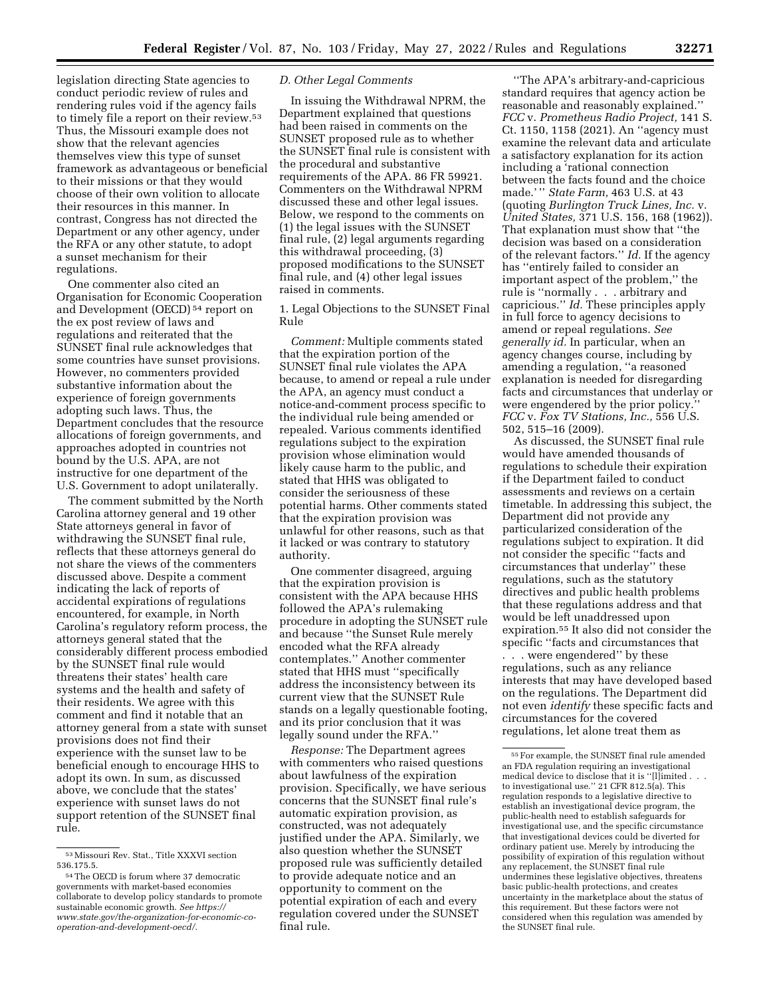legislation directing State agencies to conduct periodic review of rules and rendering rules void if the agency fails to timely file a report on their review.<sup>53</sup> Thus, the Missouri example does not show that the relevant agencies themselves view this type of sunset framework as advantageous or beneficial to their missions or that they would choose of their own volition to allocate their resources in this manner. In contrast, Congress has not directed the Department or any other agency, under the RFA or any other statute, to adopt a sunset mechanism for their regulations.

One commenter also cited an Organisation for Economic Cooperation and Development (OECD) 54 report on the ex post review of laws and regulations and reiterated that the SUNSET final rule acknowledges that some countries have sunset provisions. However, no commenters provided substantive information about the experience of foreign governments adopting such laws. Thus, the Department concludes that the resource allocations of foreign governments, and approaches adopted in countries not bound by the U.S. APA, are not instructive for one department of the U.S. Government to adopt unilaterally.

The comment submitted by the North Carolina attorney general and 19 other State attorneys general in favor of withdrawing the SUNSET final rule, reflects that these attorneys general do not share the views of the commenters discussed above. Despite a comment indicating the lack of reports of accidental expirations of regulations encountered, for example, in North Carolina's regulatory reform process, the attorneys general stated that the considerably different process embodied by the SUNSET final rule would threatens their states' health care systems and the health and safety of their residents. We agree with this comment and find it notable that an attorney general from a state with sunset provisions does not find their experience with the sunset law to be beneficial enough to encourage HHS to adopt its own. In sum, as discussed above, we conclude that the states' experience with sunset laws do not support retention of the SUNSET final rule.

## *D. Other Legal Comments*

In issuing the Withdrawal NPRM, the Department explained that questions had been raised in comments on the SUNSET proposed rule as to whether the SUNSET final rule is consistent with the procedural and substantive requirements of the APA. 86 FR 59921. Commenters on the Withdrawal NPRM discussed these and other legal issues. Below, we respond to the comments on (1) the legal issues with the SUNSET final rule, (2) legal arguments regarding this withdrawal proceeding, (3) proposed modifications to the SUNSET final rule, and (4) other legal issues raised in comments.

1. Legal Objections to the SUNSET Final Rule

*Comment:* Multiple comments stated that the expiration portion of the SUNSET final rule violates the APA because, to amend or repeal a rule under the APA, an agency must conduct a notice-and-comment process specific to the individual rule being amended or repealed. Various comments identified regulations subject to the expiration provision whose elimination would likely cause harm to the public, and stated that HHS was obligated to consider the seriousness of these potential harms. Other comments stated that the expiration provision was unlawful for other reasons, such as that it lacked or was contrary to statutory authority.

One commenter disagreed, arguing that the expiration provision is consistent with the APA because HHS followed the APA's rulemaking procedure in adopting the SUNSET rule and because ''the Sunset Rule merely encoded what the RFA already contemplates.'' Another commenter stated that HHS must ''specifically address the inconsistency between its current view that the SUNSET Rule stands on a legally questionable footing, and its prior conclusion that it was legally sound under the RFA.''

*Response:* The Department agrees with commenters who raised questions about lawfulness of the expiration provision. Specifically, we have serious concerns that the SUNSET final rule's automatic expiration provision, as constructed, was not adequately justified under the APA. Similarly, we also question whether the SUNSET proposed rule was sufficiently detailed to provide adequate notice and an opportunity to comment on the potential expiration of each and every regulation covered under the SUNSET final rule.

''The APA's arbitrary-and-capricious standard requires that agency action be reasonable and reasonably explained.'' *FCC* v. *Prometheus Radio Project,* 141 S. Ct. 1150, 1158 (2021). An ''agency must examine the relevant data and articulate a satisfactory explanation for its action including a 'rational connection between the facts found and the choice made.' '' *State Farm,* 463 U.S. at 43 (quoting *Burlington Truck Lines, Inc.* v. *United States,* 371 U.S. 156, 168 (1962)). That explanation must show that ''the decision was based on a consideration of the relevant factors.'' *Id.* If the agency has ''entirely failed to consider an important aspect of the problem,'' the rule is ''normally . . . arbitrary and capricious.'' *Id.* These principles apply in full force to agency decisions to amend or repeal regulations. *See generally id.* In particular, when an agency changes course, including by amending a regulation, ''a reasoned explanation is needed for disregarding facts and circumstances that underlay or were engendered by the prior policy.'' *FCC* v. *Fox TV Stations, Inc.,* 556 U.S. 502, 515–16 (2009).

As discussed, the SUNSET final rule would have amended thousands of regulations to schedule their expiration if the Department failed to conduct assessments and reviews on a certain timetable. In addressing this subject, the Department did not provide any particularized consideration of the regulations subject to expiration. It did not consider the specific ''facts and circumstances that underlay'' these regulations, such as the statutory directives and public health problems that these regulations address and that would be left unaddressed upon expiration.55 It also did not consider the specific ''facts and circumstances that . . . were engendered'' by these regulations, such as any reliance interests that may have developed based on the regulations. The Department did not even *identify* these specific facts and circumstances for the covered regulations, let alone treat them as

<sup>53</sup>Missouri Rev. Stat., Title XXXVI section 536.175.5.

<sup>54</sup>The OECD is forum where 37 democratic governments with market-based economies collaborate to develop policy standards to promote sustainable economic growth. *See [https://](https://www.state.gov/the-organization-for-economic-co-operation-and-development-oecd/) [www.state.gov/the-organization-for-economic-co](https://www.state.gov/the-organization-for-economic-co-operation-and-development-oecd/)[operation-and-development-oecd/.](https://www.state.gov/the-organization-for-economic-co-operation-and-development-oecd/)* 

<sup>55</sup>For example, the SUNSET final rule amended an FDA regulation requiring an investigational medical device to disclose that it is ''[l]imited . . . to investigational use.'' 21 CFR 812.5(a). This regulation responds to a legislative directive to establish an investigational device program, the public-health need to establish safeguards for investigational use, and the specific circumstance that investigational devices could be diverted for ordinary patient use. Merely by introducing the possibility of expiration of this regulation without any replacement, the SUNSET final rule undermines these legislative objectives, threatens basic public-health protections, and creates uncertainty in the marketplace about the status of this requirement. But these factors were not considered when this regulation was amended by the SUNSET final rule.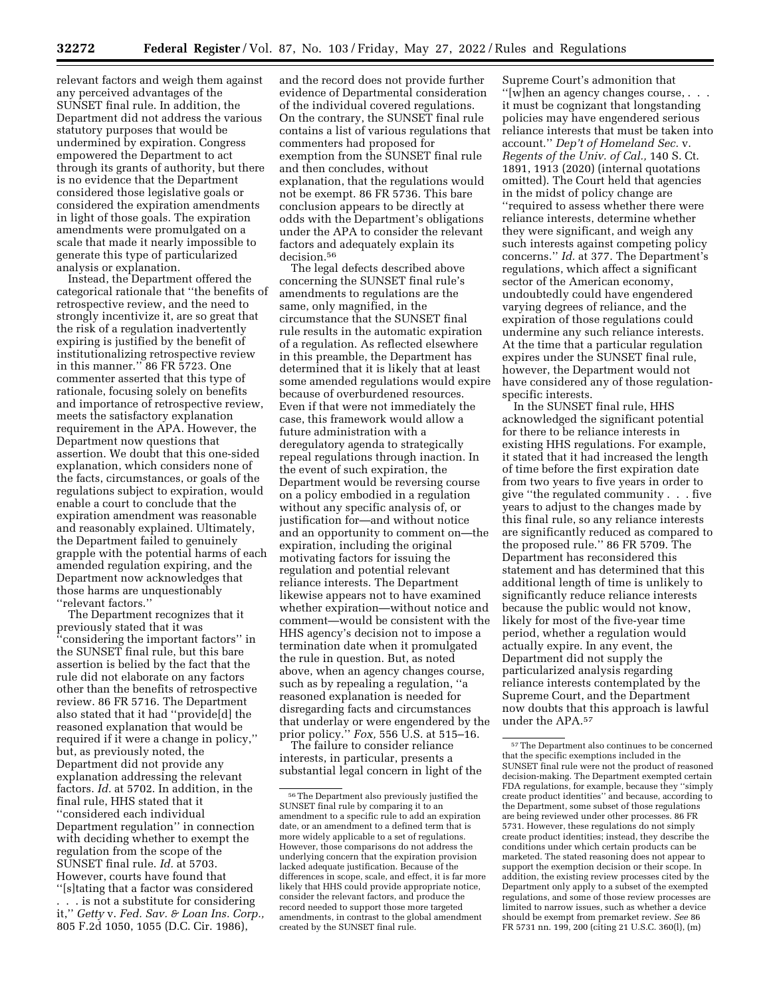relevant factors and weigh them against any perceived advantages of the SUNSET final rule. In addition, the Department did not address the various statutory purposes that would be undermined by expiration. Congress empowered the Department to act through its grants of authority, but there is no evidence that the Department considered those legislative goals or considered the expiration amendments in light of those goals. The expiration amendments were promulgated on a scale that made it nearly impossible to generate this type of particularized analysis or explanation.

Instead, the Department offered the categorical rationale that ''the benefits of retrospective review, and the need to strongly incentivize it, are so great that the risk of a regulation inadvertently expiring is justified by the benefit of institutionalizing retrospective review in this manner.'' 86 FR 5723. One commenter asserted that this type of rationale, focusing solely on benefits and importance of retrospective review, meets the satisfactory explanation requirement in the APA. However, the Department now questions that assertion. We doubt that this one-sided explanation, which considers none of the facts, circumstances, or goals of the regulations subject to expiration, would enable a court to conclude that the expiration amendment was reasonable and reasonably explained. Ultimately, the Department failed to genuinely grapple with the potential harms of each amended regulation expiring, and the Department now acknowledges that those harms are unquestionably ''relevant factors.''

The Department recognizes that it previously stated that it was ''considering the important factors'' in the SUNSET final rule, but this bare assertion is belied by the fact that the rule did not elaborate on any factors other than the benefits of retrospective review. 86 FR 5716. The Department also stated that it had ''provide[d] the reasoned explanation that would be required if it were a change in policy,'' but, as previously noted, the Department did not provide any explanation addressing the relevant factors. *Id.* at 5702. In addition, in the final rule, HHS stated that it ''considered each individual Department regulation'' in connection with deciding whether to exempt the regulation from the scope of the SUNSET final rule. *Id.* at 5703. However, courts have found that ''[s]tating that a factor was considered

. is not a substitute for considering it,'' *Getty* v. *Fed. Sav. & Loan Ins. Corp.,*  805 F.2d 1050, 1055 (D.C. Cir. 1986),

and the record does not provide further evidence of Departmental consideration of the individual covered regulations. On the contrary, the SUNSET final rule contains a list of various regulations that commenters had proposed for exemption from the SUNSET final rule and then concludes, without explanation, that the regulations would not be exempt. 86 FR 5736. This bare conclusion appears to be directly at odds with the Department's obligations under the APA to consider the relevant factors and adequately explain its decision.<sup>56</sup>

The legal defects described above concerning the SUNSET final rule's amendments to regulations are the same, only magnified, in the circumstance that the SUNSET final rule results in the automatic expiration of a regulation. As reflected elsewhere in this preamble, the Department has determined that it is likely that at least some amended regulations would expire because of overburdened resources. Even if that were not immediately the case, this framework would allow a future administration with a deregulatory agenda to strategically repeal regulations through inaction. In the event of such expiration, the Department would be reversing course on a policy embodied in a regulation without any specific analysis of, or justification for—and without notice and an opportunity to comment on—the expiration, including the original motivating factors for issuing the regulation and potential relevant reliance interests. The Department likewise appears not to have examined whether expiration—without notice and comment—would be consistent with the HHS agency's decision not to impose a termination date when it promulgated the rule in question. But, as noted above, when an agency changes course, such as by repealing a regulation, ''a reasoned explanation is needed for disregarding facts and circumstances that underlay or were engendered by the prior policy.'' *Fox,* 556 U.S. at 515–16.

The failure to consider reliance interests, in particular, presents a substantial legal concern in light of the

Supreme Court's admonition that ''[w]hen an agency changes course, . . . it must be cognizant that longstanding policies may have engendered serious reliance interests that must be taken into account.'' *Dep't of Homeland Sec.* v. *Regents of the Univ. of Cal.,* 140 S. Ct. 1891, 1913 (2020) (internal quotations omitted). The Court held that agencies in the midst of policy change are ''required to assess whether there were reliance interests, determine whether they were significant, and weigh any such interests against competing policy concerns.'' *Id.* at 377. The Department's regulations, which affect a significant sector of the American economy, undoubtedly could have engendered varying degrees of reliance, and the expiration of those regulations could undermine any such reliance interests. At the time that a particular regulation expires under the SUNSET final rule, however, the Department would not have considered any of those regulationspecific interests.

In the SUNSET final rule, HHS acknowledged the significant potential for there to be reliance interests in existing HHS regulations. For example, it stated that it had increased the length of time before the first expiration date from two years to five years in order to give ''the regulated community . . . five years to adjust to the changes made by this final rule, so any reliance interests are significantly reduced as compared to the proposed rule.'' 86 FR 5709. The Department has reconsidered this statement and has determined that this additional length of time is unlikely to significantly reduce reliance interests because the public would not know, likely for most of the five-year time period, whether a regulation would actually expire. In any event, the Department did not supply the particularized analysis regarding reliance interests contemplated by the Supreme Court, and the Department now doubts that this approach is lawful under the APA.57

<sup>56</sup>The Department also previously justified the SUNSET final rule by comparing it to an amendment to a specific rule to add an expiration date, or an amendment to a defined term that is more widely applicable to a set of regulations. However, those comparisons do not address the underlying concern that the expiration provision lacked adequate justification. Because of the differences in scope, scale, and effect, it is far more likely that HHS could provide appropriate notice, consider the relevant factors, and produce the record needed to support those more targeted amendments, in contrast to the global amendment created by the SUNSET final rule.

<sup>57</sup>The Department also continues to be concerned that the specific exemptions included in the SUNSET final rule were not the product of reasoned decision-making. The Department exempted certain FDA regulations, for example, because they ''simply create product identities'' and because, according to the Department, some subset of those regulations are being reviewed under other processes. 86 FR 5731. However, these regulations do not simply create product identities; instead, they describe the conditions under which certain products can be marketed. The stated reasoning does not appear to support the exemption decision or their scope. In addition, the existing review processes cited by the Department only apply to a subset of the exempted regulations, and some of those review processes are limited to narrow issues, such as whether a device should be exempt from premarket review. *See* 86 FR 5731 nn. 199, 200 (citing 21 U.S.C. 360(l), (m)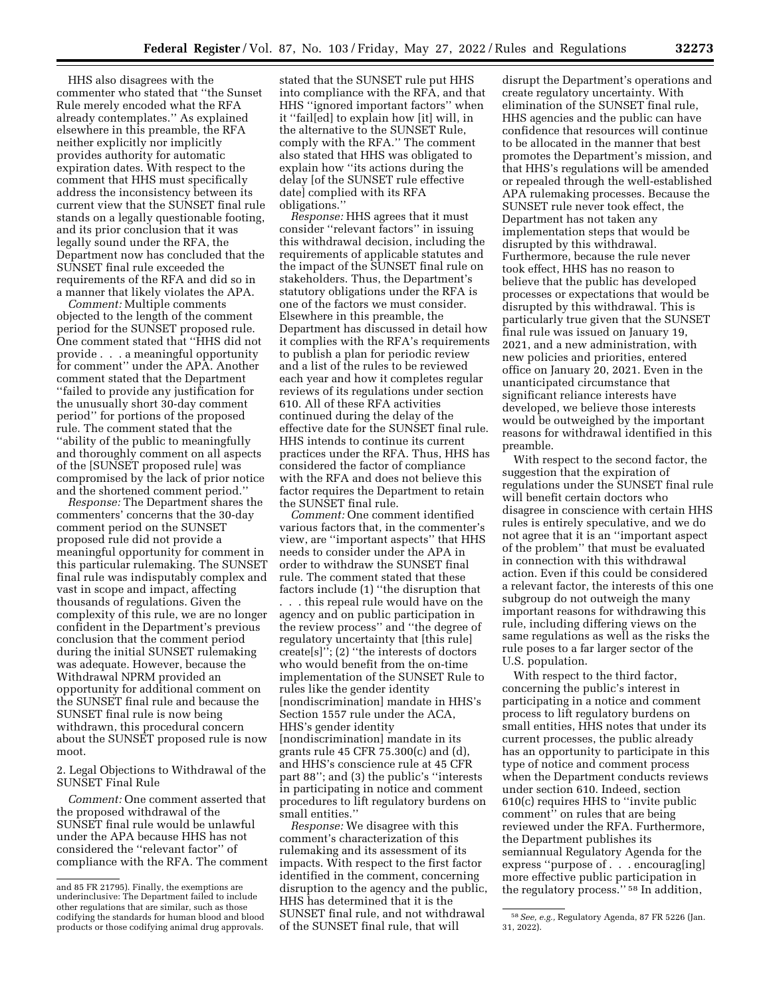HHS also disagrees with the commenter who stated that ''the Sunset Rule merely encoded what the RFA already contemplates.'' As explained elsewhere in this preamble, the RFA neither explicitly nor implicitly provides authority for automatic expiration dates. With respect to the comment that HHS must specifically address the inconsistency between its current view that the SUNSET final rule stands on a legally questionable footing, and its prior conclusion that it was legally sound under the RFA, the Department now has concluded that the SUNSET final rule exceeded the requirements of the RFA and did so in a manner that likely violates the APA.

*Comment:* Multiple comments objected to the length of the comment period for the SUNSET proposed rule. One comment stated that ''HHS did not provide . . . a meaningful opportunity for comment'' under the APA. Another comment stated that the Department ''failed to provide any justification for the unusually short 30-day comment period'' for portions of the proposed rule. The comment stated that the ''ability of the public to meaningfully and thoroughly comment on all aspects of the [SUNSET proposed rule] was compromised by the lack of prior notice and the shortened comment period.''

*Response:* The Department shares the commenters' concerns that the 30-day comment period on the SUNSET proposed rule did not provide a meaningful opportunity for comment in this particular rulemaking. The SUNSET final rule was indisputably complex and vast in scope and impact, affecting thousands of regulations. Given the complexity of this rule, we are no longer confident in the Department's previous conclusion that the comment period during the initial SUNSET rulemaking was adequate. However, because the Withdrawal NPRM provided an opportunity for additional comment on the SUNSET final rule and because the SUNSET final rule is now being withdrawn, this procedural concern about the SUNSET proposed rule is now moot.

2. Legal Objections to Withdrawal of the SUNSET Final Rule

*Comment:* One comment asserted that the proposed withdrawal of the SUNSET final rule would be unlawful under the APA because HHS has not considered the ''relevant factor'' of compliance with the RFA. The comment

stated that the SUNSET rule put HHS into compliance with the RFA, and that HHS ''ignored important factors'' when it ''fail[ed] to explain how [it] will, in the alternative to the SUNSET Rule, comply with the RFA.'' The comment also stated that HHS was obligated to explain how ''its actions during the delay [of the SUNSET rule effective date] complied with its RFA obligations.''

*Response:* HHS agrees that it must consider ''relevant factors'' in issuing this withdrawal decision, including the requirements of applicable statutes and the impact of the SUNSET final rule on stakeholders. Thus, the Department's statutory obligations under the RFA is one of the factors we must consider. Elsewhere in this preamble, the Department has discussed in detail how it complies with the RFA's requirements to publish a plan for periodic review and a list of the rules to be reviewed each year and how it completes regular reviews of its regulations under section 610. All of these RFA activities continued during the delay of the effective date for the SUNSET final rule. HHS intends to continue its current practices under the RFA. Thus, HHS has considered the factor of compliance with the RFA and does not believe this factor requires the Department to retain the SUNSET final rule.

*Comment:* One comment identified various factors that, in the commenter's view, are ''important aspects'' that HHS needs to consider under the APA in order to withdraw the SUNSET final rule. The comment stated that these factors include (1) ''the disruption that . . . this repeal rule would have on the agency and on public participation in the review process'' and ''the degree of regulatory uncertainty that [this rule] create[s]''; (2) ''the interests of doctors who would benefit from the on-time implementation of the SUNSET Rule to rules like the gender identity [nondiscrimination] mandate in HHS's Section 1557 rule under the ACA, HHS's gender identity [nondiscrimination] mandate in its grants rule 45 CFR 75.300(c) and (d), and HHS's conscience rule at 45 CFR part 88''; and (3) the public's ''interests in participating in notice and comment procedures to lift regulatory burdens on small entities.''

*Response:* We disagree with this comment's characterization of this rulemaking and its assessment of its impacts. With respect to the first factor identified in the comment, concerning disruption to the agency and the public, HHS has determined that it is the SUNSET final rule, and not withdrawal of the SUNSET final rule, that will

disrupt the Department's operations and create regulatory uncertainty. With elimination of the SUNSET final rule, HHS agencies and the public can have confidence that resources will continue to be allocated in the manner that best promotes the Department's mission, and that HHS's regulations will be amended or repealed through the well-established APA rulemaking processes. Because the SUNSET rule never took effect, the Department has not taken any implementation steps that would be disrupted by this withdrawal. Furthermore, because the rule never took effect, HHS has no reason to believe that the public has developed processes or expectations that would be disrupted by this withdrawal. This is particularly true given that the SUNSET final rule was issued on January 19, 2021, and a new administration, with new policies and priorities, entered office on January 20, 2021. Even in the unanticipated circumstance that significant reliance interests have developed, we believe those interests would be outweighed by the important reasons for withdrawal identified in this preamble.

With respect to the second factor, the suggestion that the expiration of regulations under the SUNSET final rule will benefit certain doctors who disagree in conscience with certain HHS rules is entirely speculative, and we do not agree that it is an ''important aspect of the problem'' that must be evaluated in connection with this withdrawal action. Even if this could be considered a relevant factor, the interests of this one subgroup do not outweigh the many important reasons for withdrawing this rule, including differing views on the same regulations as well as the risks the rule poses to a far larger sector of the U.S. population.

With respect to the third factor, concerning the public's interest in participating in a notice and comment process to lift regulatory burdens on small entities, HHS notes that under its current processes, the public already has an opportunity to participate in this type of notice and comment process when the Department conducts reviews under section 610. Indeed, section 610(c) requires HHS to ''invite public comment'' on rules that are being reviewed under the RFA. Furthermore, the Department publishes its semiannual Regulatory Agenda for the express ''purpose of . . . encourag[ing] more effective public participation in the regulatory process.'' 58 In addition,

and 85 FR 21795). Finally, the exemptions are underinclusive: The Department failed to include other regulations that are similar, such as those codifying the standards for human blood and blood products or those codifying animal drug approvals.

<sup>58</sup>*See, e.g.,* Regulatory Agenda, 87 FR 5226 (Jan. 31, 2022).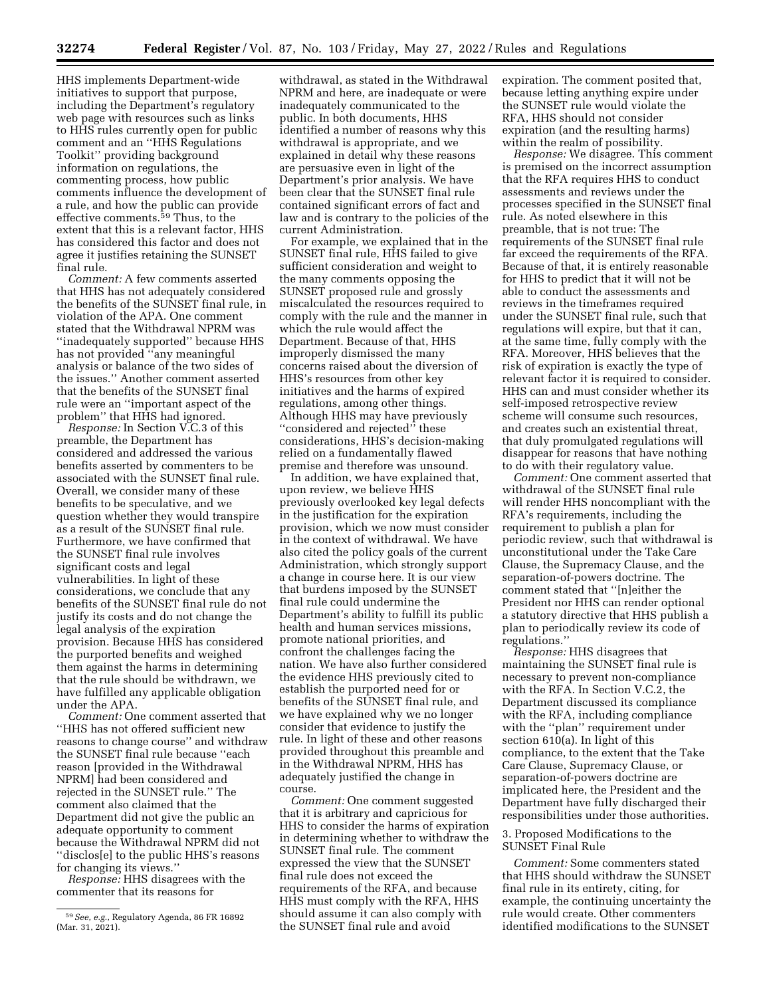HHS implements Department-wide initiatives to support that purpose, including the Department's regulatory web page with resources such as links to HHS rules currently open for public comment and an ''HHS Regulations Toolkit'' providing background information on regulations, the commenting process, how public comments influence the development of a rule, and how the public can provide effective comments.<sup>59</sup> Thus, to the extent that this is a relevant factor, HHS has considered this factor and does not agree it justifies retaining the SUNSET final rule.

*Comment:* A few comments asserted that HHS has not adequately considered the benefits of the SUNSET final rule, in violation of the APA. One comment stated that the Withdrawal NPRM was ''inadequately supported'' because HHS has not provided ''any meaningful analysis or balance of the two sides of the issues.'' Another comment asserted that the benefits of the SUNSET final rule were an ''important aspect of the problem'' that HHS had ignored.

*Response:* In Section V.C.3 of this preamble, the Department has considered and addressed the various benefits asserted by commenters to be associated with the SUNSET final rule. Overall, we consider many of these benefits to be speculative, and we question whether they would transpire as a result of the SUNSET final rule. Furthermore, we have confirmed that the SUNSET final rule involves significant costs and legal vulnerabilities. In light of these considerations, we conclude that any benefits of the SUNSET final rule do not justify its costs and do not change the legal analysis of the expiration provision. Because HHS has considered the purported benefits and weighed them against the harms in determining that the rule should be withdrawn, we have fulfilled any applicable obligation under the APA.

*Comment:* One comment asserted that ''HHS has not offered sufficient new reasons to change course'' and withdraw the SUNSET final rule because ''each reason [provided in the Withdrawal NPRM] had been considered and rejected in the SUNSET rule.'' The comment also claimed that the Department did not give the public an adequate opportunity to comment because the Withdrawal NPRM did not ''disclos[e] to the public HHS's reasons for changing its views.''

*Response:* HHS disagrees with the commenter that its reasons for

withdrawal, as stated in the Withdrawal NPRM and here, are inadequate or were inadequately communicated to the public. In both documents, HHS identified a number of reasons why this withdrawal is appropriate, and we explained in detail why these reasons are persuasive even in light of the Department's prior analysis. We have been clear that the SUNSET final rule contained significant errors of fact and law and is contrary to the policies of the current Administration.

For example, we explained that in the SUNSET final rule, HHS failed to give sufficient consideration and weight to the many comments opposing the SUNSET proposed rule and grossly miscalculated the resources required to comply with the rule and the manner in which the rule would affect the Department. Because of that, HHS improperly dismissed the many concerns raised about the diversion of HHS's resources from other key initiatives and the harms of expired regulations, among other things. Although HHS may have previously ''considered and rejected'' these considerations, HHS's decision-making relied on a fundamentally flawed premise and therefore was unsound.

In addition, we have explained that, upon review, we believe HHS previously overlooked key legal defects in the justification for the expiration provision, which we now must consider in the context of withdrawal. We have also cited the policy goals of the current Administration, which strongly support a change in course here. It is our view that burdens imposed by the SUNSET final rule could undermine the Department's ability to fulfill its public health and human services missions, promote national priorities, and confront the challenges facing the nation. We have also further considered the evidence HHS previously cited to establish the purported need for or benefits of the SUNSET final rule, and we have explained why we no longer consider that evidence to justify the rule. In light of these and other reasons provided throughout this preamble and in the Withdrawal NPRM, HHS has adequately justified the change in course.

*Comment:* One comment suggested that it is arbitrary and capricious for HHS to consider the harms of expiration in determining whether to withdraw the SUNSET final rule. The comment expressed the view that the SUNSET final rule does not exceed the requirements of the RFA, and because HHS must comply with the RFA, HHS should assume it can also comply with the SUNSET final rule and avoid

expiration. The comment posited that, because letting anything expire under the SUNSET rule would violate the RFA, HHS should not consider expiration (and the resulting harms) within the realm of possibility.

*Response:* We disagree. This comment is premised on the incorrect assumption that the RFA requires HHS to conduct assessments and reviews under the processes specified in the SUNSET final rule. As noted elsewhere in this preamble, that is not true: The requirements of the SUNSET final rule far exceed the requirements of the RFA. Because of that, it is entirely reasonable for HHS to predict that it will not be able to conduct the assessments and reviews in the timeframes required under the SUNSET final rule, such that regulations will expire, but that it can, at the same time, fully comply with the RFA. Moreover, HHS believes that the risk of expiration is exactly the type of relevant factor it is required to consider. HHS can and must consider whether its self-imposed retrospective review scheme will consume such resources, and creates such an existential threat, that duly promulgated regulations will disappear for reasons that have nothing to do with their regulatory value.

*Comment:* One comment asserted that withdrawal of the SUNSET final rule will render HHS noncompliant with the RFA's requirements, including the requirement to publish a plan for periodic review, such that withdrawal is unconstitutional under the Take Care Clause, the Supremacy Clause, and the separation-of-powers doctrine. The comment stated that ''[n]either the President nor HHS can render optional a statutory directive that HHS publish a plan to periodically review its code of regulations.''

*Response:* HHS disagrees that maintaining the SUNSET final rule is necessary to prevent non-compliance with the RFA. In Section V.C.2, the Department discussed its compliance with the RFA, including compliance with the "plan" requirement under section 610(a). In light of this compliance, to the extent that the Take Care Clause, Supremacy Clause, or separation-of-powers doctrine are implicated here, the President and the Department have fully discharged their responsibilities under those authorities.

3. Proposed Modifications to the SUNSET Final Rule

*Comment:* Some commenters stated that HHS should withdraw the SUNSET final rule in its entirety, citing, for example, the continuing uncertainty the rule would create. Other commenters identified modifications to the SUNSET

<sup>59</sup>*See, e.g.,* Regulatory Agenda, 86 FR 16892 (Mar. 31, 2021).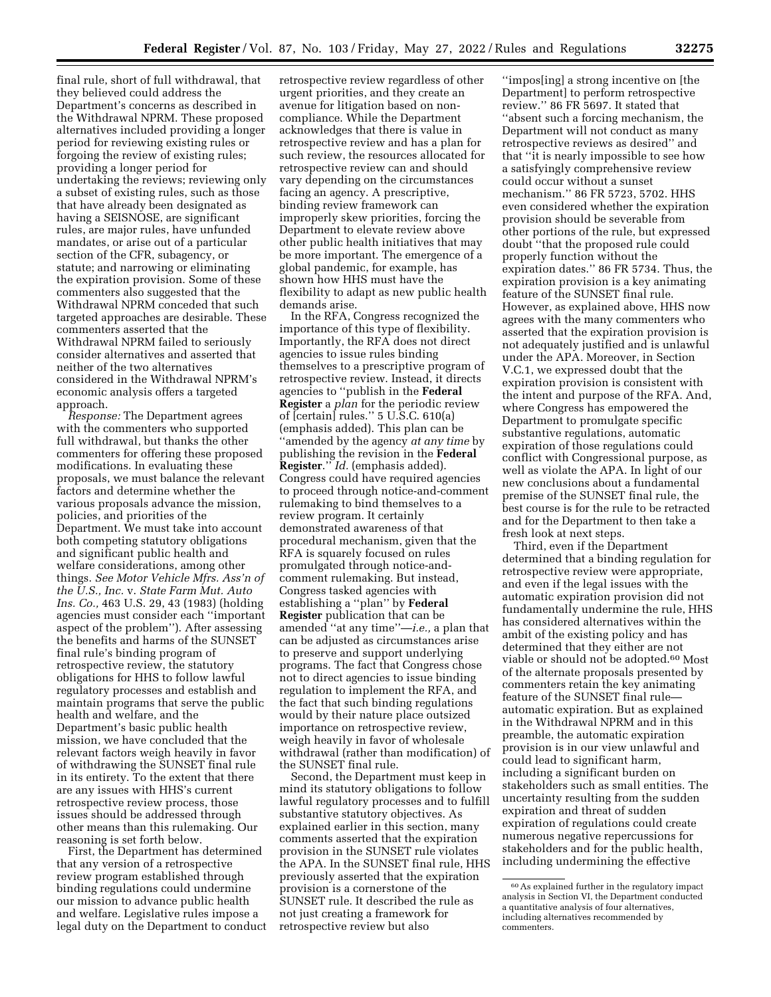final rule, short of full withdrawal, that they believed could address the Department's concerns as described in the Withdrawal NPRM. These proposed alternatives included providing a longer period for reviewing existing rules or forgoing the review of existing rules; providing a longer period for undertaking the reviews; reviewing only a subset of existing rules, such as those that have already been designated as having a SEISNOSE, are significant rules, are major rules, have unfunded mandates, or arise out of a particular section of the CFR, subagency, or statute; and narrowing or eliminating the expiration provision. Some of these commenters also suggested that the Withdrawal NPRM conceded that such targeted approaches are desirable. These commenters asserted that the Withdrawal NPRM failed to seriously consider alternatives and asserted that neither of the two alternatives considered in the Withdrawal NPRM's economic analysis offers a targeted approach.

*Response:* The Department agrees with the commenters who supported full withdrawal, but thanks the other commenters for offering these proposed modifications. In evaluating these proposals, we must balance the relevant factors and determine whether the various proposals advance the mission, policies, and priorities of the Department. We must take into account both competing statutory obligations and significant public health and welfare considerations, among other things. *See Motor Vehicle Mfrs. Ass'n of the U.S., Inc.* v. *State Farm Mut. Auto Ins. Co.,* 463 U.S. 29, 43 (1983) (holding agencies must consider each ''important aspect of the problem''). After assessing the benefits and harms of the SUNSET final rule's binding program of retrospective review, the statutory obligations for HHS to follow lawful regulatory processes and establish and maintain programs that serve the public health and welfare, and the Department's basic public health mission, we have concluded that the relevant factors weigh heavily in favor of withdrawing the SUNSET final rule in its entirety. To the extent that there are any issues with HHS's current retrospective review process, those issues should be addressed through other means than this rulemaking. Our reasoning is set forth below.

First, the Department has determined that any version of a retrospective review program established through binding regulations could undermine our mission to advance public health and welfare. Legislative rules impose a legal duty on the Department to conduct

retrospective review regardless of other urgent priorities, and they create an avenue for litigation based on noncompliance. While the Department acknowledges that there is value in retrospective review and has a plan for such review, the resources allocated for retrospective review can and should vary depending on the circumstances facing an agency. A prescriptive, binding review framework can improperly skew priorities, forcing the Department to elevate review above other public health initiatives that may be more important. The emergence of a global pandemic, for example, has shown how HHS must have the flexibility to adapt as new public health demands arise.

In the RFA, Congress recognized the importance of this type of flexibility. Importantly, the RFA does not direct agencies to issue rules binding themselves to a prescriptive program of retrospective review. Instead, it directs agencies to ''publish in the **Federal Register** a *plan* for the periodic review of [certain] rules.'' 5 U.S.C. 610(a) (emphasis added). This plan can be ''amended by the agency *at any time* by publishing the revision in the **Federal Register**.'' *Id.* (emphasis added). Congress could have required agencies to proceed through notice-and-comment rulemaking to bind themselves to a review program. It certainly demonstrated awareness of that procedural mechanism, given that the RFA is squarely focused on rules promulgated through notice-andcomment rulemaking. But instead, Congress tasked agencies with establishing a ''plan'' by **Federal Register** publication that can be amended ''at any time''—*i.e.,* a plan that can be adjusted as circumstances arise to preserve and support underlying programs. The fact that Congress chose not to direct agencies to issue binding regulation to implement the RFA, and the fact that such binding regulations would by their nature place outsized importance on retrospective review, weigh heavily in favor of wholesale withdrawal (rather than modification) of the SUNSET final rule.

Second, the Department must keep in mind its statutory obligations to follow lawful regulatory processes and to fulfill substantive statutory objectives. As explained earlier in this section, many comments asserted that the expiration provision in the SUNSET rule violates the APA. In the SUNSET final rule, HHS previously asserted that the expiration provision is a cornerstone of the SUNSET rule. It described the rule as not just creating a framework for retrospective review but also

''impos[ing] a strong incentive on [the Department] to perform retrospective review.'' 86 FR 5697. It stated that ''absent such a forcing mechanism, the Department will not conduct as many retrospective reviews as desired'' and that ''it is nearly impossible to see how a satisfyingly comprehensive review could occur without a sunset mechanism.'' 86 FR 5723, 5702. HHS even considered whether the expiration provision should be severable from other portions of the rule, but expressed doubt ''that the proposed rule could properly function without the expiration dates.'' 86 FR 5734. Thus, the expiration provision is a key animating feature of the SUNSET final rule. However, as explained above, HHS now agrees with the many commenters who asserted that the expiration provision is not adequately justified and is unlawful under the APA. Moreover, in Section V.C.1, we expressed doubt that the expiration provision is consistent with the intent and purpose of the RFA. And, where Congress has empowered the Department to promulgate specific substantive regulations, automatic expiration of those regulations could conflict with Congressional purpose, as well as violate the APA. In light of our new conclusions about a fundamental premise of the SUNSET final rule, the best course is for the rule to be retracted and for the Department to then take a fresh look at next steps.

Third, even if the Department determined that a binding regulation for retrospective review were appropriate, and even if the legal issues with the automatic expiration provision did not fundamentally undermine the rule, HHS has considered alternatives within the ambit of the existing policy and has determined that they either are not viable or should not be adopted.60 Most of the alternate proposals presented by commenters retain the key animating feature of the SUNSET final rule automatic expiration. But as explained in the Withdrawal NPRM and in this preamble, the automatic expiration provision is in our view unlawful and could lead to significant harm, including a significant burden on stakeholders such as small entities. The uncertainty resulting from the sudden expiration and threat of sudden expiration of regulations could create numerous negative repercussions for stakeholders and for the public health, including undermining the effective

<sup>60</sup>As explained further in the regulatory impact analysis in Section VI, the Department conducted a quantitative analysis of four alternatives, including alternatives recommended by commenters.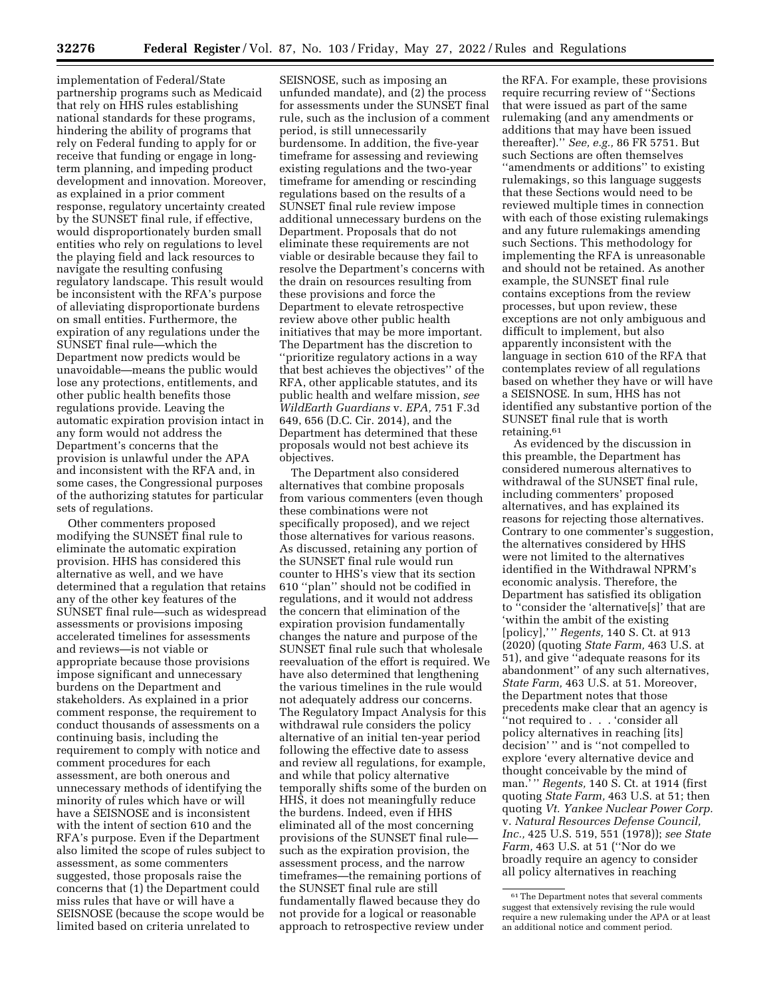implementation of Federal/State partnership programs such as Medicaid that rely on HHS rules establishing national standards for these programs, hindering the ability of programs that rely on Federal funding to apply for or receive that funding or engage in longterm planning, and impeding product development and innovation. Moreover, as explained in a prior comment response, regulatory uncertainty created by the SUNSET final rule, if effective, would disproportionately burden small entities who rely on regulations to level the playing field and lack resources to navigate the resulting confusing regulatory landscape. This result would be inconsistent with the RFA's purpose of alleviating disproportionate burdens on small entities. Furthermore, the expiration of any regulations under the SUNSET final rule—which the Department now predicts would be unavoidable—means the public would lose any protections, entitlements, and other public health benefits those regulations provide. Leaving the automatic expiration provision intact in any form would not address the Department's concerns that the provision is unlawful under the APA and inconsistent with the RFA and, in some cases, the Congressional purposes of the authorizing statutes for particular sets of regulations.

Other commenters proposed modifying the SUNSET final rule to eliminate the automatic expiration provision. HHS has considered this alternative as well, and we have determined that a regulation that retains any of the other key features of the SUNSET final rule—such as widespread assessments or provisions imposing accelerated timelines for assessments and reviews—is not viable or appropriate because those provisions impose significant and unnecessary burdens on the Department and stakeholders. As explained in a prior comment response, the requirement to conduct thousands of assessments on a continuing basis, including the requirement to comply with notice and comment procedures for each assessment, are both onerous and unnecessary methods of identifying the minority of rules which have or will have a SEISNOSE and is inconsistent with the intent of section 610 and the RFA's purpose. Even if the Department also limited the scope of rules subject to assessment, as some commenters suggested, those proposals raise the concerns that (1) the Department could miss rules that have or will have a SEISNOSE (because the scope would be limited based on criteria unrelated to

SEISNOSE, such as imposing an unfunded mandate), and (2) the process for assessments under the SUNSET final rule, such as the inclusion of a comment period, is still unnecessarily burdensome. In addition, the five-year timeframe for assessing and reviewing existing regulations and the two-year timeframe for amending or rescinding regulations based on the results of a SUNSET final rule review impose additional unnecessary burdens on the Department. Proposals that do not eliminate these requirements are not viable or desirable because they fail to resolve the Department's concerns with the drain on resources resulting from these provisions and force the Department to elevate retrospective review above other public health initiatives that may be more important. The Department has the discretion to ''prioritize regulatory actions in a way that best achieves the objectives'' of the RFA, other applicable statutes, and its public health and welfare mission, *see WildEarth Guardians* v. *EPA,* 751 F.3d 649, 656 (D.C. Cir. 2014), and the Department has determined that these proposals would not best achieve its objectives.

The Department also considered alternatives that combine proposals from various commenters (even though these combinations were not specifically proposed), and we reject those alternatives for various reasons. As discussed, retaining any portion of the SUNSET final rule would run counter to HHS's view that its section 610 ''plan'' should not be codified in regulations, and it would not address the concern that elimination of the expiration provision fundamentally changes the nature and purpose of the SUNSET final rule such that wholesale reevaluation of the effort is required. We have also determined that lengthening the various timelines in the rule would not adequately address our concerns. The Regulatory Impact Analysis for this withdrawal rule considers the policy alternative of an initial ten-year period following the effective date to assess and review all regulations, for example, and while that policy alternative temporally shifts some of the burden on HHS, it does not meaningfully reduce the burdens. Indeed, even if HHS eliminated all of the most concerning provisions of the SUNSET final rule such as the expiration provision, the assessment process, and the narrow timeframes—the remaining portions of the SUNSET final rule are still fundamentally flawed because they do not provide for a logical or reasonable approach to retrospective review under

the RFA. For example, these provisions require recurring review of ''Sections that were issued as part of the same rulemaking (and any amendments or additions that may have been issued thereafter).'' *See, e.g.,* 86 FR 5751. But such Sections are often themselves ''amendments or additions'' to existing rulemakings, so this language suggests that these Sections would need to be reviewed multiple times in connection with each of those existing rulemakings and any future rulemakings amending such Sections. This methodology for implementing the RFA is unreasonable and should not be retained. As another example, the SUNSET final rule contains exceptions from the review processes, but upon review, these exceptions are not only ambiguous and difficult to implement, but also apparently inconsistent with the language in section 610 of the RFA that contemplates review of all regulations based on whether they have or will have a SEISNOSE. In sum, HHS has not identified any substantive portion of the SUNSET final rule that is worth retaining.61

As evidenced by the discussion in this preamble, the Department has considered numerous alternatives to withdrawal of the SUNSET final rule, including commenters' proposed alternatives, and has explained its reasons for rejecting those alternatives. Contrary to one commenter's suggestion, the alternatives considered by HHS were not limited to the alternatives identified in the Withdrawal NPRM's economic analysis. Therefore, the Department has satisfied its obligation to ''consider the 'alternative[s]' that are 'within the ambit of the existing [policy],' '' *Regents,* 140 S. Ct. at 913 (2020) (quoting *State Farm,* 463 U.S. at 51), and give ''adequate reasons for its abandonment'' of any such alternatives, *State Farm,* 463 U.S. at 51. Moreover, the Department notes that those precedents make clear that an agency is ''not required to . . . 'consider all policy alternatives in reaching [its] decision' '' and is ''not compelled to explore 'every alternative device and thought conceivable by the mind of man.' '' *Regents,* 140 S. Ct. at 1914 (first quoting *State Farm,* 463 U.S. at 51; then quoting *Vt. Yankee Nuclear Power Corp.*  v. *Natural Resources Defense Council, Inc.,* 425 U.S. 519, 551 (1978)); *see State Farm,* 463 U.S. at 51 (''Nor do we broadly require an agency to consider all policy alternatives in reaching

<sup>61</sup>The Department notes that several comments suggest that extensively revising the rule would require a new rulemaking under the APA or at least an additional notice and comment period.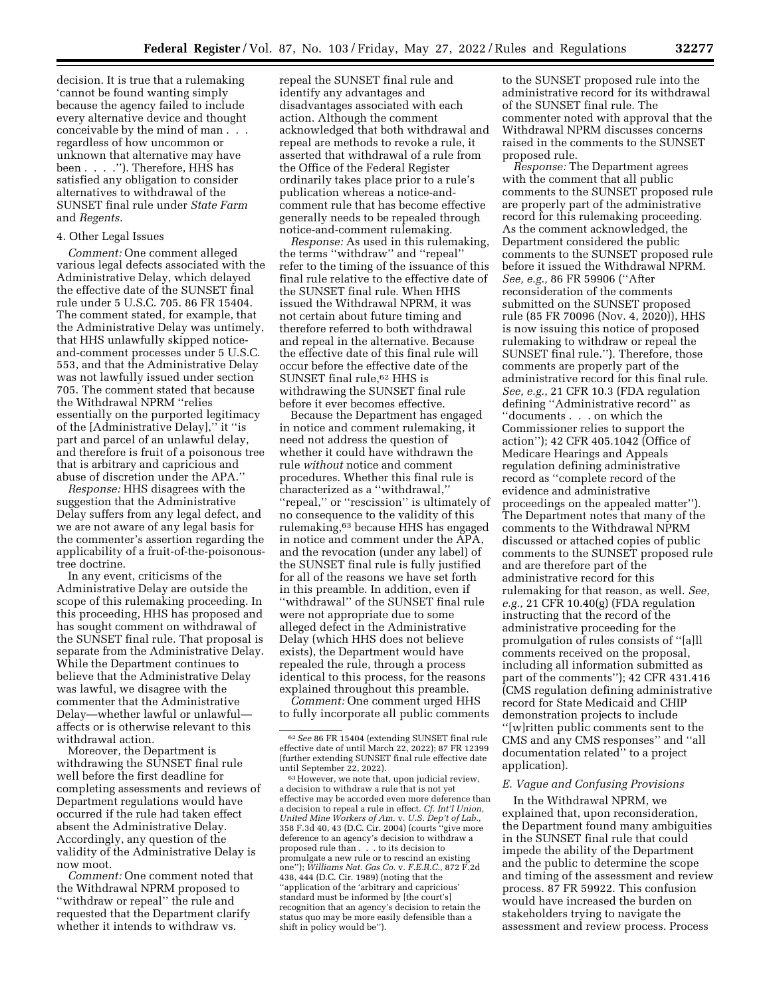decision. It is true that a rulemaking 'cannot be found wanting simply because the agency failed to include every alternative device and thought conceivable by the mind of man . . . regardless of how uncommon or unknown that alternative may have been . . . .''). Therefore, HHS has satisfied any obligation to consider alternatives to withdrawal of the SUNSET final rule under *State Farm*  and *Regents.* 

## 4. Other Legal Issues

*Comment:* One comment alleged various legal defects associated with the Administrative Delay, which delayed the effective date of the SUNSET final rule under 5 U.S.C. 705. 86 FR 15404. The comment stated, for example, that the Administrative Delay was untimely, that HHS unlawfully skipped noticeand-comment processes under 5 U.S.C. 553, and that the Administrative Delay was not lawfully issued under section 705. The comment stated that because the Withdrawal NPRM ''relies essentially on the purported legitimacy of the [Administrative Delay],'' it ''is part and parcel of an unlawful delay, and therefore is fruit of a poisonous tree that is arbitrary and capricious and abuse of discretion under the APA.''

*Response:* HHS disagrees with the suggestion that the Administrative Delay suffers from any legal defect, and we are not aware of any legal basis for the commenter's assertion regarding the applicability of a fruit-of-the-poisonoustree doctrine.

In any event, criticisms of the Administrative Delay are outside the scope of this rulemaking proceeding. In this proceeding, HHS has proposed and has sought comment on withdrawal of the SUNSET final rule. That proposal is separate from the Administrative Delay. While the Department continues to believe that the Administrative Delay was lawful, we disagree with the commenter that the Administrative Delay—whether lawful or unlawful affects or is otherwise relevant to this withdrawal action.

Moreover, the Department is withdrawing the SUNSET final rule well before the first deadline for completing assessments and reviews of Department regulations would have occurred if the rule had taken effect absent the Administrative Delay. Accordingly, any question of the validity of the Administrative Delay is now moot.

*Comment:* One comment noted that the Withdrawal NPRM proposed to ''withdraw or repeal'' the rule and requested that the Department clarify whether it intends to withdraw vs.

repeal the SUNSET final rule and identify any advantages and disadvantages associated with each action. Although the comment acknowledged that both withdrawal and repeal are methods to revoke a rule, it asserted that withdrawal of a rule from the Office of the Federal Register ordinarily takes place prior to a rule's publication whereas a notice-andcomment rule that has become effective generally needs to be repealed through notice-and-comment rulemaking.

*Response:* As used in this rulemaking, the terms ''withdraw'' and ''repeal'' refer to the timing of the issuance of this final rule relative to the effective date of the SUNSET final rule. When HHS issued the Withdrawal NPRM, it was not certain about future timing and therefore referred to both withdrawal and repeal in the alternative. Because the effective date of this final rule will occur before the effective date of the SUNSET final rule,<sup>62</sup> HHS is withdrawing the SUNSET final rule before it ever becomes effective.

Because the Department has engaged in notice and comment rulemaking, it need not address the question of whether it could have withdrawn the rule *without* notice and comment procedures. Whether this final rule is characterized as a ''withdrawal,'' ''repeal,'' or ''rescission'' is ultimately of no consequence to the validity of this rulemaking,63 because HHS has engaged in notice and comment under the APA, and the revocation (under any label) of the SUNSET final rule is fully justified for all of the reasons we have set forth in this preamble. In addition, even if ''withdrawal'' of the SUNSET final rule were not appropriate due to some alleged defect in the Administrative Delay (which HHS does not believe exists), the Department would have repealed the rule, through a process identical to this process, for the reasons explained throughout this preamble.

*Comment:* One comment urged HHS to fully incorporate all public comments

to the SUNSET proposed rule into the administrative record for its withdrawal of the SUNSET final rule. The commenter noted with approval that the Withdrawal NPRM discusses concerns raised in the comments to the SUNSET proposed rule.

*Response:* The Department agrees with the comment that all public comments to the SUNSET proposed rule are properly part of the administrative record for this rulemaking proceeding. As the comment acknowledged, the Department considered the public comments to the SUNSET proposed rule before it issued the Withdrawal NPRM. *See, e.g.,* 86 FR 59906 (''After reconsideration of the comments submitted on the SUNSET proposed rule (85 FR 70096 (Nov. 4, 2020)), HHS is now issuing this notice of proposed rulemaking to withdraw or repeal the SUNSET final rule.''). Therefore, those comments are properly part of the administrative record for this final rule. *See, e.g.,* 21 CFR 10.3 (FDA regulation defining ''Administrative record'' as ''documents . . . on which the Commissioner relies to support the action''); 42 CFR 405.1042 (Office of Medicare Hearings and Appeals regulation defining administrative record as ''complete record of the evidence and administrative proceedings on the appealed matter''). The Department notes that many of the comments to the Withdrawal NPRM discussed or attached copies of public comments to the SUNSET proposed rule and are therefore part of the administrative record for this rulemaking for that reason, as well. *See, e.g.,* 21 CFR 10.40(g) (FDA regulation instructing that the record of the administrative proceeding for the promulgation of rules consists of ''[a]ll comments received on the proposal, including all information submitted as part of the comments''); 42 CFR 431.416 (CMS regulation defining administrative record for State Medicaid and CHIP demonstration projects to include ''[w]ritten public comments sent to the CMS and any CMS responses'' and ''all documentation related'' to a project application).

## *E. Vague and Confusing Provisions*

In the Withdrawal NPRM, we explained that, upon reconsideration, the Department found many ambiguities in the SUNSET final rule that could impede the ability of the Department and the public to determine the scope and timing of the assessment and review process. 87 FR 59922. This confusion would have increased the burden on stakeholders trying to navigate the assessment and review process. Process

<sup>62</sup>*See* 86 FR 15404 (extending SUNSET final rule effective date of until March 22, 2022); 87 FR 12399 (further extending SUNSET final rule effective date

 $^{63}\,$  However, we note that, upon judicial review, a decision to withdraw a rule that is not yet effective may be accorded even more deference than a decision to repeal a rule in effect. *Cf. Int'l Union, United Mine Workers of Am.* v. *U.S. Dep't of Lab.,*  358 F.3d 40, 43 (D.C. Cir. 2004) (courts ''give more deference to an agency's decision to withdraw a proposed rule than . . . to its decision to promulgate a new rule or to rescind an existing one''); *Williams Nat. Gas Co.* v. *F.E.R.C.,* 872 F.2d 438, 444 (D.C. Cir. 1989) (noting that the ''application of the 'arbitrary and capricious' standard must be informed by [the court's] recognition that an agency's decision to retain the status quo may be more easily defensible than a shift in policy would be'').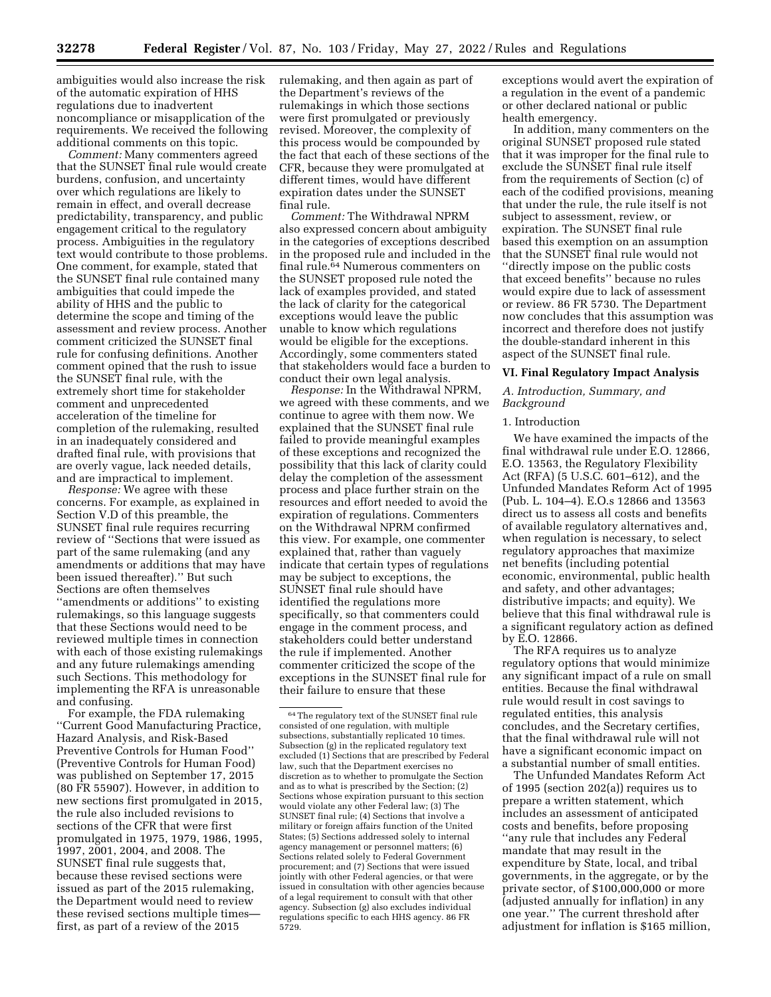ambiguities would also increase the risk of the automatic expiration of HHS regulations due to inadvertent noncompliance or misapplication of the requirements. We received the following additional comments on this topic.

*Comment:* Many commenters agreed that the SUNSET final rule would create burdens, confusion, and uncertainty over which regulations are likely to remain in effect, and overall decrease predictability, transparency, and public engagement critical to the regulatory process. Ambiguities in the regulatory text would contribute to those problems. One comment, for example, stated that the SUNSET final rule contained many ambiguities that could impede the ability of HHS and the public to determine the scope and timing of the assessment and review process. Another comment criticized the SUNSET final rule for confusing definitions. Another comment opined that the rush to issue the SUNSET final rule, with the extremely short time for stakeholder comment and unprecedented acceleration of the timeline for completion of the rulemaking, resulted in an inadequately considered and drafted final rule, with provisions that are overly vague, lack needed details, and are impractical to implement.

*Response:* We agree with these concerns. For example, as explained in Section V.D of this preamble, the SUNSET final rule requires recurring review of ''Sections that were issued as part of the same rulemaking (and any amendments or additions that may have been issued thereafter).'' But such Sections are often themselves ''amendments or additions'' to existing rulemakings, so this language suggests that these Sections would need to be reviewed multiple times in connection with each of those existing rulemakings and any future rulemakings amending such Sections. This methodology for implementing the RFA is unreasonable and confusing.

For example, the FDA rulemaking ''Current Good Manufacturing Practice, Hazard Analysis, and Risk-Based Preventive Controls for Human Food'' (Preventive Controls for Human Food) was published on September 17, 2015 (80 FR 55907). However, in addition to new sections first promulgated in 2015, the rule also included revisions to sections of the CFR that were first promulgated in 1975, 1979, 1986, 1995, 1997, 2001, 2004, and 2008. The SUNSET final rule suggests that, because these revised sections were issued as part of the 2015 rulemaking, the Department would need to review these revised sections multiple times first, as part of a review of the 2015

rulemaking, and then again as part of the Department's reviews of the rulemakings in which those sections were first promulgated or previously revised. Moreover, the complexity of this process would be compounded by the fact that each of these sections of the CFR, because they were promulgated at different times, would have different expiration dates under the SUNSET final rule.

*Comment:* The Withdrawal NPRM also expressed concern about ambiguity in the categories of exceptions described in the proposed rule and included in the final rule.64 Numerous commenters on the SUNSET proposed rule noted the lack of examples provided, and stated the lack of clarity for the categorical exceptions would leave the public unable to know which regulations would be eligible for the exceptions. Accordingly, some commenters stated that stakeholders would face a burden to conduct their own legal analysis.

*Response:* In the Withdrawal NPRM, we agreed with these comments, and we continue to agree with them now. We explained that the SUNSET final rule failed to provide meaningful examples of these exceptions and recognized the possibility that this lack of clarity could delay the completion of the assessment process and place further strain on the resources and effort needed to avoid the expiration of regulations. Commenters on the Withdrawal NPRM confirmed this view. For example, one commenter explained that, rather than vaguely indicate that certain types of regulations may be subject to exceptions, the SUNSET final rule should have identified the regulations more specifically, so that commenters could engage in the comment process, and stakeholders could better understand the rule if implemented. Another commenter criticized the scope of the exceptions in the SUNSET final rule for their failure to ensure that these

exceptions would avert the expiration of a regulation in the event of a pandemic or other declared national or public health emergency.

In addition, many commenters on the original SUNSET proposed rule stated that it was improper for the final rule to exclude the SUNSET final rule itself from the requirements of Section (c) of each of the codified provisions, meaning that under the rule, the rule itself is not subject to assessment, review, or expiration. The SUNSET final rule based this exemption on an assumption that the SUNSET final rule would not ''directly impose on the public costs that exceed benefits'' because no rules would expire due to lack of assessment or review. 86 FR 5730. The Department now concludes that this assumption was incorrect and therefore does not justify the double-standard inherent in this aspect of the SUNSET final rule.

## **VI. Final Regulatory Impact Analysis**

## *A. Introduction, Summary, and Background*

## 1. Introduction

We have examined the impacts of the final withdrawal rule under E.O. 12866, E.O. 13563, the Regulatory Flexibility Act (RFA) (5 U.S.C. 601–612), and the Unfunded Mandates Reform Act of 1995 (Pub. L. 104–4). E.O.s 12866 and 13563 direct us to assess all costs and benefits of available regulatory alternatives and, when regulation is necessary, to select regulatory approaches that maximize net benefits (including potential economic, environmental, public health and safety, and other advantages; distributive impacts; and equity). We believe that this final withdrawal rule is a significant regulatory action as defined by E.O. 12866.

The RFA requires us to analyze regulatory options that would minimize any significant impact of a rule on small entities. Because the final withdrawal rule would result in cost savings to regulated entities, this analysis concludes, and the Secretary certifies, that the final withdrawal rule will not have a significant economic impact on a substantial number of small entities.

The Unfunded Mandates Reform Act of 1995 (section 202(a)) requires us to prepare a written statement, which includes an assessment of anticipated costs and benefits, before proposing ''any rule that includes any Federal mandate that may result in the expenditure by State, local, and tribal governments, in the aggregate, or by the private sector, of \$100,000,000 or more (adjusted annually for inflation) in any one year.'' The current threshold after adjustment for inflation is \$165 million,

<sup>64</sup>The regulatory text of the SUNSET final rule consisted of one regulation, with multiple subsections, substantially replicated 10 times. Subsection (g) in the replicated regulatory text excluded (1) Sections that are prescribed by Federal law, such that the Department exercises no discretion as to whether to promulgate the Section and as to what is prescribed by the Section; (2) Sections whose expiration pursuant to this section would violate any other Federal law; (3) The SUNSET final rule; (4) Sections that involve a military or foreign affairs function of the United States; (5) Sections addressed solely to internal agency management or personnel matters; (6) Sections related solely to Federal Government procurement; and (7) Sections that were issued jointly with other Federal agencies, or that were issued in consultation with other agencies because of a legal requirement to consult with that other agency. Subsection (g) also excludes individual regulations specific to each HHS agency. 86 FR 5729.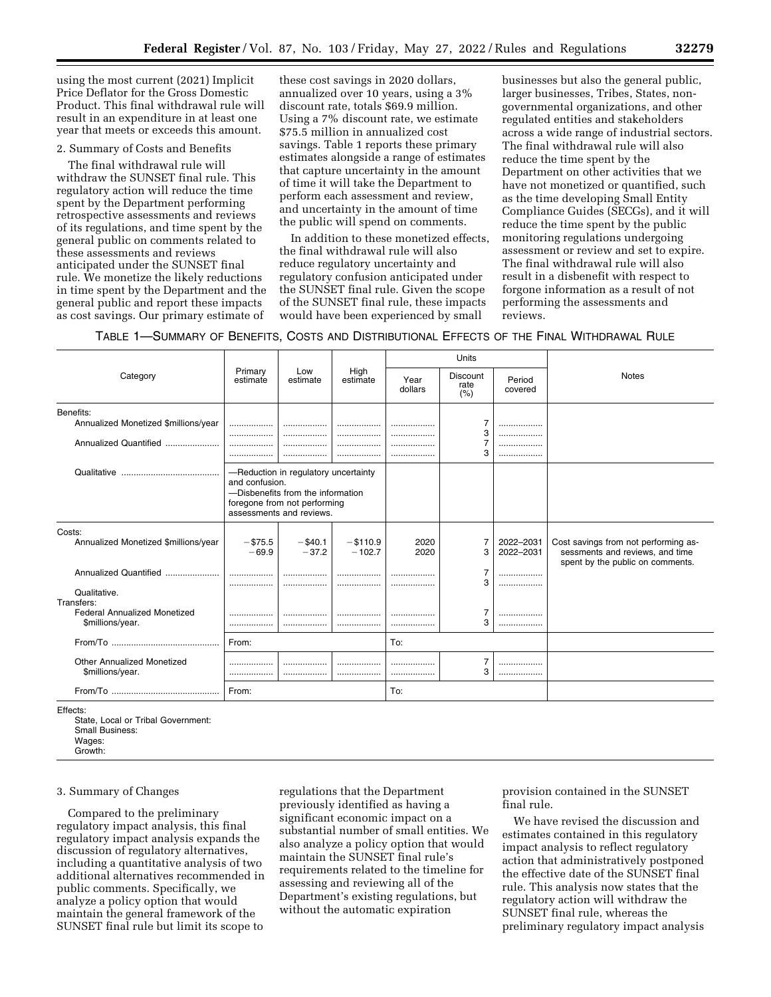using the most current (2021) Implicit Price Deflator for the Gross Domestic Product. This final withdrawal rule will result in an expenditure in at least one year that meets or exceeds this amount.

### 2. Summary of Costs and Benefits

The final withdrawal rule will withdraw the SUNSET final rule. This regulatory action will reduce the time spent by the Department performing retrospective assessments and reviews of its regulations, and time spent by the general public on comments related to these assessments and reviews anticipated under the SUNSET final rule. We monetize the likely reductions in time spent by the Department and the general public and report these impacts as cost savings. Our primary estimate of

these cost savings in 2020 dollars, annualized over 10 years, using a 3% discount rate, totals \$69.9 million. Using a 7% discount rate, we estimate \$75.5 million in annualized cost savings. Table 1 reports these primary estimates alongside a range of estimates that capture uncertainty in the amount of time it will take the Department to perform each assessment and review, and uncertainty in the amount of time the public will spend on comments.

In addition to these monetized effects, the final withdrawal rule will also reduce regulatory uncertainty and regulatory confusion anticipated under the SUNSET final rule. Given the scope of the SUNSET final rule, these impacts would have been experienced by small

businesses but also the general public, larger businesses, Tribes, States, nongovernmental organizations, and other regulated entities and stakeholders across a wide range of industrial sectors. The final withdrawal rule will also reduce the time spent by the Department on other activities that we have not monetized or quantified, such as the time developing Small Entity Compliance Guides (SECGs), and it will reduce the time spent by the public monitoring regulations undergoing assessment or review and set to expire. The final withdrawal rule will also result in a disbenefit with respect to forgone information as a result of not performing the assessments and reviews.

TABLE 1—SUMMARY OF BENEFITS, COSTS AND DISTRIBUTIONAL EFFECTS OF THE FINAL WITHDRAWAL RULE

|                                                                                       |                       |                                                                                                                                       |                         |                 | Units                           |                        |                                                                                                             |  |
|---------------------------------------------------------------------------------------|-----------------------|---------------------------------------------------------------------------------------------------------------------------------------|-------------------------|-----------------|---------------------------------|------------------------|-------------------------------------------------------------------------------------------------------------|--|
| Category                                                                              | Primary<br>estimate   | Low<br>estimate                                                                                                                       | High<br>estimate        | Year<br>dollars | <b>Discount</b><br>rate<br>(% ) | Period<br>covered      | <b>Notes</b>                                                                                                |  |
| Benefits:<br>Annualized Monetized \$millions/year<br>Annualized Quantified            | <br><br><br>          |                                                                                                                                       | .                       |                 | 7<br>3<br>3                     | .<br>                  |                                                                                                             |  |
|                                                                                       | and confusion.        | -Reduction in regulatory uncertainty<br>-Disbenefits from the information<br>foregone from not performing<br>assessments and reviews. |                         |                 |                                 |                        |                                                                                                             |  |
| Costs:<br>Annualized Monetized \$millions/year<br>Annualized Quantified               | $-$ \$75.5<br>$-69.9$ | $-$ \$40.1<br>$-37.2$                                                                                                                 | $-$ \$110.9<br>$-102.7$ | 2020<br>2020    | 7<br>3<br>7                     | 2022-2031<br>2022-2031 | Cost savings from not performing as-<br>sessments and reviews, and time<br>spent by the public on comments. |  |
| Qualitative.<br>Transfers:<br><b>Federal Annualized Monetized</b><br>\$millions/year. | <br>                  | <br>                                                                                                                                  |                         |                 | 3<br>7<br>3                     | <br><br><br>           |                                                                                                             |  |
|                                                                                       | From:                 |                                                                                                                                       |                         | To:             |                                 |                        |                                                                                                             |  |
| Other Annualized Monetized<br>\$millions/year.                                        |                       |                                                                                                                                       | .                       |                 | 3                               | <br>                   |                                                                                                             |  |
|                                                                                       | From:                 |                                                                                                                                       |                         | To:             |                                 |                        |                                                                                                             |  |
|                                                                                       |                       |                                                                                                                                       |                         |                 |                                 |                        |                                                                                                             |  |

Effects:

State, Local or Tribal Government: Small Business: Wages: Growth:

#### 3. Summary of Changes

Compared to the preliminary regulatory impact analysis, this final regulatory impact analysis expands the discussion of regulatory alternatives, including a quantitative analysis of two additional alternatives recommended in public comments. Specifically, we analyze a policy option that would maintain the general framework of the SUNSET final rule but limit its scope to

regulations that the Department previously identified as having a significant economic impact on a substantial number of small entities. We also analyze a policy option that would maintain the SUNSET final rule's requirements related to the timeline for assessing and reviewing all of the Department's existing regulations, but without the automatic expiration

provision contained in the SUNSET final rule.

We have revised the discussion and estimates contained in this regulatory impact analysis to reflect regulatory action that administratively postponed the effective date of the SUNSET final rule. This analysis now states that the regulatory action will withdraw the SUNSET final rule, whereas the preliminary regulatory impact analysis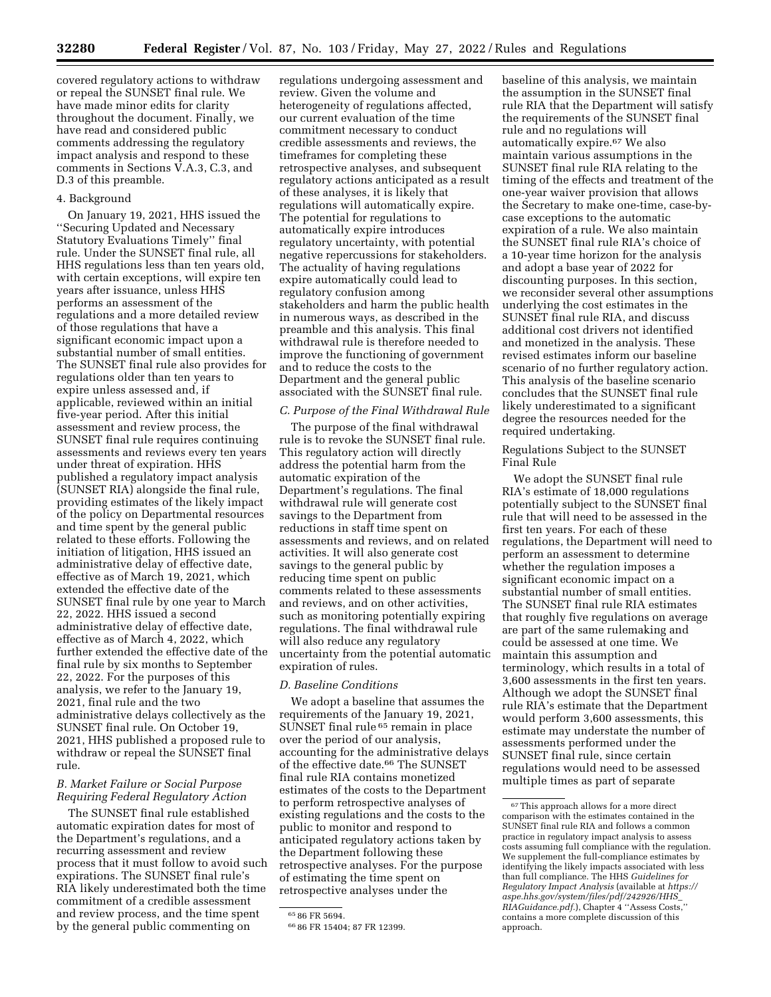covered regulatory actions to withdraw or repeal the SUNSET final rule. We have made minor edits for clarity throughout the document. Finally, we have read and considered public comments addressing the regulatory impact analysis and respond to these comments in Sections V.A.3, C.3, and D.3 of this preamble.

## 4. Background

On January 19, 2021, HHS issued the ''Securing Updated and Necessary Statutory Evaluations Timely'' final rule. Under the SUNSET final rule, all HHS regulations less than ten years old, with certain exceptions, will expire ten years after issuance, unless HHS performs an assessment of the regulations and a more detailed review of those regulations that have a significant economic impact upon a substantial number of small entities. The SUNSET final rule also provides for regulations older than ten years to expire unless assessed and, if applicable, reviewed within an initial five-year period. After this initial assessment and review process, the SUNSET final rule requires continuing assessments and reviews every ten years under threat of expiration. HHS published a regulatory impact analysis (SUNSET RIA) alongside the final rule, providing estimates of the likely impact of the policy on Departmental resources and time spent by the general public related to these efforts. Following the initiation of litigation, HHS issued an administrative delay of effective date, effective as of March 19, 2021, which extended the effective date of the SUNSET final rule by one year to March 22, 2022. HHS issued a second administrative delay of effective date, effective as of March 4, 2022, which further extended the effective date of the final rule by six months to September 22, 2022. For the purposes of this analysis, we refer to the January 19, 2021, final rule and the two administrative delays collectively as the SUNSET final rule. On October 19, 2021, HHS published a proposed rule to withdraw or repeal the SUNSET final rule.

## *B. Market Failure or Social Purpose Requiring Federal Regulatory Action*

The SUNSET final rule established automatic expiration dates for most of the Department's regulations, and a recurring assessment and review process that it must follow to avoid such expirations. The SUNSET final rule's RIA likely underestimated both the time commitment of a credible assessment and review process, and the time spent by the general public commenting on

regulations undergoing assessment and review. Given the volume and heterogeneity of regulations affected, our current evaluation of the time commitment necessary to conduct credible assessments and reviews, the timeframes for completing these retrospective analyses, and subsequent regulatory actions anticipated as a result of these analyses, it is likely that regulations will automatically expire. The potential for regulations to automatically expire introduces regulatory uncertainty, with potential negative repercussions for stakeholders. The actuality of having regulations expire automatically could lead to regulatory confusion among stakeholders and harm the public health in numerous ways, as described in the preamble and this analysis. This final withdrawal rule is therefore needed to improve the functioning of government and to reduce the costs to the Department and the general public associated with the SUNSET final rule.

#### *C. Purpose of the Final Withdrawal Rule*

The purpose of the final withdrawal rule is to revoke the SUNSET final rule. This regulatory action will directly address the potential harm from the automatic expiration of the Department's regulations. The final withdrawal rule will generate cost savings to the Department from reductions in staff time spent on assessments and reviews, and on related activities. It will also generate cost savings to the general public by reducing time spent on public comments related to these assessments and reviews, and on other activities, such as monitoring potentially expiring regulations. The final withdrawal rule will also reduce any regulatory uncertainty from the potential automatic expiration of rules.

## *D. Baseline Conditions*

We adopt a baseline that assumes the requirements of the January 19, 2021, SUNSET final rule 65 remain in place over the period of our analysis, accounting for the administrative delays of the effective date.66 The SUNSET final rule RIA contains monetized estimates of the costs to the Department to perform retrospective analyses of existing regulations and the costs to the public to monitor and respond to anticipated regulatory actions taken by the Department following these retrospective analyses. For the purpose of estimating the time spent on retrospective analyses under the

baseline of this analysis, we maintain the assumption in the SUNSET final rule RIA that the Department will satisfy the requirements of the SUNSET final rule and no regulations will automatically expire.67 We also maintain various assumptions in the SUNSET final rule RIA relating to the timing of the effects and treatment of the one-year waiver provision that allows the Secretary to make one-time, case-bycase exceptions to the automatic expiration of a rule. We also maintain the SUNSET final rule RIA's choice of a 10-year time horizon for the analysis and adopt a base year of 2022 for discounting purposes. In this section, we reconsider several other assumptions underlying the cost estimates in the SUNSET final rule RIA, and discuss additional cost drivers not identified and monetized in the analysis. These revised estimates inform our baseline scenario of no further regulatory action. This analysis of the baseline scenario concludes that the SUNSET final rule likely underestimated to a significant degree the resources needed for the required undertaking.

Regulations Subject to the SUNSET Final Rule

We adopt the SUNSET final rule RIA's estimate of 18,000 regulations potentially subject to the SUNSET final rule that will need to be assessed in the first ten years. For each of these regulations, the Department will need to perform an assessment to determine whether the regulation imposes a significant economic impact on a substantial number of small entities. The SUNSET final rule RIA estimates that roughly five regulations on average are part of the same rulemaking and could be assessed at one time. We maintain this assumption and terminology, which results in a total of 3,600 assessments in the first ten years. Although we adopt the SUNSET final rule RIA's estimate that the Department would perform 3,600 assessments, this estimate may understate the number of assessments performed under the SUNSET final rule, since certain regulations would need to be assessed multiple times as part of separate

<sup>65</sup> 86 FR 5694.

<sup>66</sup> 86 FR 15404; 87 FR 12399.

<sup>67</sup>This approach allows for a more direct comparison with the estimates contained in the SUNSET final rule RIA and follows a common practice in regulatory impact analysis to assess costs assuming full compliance with the regulation. We supplement the full-compliance estimates by identifying the likely impacts associated with less than full compliance. The HHS *Guidelines for Regulatory Impact Analysis* (available at *[https://](https://aspe.hhs.gov/system/files/pdf/242926/HHS_RIAGuidance.pdf) [aspe.hhs.gov/system/files/pdf/242926/HHS](https://aspe.hhs.gov/system/files/pdf/242926/HHS_RIAGuidance.pdf)*\_ *[RIAGuidance.pdf.](https://aspe.hhs.gov/system/files/pdf/242926/HHS_RIAGuidance.pdf)*), Chapter 4 ''Assess Costs,'' contains a more complete discussion of this approach.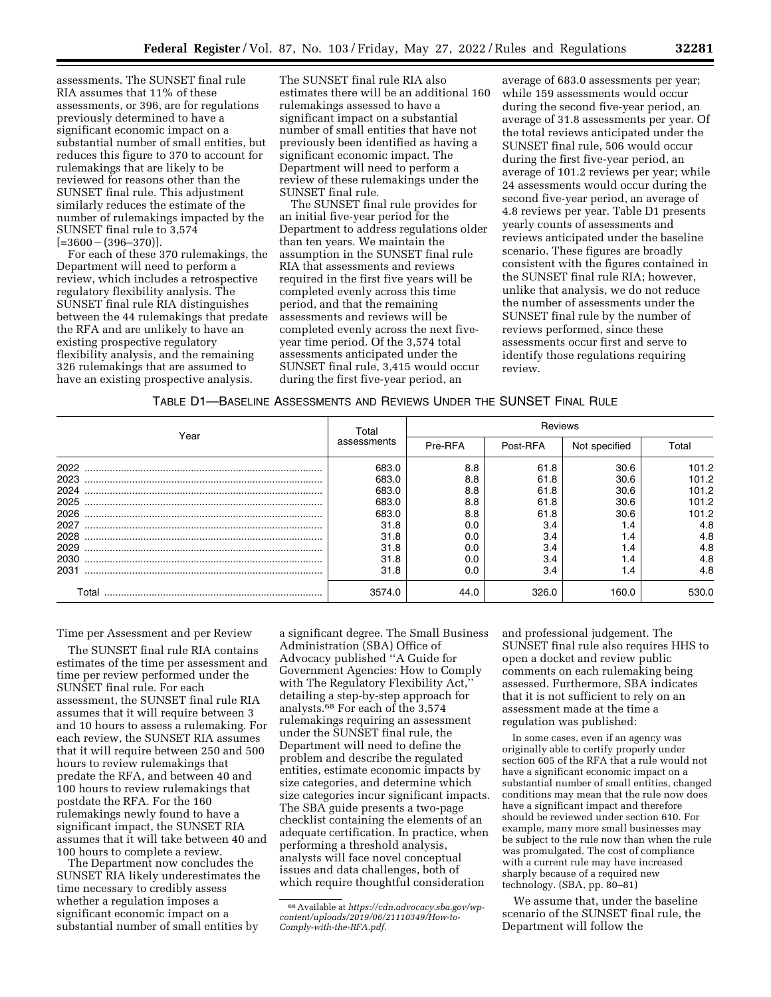assessments. The SUNSET final rule RIA assumes that 11% of these assessments, or 396, are for regulations previously determined to have a significant economic impact on a substantial number of small entities, but reduces this figure to 370 to account for rulemakings that are likely to be reviewed for reasons other than the SUNSET final rule. This adjustment similarly reduces the estimate of the number of rulemakings impacted by the SUNSET final rule to 3,574  $[-3600 - (396 - 370)].$ 

For each of these 370 rulemakings, the Department will need to perform a review, which includes a retrospective regulatory flexibility analysis. The SUNSET final rule RIA distinguishes between the 44 rulemakings that predate the RFA and are unlikely to have an existing prospective regulatory flexibility analysis, and the remaining 326 rulemakings that are assumed to have an existing prospective analysis.

The SUNSET final rule RIA also estimates there will be an additional 160 rulemakings assessed to have a significant impact on a substantial number of small entities that have not previously been identified as having a significant economic impact. The Department will need to perform a review of these rulemakings under the SUNSET final rule.

The SUNSET final rule provides for an initial five-year period for the Department to address regulations older than ten years. We maintain the assumption in the SUNSET final rule RIA that assessments and reviews required in the first five years will be completed evenly across this time period, and that the remaining assessments and reviews will be completed evenly across the next fiveyear time period. Of the 3,574 total assessments anticipated under the SUNSET final rule, 3,415 would occur during the first five-year period, an

average of 683.0 assessments per year; while 159 assessments would occur during the second five-year period, an average of 31.8 assessments per year. Of the total reviews anticipated under the SUNSET final rule, 506 would occur during the first five-year period, an average of 101.2 reviews per year; while 24 assessments would occur during the second five-year period, an average of 4.8 reviews per year. Table D1 presents yearly counts of assessments and reviews anticipated under the baseline scenario. These figures are broadly consistent with the figures contained in the SUNSET final rule RIA; however, unlike that analysis, we do not reduce the number of assessments under the SUNSET final rule by the number of reviews performed, since these assessments occur first and serve to identify those regulations requiring review.

| TABLE D1—BASELINE ASSESSMENTS AND REVIEWS UNDER THE SUNSET FINAL RULE |
|-----------------------------------------------------------------------|
|-----------------------------------------------------------------------|

|       | Total       | Reviews |          |               |       |  |
|-------|-------------|---------|----------|---------------|-------|--|
| Year  | assessments | Pre-RFA | Post-RFA | Not specified | Total |  |
| 2022  | 683.0       | 8.8     | 61.8     | 30.6          | 101.2 |  |
| 2023  | 683.0       | 8.8     | 61.8     | 30.6          | 101.2 |  |
| 2024  | 683.0       | 8.8     | 61.8     | 30.6          | 101.2 |  |
| 2025  | 683.0       | 8.8     | 61.8     | 30.6          | 101.2 |  |
| 2026  | 683.0       | 8.8     | 61.8     | 30.6          | 101.2 |  |
| 2027  | 31.8        | 0.0     | 3.4      | 1.4           | 4.8   |  |
| 2028  | 31.8        | 0.0     | 3.4      | 1.4           | 4.8   |  |
| 2029  | 31.8        | 0.0     | 3.4      | 1.4           | 4.8   |  |
| 2030  | 31.8        | 0.0     | 3.4      | 1.4           | 4.8   |  |
| 2031  | 31.8        | 0.0     | 3.4      | 1.4           | 4.8   |  |
| Total | 3574.0      | 44.0    | 326.0    | 160.0         | 530.0 |  |

Time per Assessment and per Review

The SUNSET final rule RIA contains estimates of the time per assessment and time per review performed under the SUNSET final rule. For each assessment, the SUNSET final rule RIA assumes that it will require between 3 and 10 hours to assess a rulemaking. For each review, the SUNSET RIA assumes that it will require between 250 and 500 hours to review rulemakings that predate the RFA, and between 40 and 100 hours to review rulemakings that postdate the RFA. For the 160 rulemakings newly found to have a significant impact, the SUNSET RIA assumes that it will take between 40 and 100 hours to complete a review.

The Department now concludes the SUNSET RIA likely underestimates the time necessary to credibly assess whether a regulation imposes a significant economic impact on a substantial number of small entities by

a significant degree. The Small Business Administration (SBA) Office of Advocacy published ''A Guide for Government Agencies: How to Comply with The Regulatory Flexibility Act,'' detailing a step-by-step approach for analysts.68 For each of the 3,574 rulemakings requiring an assessment under the SUNSET final rule, the Department will need to define the problem and describe the regulated entities, estimate economic impacts by size categories, and determine which size categories incur significant impacts. The SBA guide presents a two-page checklist containing the elements of an adequate certification. In practice, when performing a threshold analysis, analysts will face novel conceptual issues and data challenges, both of which require thoughtful consideration

and professional judgement. The SUNSET final rule also requires HHS to open a docket and review public comments on each rulemaking being assessed. Furthermore, SBA indicates that it is not sufficient to rely on an assessment made at the time a regulation was published:

In some cases, even if an agency was originally able to certify properly under section 605 of the RFA that a rule would not have a significant economic impact on a substantial number of small entities, changed conditions may mean that the rule now does have a significant impact and therefore should be reviewed under section 610. For example, many more small businesses may be subject to the rule now than when the rule was promulgated. The cost of compliance with a current rule may have increased sharply because of a required new technology. (SBA, pp. 80–81)

We assume that, under the baseline scenario of the SUNSET final rule, the Department will follow the

<sup>68</sup>Available at *[https://cdn.advocacy.sba.gov/wp](https://cdn.advocacy.sba.gov/wp-content/uploads/2019/06/21110349/How-to-Comply-with-the-RFA.pdf)[content/uploads/2019/06/21110349/How-to-](https://cdn.advocacy.sba.gov/wp-content/uploads/2019/06/21110349/How-to-Comply-with-the-RFA.pdf)[Comply-with-the-RFA.pdf.](https://cdn.advocacy.sba.gov/wp-content/uploads/2019/06/21110349/How-to-Comply-with-the-RFA.pdf)*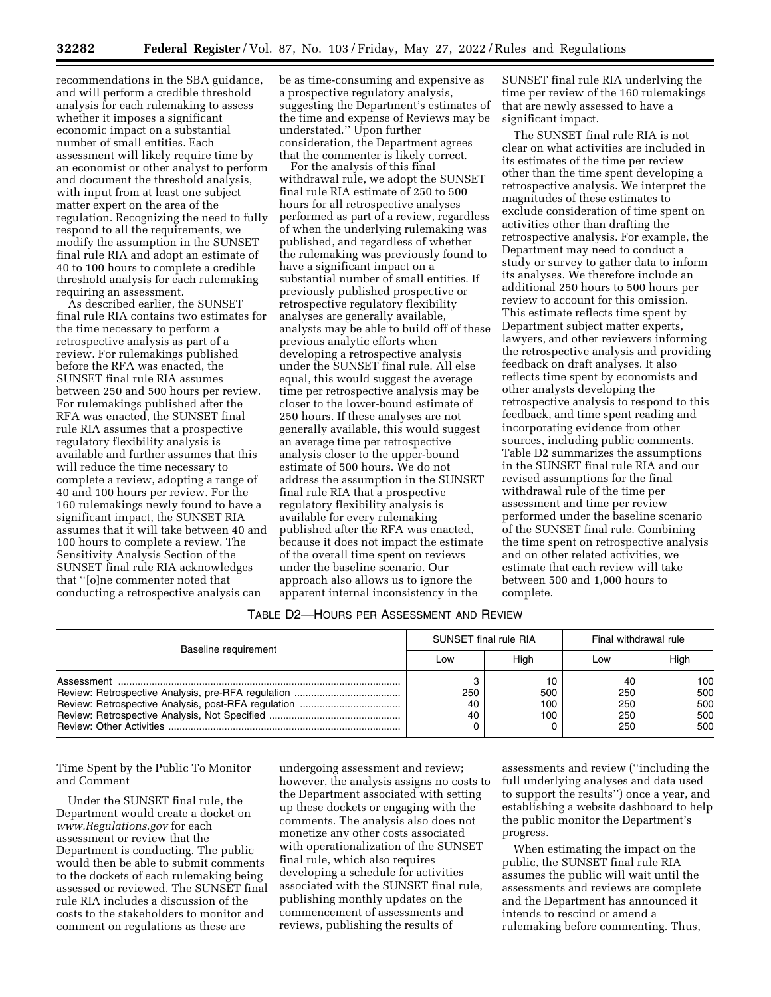recommendations in the SBA guidance, and will perform a credible threshold analysis for each rulemaking to assess whether it imposes a significant economic impact on a substantial number of small entities. Each assessment will likely require time by an economist or other analyst to perform and document the threshold analysis, with input from at least one subject matter expert on the area of the regulation. Recognizing the need to fully respond to all the requirements, we modify the assumption in the SUNSET final rule RIA and adopt an estimate of 40 to 100 hours to complete a credible threshold analysis for each rulemaking requiring an assessment.

As described earlier, the SUNSET final rule RIA contains two estimates for the time necessary to perform a retrospective analysis as part of a review. For rulemakings published before the RFA was enacted, the SUNSET final rule RIA assumes between 250 and 500 hours per review. For rulemakings published after the RFA was enacted, the SUNSET final rule RIA assumes that a prospective regulatory flexibility analysis is available and further assumes that this will reduce the time necessary to complete a review, adopting a range of 40 and 100 hours per review. For the 160 rulemakings newly found to have a significant impact, the SUNSET RIA assumes that it will take between 40 and 100 hours to complete a review. The Sensitivity Analysis Section of the SUNSET final rule RIA acknowledges that ''[o]ne commenter noted that conducting a retrospective analysis can

be as time-consuming and expensive as a prospective regulatory analysis, suggesting the Department's estimates of the time and expense of Reviews may be understated.'' Upon further consideration, the Department agrees that the commenter is likely correct.

For the analysis of this final withdrawal rule, we adopt the SUNSET final rule RIA estimate of 250 to 500 hours for all retrospective analyses performed as part of a review, regardless of when the underlying rulemaking was published, and regardless of whether the rulemaking was previously found to have a significant impact on a substantial number of small entities. If previously published prospective or retrospective regulatory flexibility analyses are generally available, analysts may be able to build off of these previous analytic efforts when developing a retrospective analysis under the SUNSET final rule. All else equal, this would suggest the average time per retrospective analysis may be closer to the lower-bound estimate of 250 hours. If these analyses are not generally available, this would suggest an average time per retrospective analysis closer to the upper-bound estimate of 500 hours. We do not address the assumption in the SUNSET final rule RIA that a prospective regulatory flexibility analysis is available for every rulemaking published after the RFA was enacted, because it does not impact the estimate of the overall time spent on reviews under the baseline scenario. Our approach also allows us to ignore the apparent internal inconsistency in the

SUNSET final rule RIA underlying the time per review of the 160 rulemakings that are newly assessed to have a significant impact.

The SUNSET final rule RIA is not clear on what activities are included in its estimates of the time per review other than the time spent developing a retrospective analysis. We interpret the magnitudes of these estimates to exclude consideration of time spent on activities other than drafting the retrospective analysis. For example, the Department may need to conduct a study or survey to gather data to inform its analyses. We therefore include an additional 250 hours to 500 hours per review to account for this omission. This estimate reflects time spent by Department subject matter experts, lawyers, and other reviewers informing the retrospective analysis and providing feedback on draft analyses. It also reflects time spent by economists and other analysts developing the retrospective analysis to respond to this feedback, and time spent reading and incorporating evidence from other sources, including public comments. Table D2 summarizes the assumptions in the SUNSET final rule RIA and our revised assumptions for the final withdrawal rule of the time per assessment and time per review performed under the baseline scenario of the SUNSET final rule. Combining the time spent on retrospective analysis and on other related activities, we estimate that each review will take between 500 and 1,000 hours to complete.

#### TABLE D2—HOURS PER ASSESSMENT AND REVIEW

| Baseline requirement | SUNSET final rule RIA |                         | Final withdrawal rule          |                                 |  |
|----------------------|-----------------------|-------------------------|--------------------------------|---------------------------------|--|
|                      | Low                   | Hiah                    | Low                            | High                            |  |
|                      | 250<br>40<br>40       | 10<br>500<br>100<br>100 | 40<br>250<br>250<br>250<br>250 | 100<br>500<br>500<br>500<br>500 |  |

Time Spent by the Public To Monitor and Comment

Under the SUNSET final rule, the Department would create a docket on *[www.Regulations.gov](http://www.Regulations.gov)* for each assessment or review that the Department is conducting. The public would then be able to submit comments to the dockets of each rulemaking being assessed or reviewed. The SUNSET final rule RIA includes a discussion of the costs to the stakeholders to monitor and comment on regulations as these are

undergoing assessment and review; however, the analysis assigns no costs to the Department associated with setting up these dockets or engaging with the comments. The analysis also does not monetize any other costs associated with operationalization of the SUNSET final rule, which also requires developing a schedule for activities associated with the SUNSET final rule, publishing monthly updates on the commencement of assessments and reviews, publishing the results of

assessments and review (''including the full underlying analyses and data used to support the results'') once a year, and establishing a website dashboard to help the public monitor the Department's progress.

When estimating the impact on the public, the SUNSET final rule RIA assumes the public will wait until the assessments and reviews are complete and the Department has announced it intends to rescind or amend a rulemaking before commenting. Thus,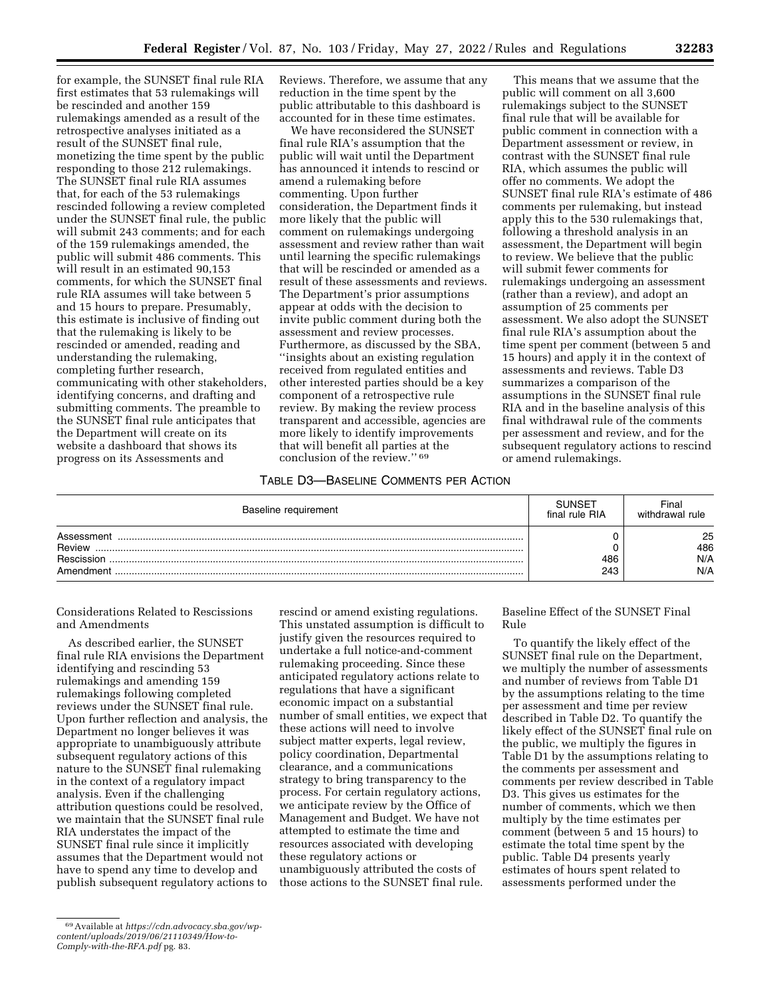for example, the SUNSET final rule RIA first estimates that 53 rulemakings will be rescinded and another 159 rulemakings amended as a result of the retrospective analyses initiated as a result of the SUNSET final rule, monetizing the time spent by the public responding to those 212 rulemakings. The SUNSET final rule RIA assumes that, for each of the 53 rulemakings rescinded following a review completed under the SUNSET final rule, the public will submit 243 comments; and for each of the 159 rulemakings amended, the public will submit 486 comments. This will result in an estimated 90,153 comments, for which the SUNSET final rule RIA assumes will take between 5 and 15 hours to prepare. Presumably, this estimate is inclusive of finding out that the rulemaking is likely to be rescinded or amended, reading and understanding the rulemaking, completing further research, communicating with other stakeholders, identifying concerns, and drafting and submitting comments. The preamble to the SUNSET final rule anticipates that the Department will create on its website a dashboard that shows its progress on its Assessments and

Reviews. Therefore, we assume that any reduction in the time spent by the public attributable to this dashboard is accounted for in these time estimates.

We have reconsidered the SUNSET final rule RIA's assumption that the public will wait until the Department has announced it intends to rescind or amend a rulemaking before commenting. Upon further consideration, the Department finds it more likely that the public will comment on rulemakings undergoing assessment and review rather than wait until learning the specific rulemakings that will be rescinded or amended as a result of these assessments and reviews. The Department's prior assumptions appear at odds with the decision to invite public comment during both the assessment and review processes. Furthermore, as discussed by the SBA, ''insights about an existing regulation received from regulated entities and other interested parties should be a key component of a retrospective rule review. By making the review process transparent and accessible, agencies are more likely to identify improvements that will benefit all parties at the conclusion of the review.'' 69

This means that we assume that the public will comment on all 3,600 rulemakings subject to the SUNSET final rule that will be available for public comment in connection with a Department assessment or review, in contrast with the SUNSET final rule RIA, which assumes the public will offer no comments. We adopt the SUNSET final rule RIA's estimate of 486 comments per rulemaking, but instead apply this to the 530 rulemakings that, following a threshold analysis in an assessment, the Department will begin to review. We believe that the public will submit fewer comments for rulemakings undergoing an assessment (rather than a review), and adopt an assumption of 25 comments per assessment. We also adopt the SUNSET final rule RIA's assumption about the time spent per comment (between 5 and 15 hours) and apply it in the context of assessments and reviews. Table D3 summarizes a comparison of the assumptions in the SUNSET final rule RIA and in the baseline analysis of this final withdrawal rule of the comments per assessment and review, and for the subsequent regulatory actions to rescind or amend rulemakings.

## TABLE D3—BASELINE COMMENTS PER ACTION

| Baseline requirement | <b>SUNSET</b><br>final rule RIA | Final<br>withdrawal rule |
|----------------------|---------------------------------|--------------------------|
| Assessment           |                                 | 25                       |
| Review               |                                 | 486                      |
| Rescission           | 486                             | N/A                      |
| Amendment            | 243                             | N/A                      |

Considerations Related to Rescissions and Amendments

As described earlier, the SUNSET final rule RIA envisions the Department identifying and rescinding 53 rulemakings and amending 159 rulemakings following completed reviews under the SUNSET final rule. Upon further reflection and analysis, the Department no longer believes it was appropriate to unambiguously attribute subsequent regulatory actions of this nature to the SUNSET final rulemaking in the context of a regulatory impact analysis. Even if the challenging attribution questions could be resolved, we maintain that the SUNSET final rule RIA understates the impact of the SUNSET final rule since it implicitly assumes that the Department would not have to spend any time to develop and publish subsequent regulatory actions to

rescind or amend existing regulations. This unstated assumption is difficult to justify given the resources required to undertake a full notice-and-comment rulemaking proceeding. Since these anticipated regulatory actions relate to regulations that have a significant economic impact on a substantial number of small entities, we expect that these actions will need to involve subject matter experts, legal review, policy coordination, Departmental clearance, and a communications strategy to bring transparency to the process. For certain regulatory actions, we anticipate review by the Office of Management and Budget. We have not attempted to estimate the time and resources associated with developing these regulatory actions or unambiguously attributed the costs of those actions to the SUNSET final rule.

Baseline Effect of the SUNSET Final Rule

To quantify the likely effect of the SUNSET final rule on the Department, we multiply the number of assessments and number of reviews from Table D1 by the assumptions relating to the time per assessment and time per review described in Table D2. To quantify the likely effect of the SUNSET final rule on the public, we multiply the figures in Table D1 by the assumptions relating to the comments per assessment and comments per review described in Table D3. This gives us estimates for the number of comments, which we then multiply by the time estimates per comment (between 5 and 15 hours) to estimate the total time spent by the public. Table D4 presents yearly estimates of hours spent related to assessments performed under the

<sup>69</sup>Available at *[https://cdn.advocacy.sba.gov/wp](https://cdn.advocacy.sba.gov/wp-content/uploads/2019/06/21110349/How-to-Comply-with-the-RFA.pdf)[content/uploads/2019/06/21110349/How-to-](https://cdn.advocacy.sba.gov/wp-content/uploads/2019/06/21110349/How-to-Comply-with-the-RFA.pdf)[Comply-with-the-RFA.pdf](https://cdn.advocacy.sba.gov/wp-content/uploads/2019/06/21110349/How-to-Comply-with-the-RFA.pdf)* pg. 83.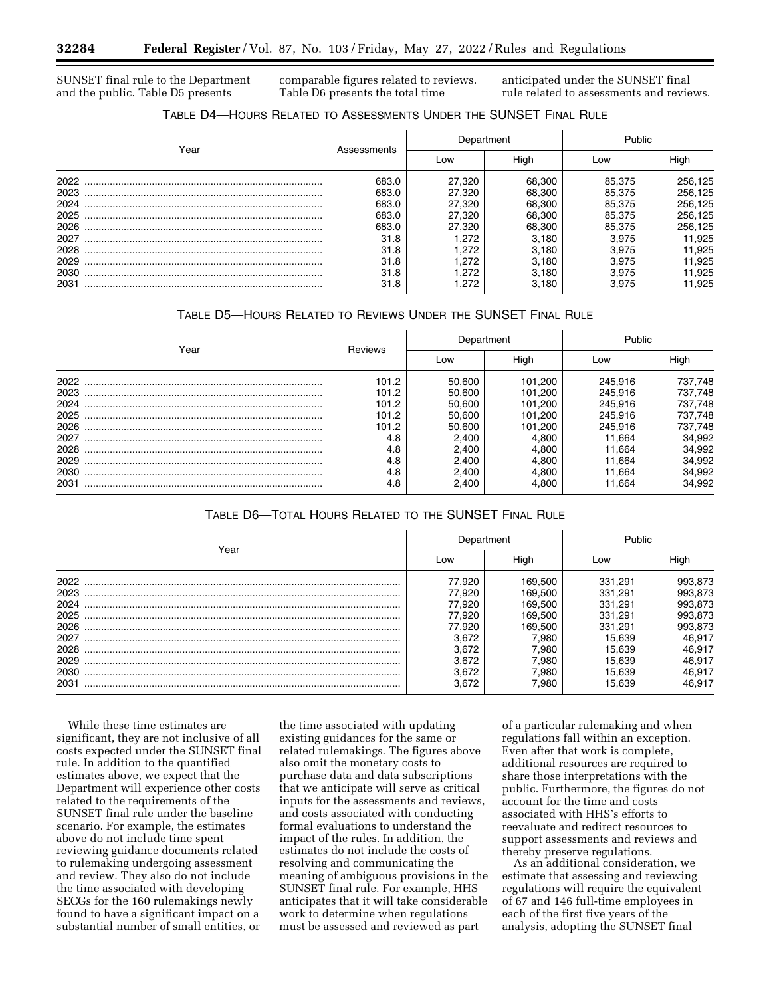SUNSET final rule to the Department and the public. Table D5 presents

comparable figures related to reviews. Table D6 presents the total time

anticipated under the SUNSET final rule related to assessments and reviews.

# TABLE D4—HOURS RELATED TO ASSESSMENTS UNDER THE SUNSET FINAL RULE

|      |             |        | Department | Public |         |
|------|-------------|--------|------------|--------|---------|
| Year | Assessments | Low    | High       | Low    | Hiah    |
| 2022 | 683.0       | 27.320 | 68.300     | 85.375 | 256,125 |
| 2023 | 683.0       | 27.320 | 68.300     | 85.375 | 256,125 |
| 2024 | 683.0       | 27.320 | 68.300     | 85.375 | 256,125 |
| 2025 | 683.0       | 27.320 | 68.300     | 85.375 | 256,125 |
| 2026 | 683.0       | 27,320 | 68,300     | 85.375 | 256,125 |
| 2027 | 31.8        | .272   | 3.180      | 3.975  | 11,925  |
| 2028 | 31.8        | .272   | 3.180      | 3.975  | 11,925  |
| 2029 | 31.8        | .272   | 3.180      | 3.975  | 11,925  |
| 2030 | 31.8        | .272   | 3.180      | 3.975  | 11,925  |
| 2031 | 31.8        | .272   | 3.180      | 3.975  | 11.925  |

## TABLE D5—HOURS RELATED TO REVIEWS UNDER THE SUNSET FINAL RULE

| Year |         |        | Department | Public  |         |
|------|---------|--------|------------|---------|---------|
|      | Reviews | Low    | High       | Low     | Hiah    |
| 2022 | 101.2   | 50.600 | 101.200    | 245.916 | 737,748 |
| 2023 | 101.2   | 50.600 | 101.200    | 245,916 | 737,748 |
| 2024 | 101.2   | 50.600 | 101,200    | 245.916 | 737,748 |
| 2025 | 101.2   | 50.600 | 101.200    | 245.916 | 737,748 |
| 2026 | 101.2   | 50.600 | 101,200    | 245,916 | 737,748 |
| 2027 | 4.8     | 2.400  | 4.800      | 11.664  | 34,992  |
| 2028 | 4.8     | 2.400  | 4.800      | 11.664  | 34,992  |
| 2029 | 4.8     | 2.400  | 4.800      | 11.664  | 34,992  |
| 2030 | 4.8     | 2.400  | 4.800      | 11.664  | 34,992  |
| 2031 | 4.8     | 2.400  | 4.800      | 1.664   | 34,992  |

TABLE D6—TOTAL HOURS RELATED TO THE SUNSET FINAL RULE

|      |        | Department | Public  |         |
|------|--------|------------|---------|---------|
| Year | Low    | High       | Low     | High    |
| 2022 | 77.920 | 169.500    | 331,291 | 993,873 |
| 2023 | 77.920 | 169.500    | 331.291 | 993,873 |
| 2024 | 77.920 | 169.500    | 331.291 | 993,873 |
| 2025 | 77.920 | 169.500    | 331.291 | 993,873 |
| 2026 | 77.920 | 169.500    | 331.291 | 993,873 |
| 2027 | 3,672  | 7.980      | 15.639  | 46.917  |
| 2028 | 3.672  | 7.980      | 15.639  | 46.917  |
| 2029 | 3,672  | 7.980      | 15.639  | 46,917  |
| 2030 | 3.672  | 7.980      | 15.639  | 46.917  |
| 2031 | 3.672  | 7.980      | 15.639  | 46.917  |

While these time estimates are significant, they are not inclusive of all costs expected under the SUNSET final rule. In addition to the quantified estimates above, we expect that the Department will experience other costs related to the requirements of the SUNSET final rule under the baseline scenario. For example, the estimates above do not include time spent reviewing guidance documents related to rulemaking undergoing assessment and review. They also do not include the time associated with developing SECGs for the 160 rulemakings newly found to have a significant impact on a substantial number of small entities, or

the time associated with updating existing guidances for the same or related rulemakings. The figures above also omit the monetary costs to purchase data and data subscriptions that we anticipate will serve as critical inputs for the assessments and reviews, and costs associated with conducting formal evaluations to understand the impact of the rules. In addition, the estimates do not include the costs of resolving and communicating the meaning of ambiguous provisions in the SUNSET final rule. For example, HHS anticipates that it will take considerable work to determine when regulations must be assessed and reviewed as part

of a particular rulemaking and when regulations fall within an exception. Even after that work is complete, additional resources are required to share those interpretations with the public. Furthermore, the figures do not account for the time and costs associated with HHS's efforts to reevaluate and redirect resources to support assessments and reviews and thereby preserve regulations.

As an additional consideration, we estimate that assessing and reviewing regulations will require the equivalent of 67 and 146 full-time employees in each of the first five years of the analysis, adopting the SUNSET final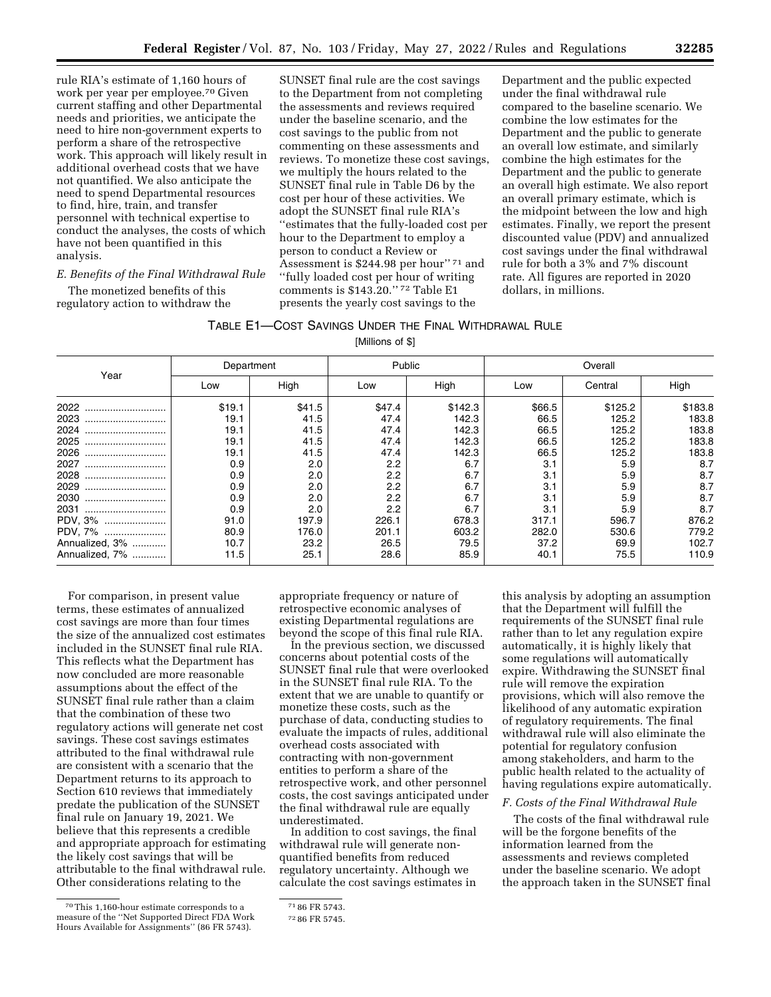rule RIA's estimate of 1,160 hours of work per year per employee.70 Given current staffing and other Departmental needs and priorities, we anticipate the need to hire non-government experts to perform a share of the retrospective work. This approach will likely result in additional overhead costs that we have not quantified. We also anticipate the need to spend Departmental resources to find, hire, train, and transfer personnel with technical expertise to conduct the analyses, the costs of which have not been quantified in this analysis.

# *E. Benefits of the Final Withdrawal Rule*

The monetized benefits of this regulatory action to withdraw the

SUNSET final rule are the cost savings to the Department from not completing the assessments and reviews required under the baseline scenario, and the cost savings to the public from not commenting on these assessments and reviews. To monetize these cost savings, we multiply the hours related to the SUNSET final rule in Table D6 by the cost per hour of these activities. We adopt the SUNSET final rule RIA's ''estimates that the fully-loaded cost per hour to the Department to employ a person to conduct a Review or Assessment is \$244.98 per hour'' 71 and ''fully loaded cost per hour of writing comments is \$143.20.'' 72 Table E1 presents the yearly cost savings to the

Department and the public expected under the final withdrawal rule compared to the baseline scenario. We combine the low estimates for the Department and the public to generate an overall low estimate, and similarly combine the high estimates for the Department and the public to generate an overall high estimate. We also report an overall primary estimate, which is the midpoint between the low and high estimates. Finally, we report the present discounted value (PDV) and annualized cost savings under the final withdrawal rule for both a 3% and 7% discount rate. All figures are reported in 2020 dollars, in millions.

| TABLE E1—COST SAVINGS UNDER THE FINAL WITHDRAWAL RULE |  |
|-------------------------------------------------------|--|
| $MIII = 0.4$                                          |  |

| [Millions of \$] |  |
|------------------|--|
|------------------|--|

|                | Department |        |        | Public  | Overall |         |         |
|----------------|------------|--------|--------|---------|---------|---------|---------|
| Year           | Low        | High   | Low    | High    | Low     | Central | High    |
| 2022<br>       | \$19.1     | \$41.5 | \$47.4 | \$142.3 | \$66.5  | \$125.2 | \$183.8 |
| 2023<br>       | 19.1       | 41.5   | 47.4   | 142.3   | 66.5    | 125.2   | 183.8   |
| 2024<br>       | 19.1       | 41.5   | 47.4   | 142.3   | 66.5    | 125.2   | 183.8   |
| 2025<br>       | 19.1       | 41.5   | 47.4   | 142.3   | 66.5    | 125.2   | 183.8   |
| 2026<br>       | 19.1       | 41.5   | 47.4   | 142.3   | 66.5    | 125.2   | 183.8   |
| 2027<br>       | 0.9        | 2.0    | 2.2    | 6.7     | 3.1     | 5.9     | 8.7     |
| 2028<br>       | 0.9        | 2.0    | 2.2    | 6.7     | 3.1     | 5.9     | 8.7     |
| 2029<br>       | 0.9        | 2.0    | 2.2    | 6.7     | 3.1     | 5.9     | 8.7     |
| 2030<br>       | 0.9        | 2.0    | 2.2    | 6.7     | 3.1     | 5.9     | 8.7     |
| 2031<br>       | 0.9        | 2.0    | 2.2    | 6.7     | 3.1     | 5.9     | 8.7     |
| PDV, 3%        | 91.0       | 197.9  | 226.1  | 678.3   | 317.1   | 596.7   | 876.2   |
| PDV, 7%        | 80.9       | 176.0  | 201.1  | 603.2   | 282.0   | 530.6   | 779.2   |
| Annualized, 3% | 10.7       | 23.2   | 26.5   | 79.5    | 37.2    | 69.9    | 102.7   |
| Annualized, 7% | 11.5       | 25.1   | 28.6   | 85.9    | 40.1    | 75.5    | 110.9   |

For comparison, in present value terms, these estimates of annualized cost savings are more than four times the size of the annualized cost estimates included in the SUNSET final rule RIA. This reflects what the Department has now concluded are more reasonable assumptions about the effect of the SUNSET final rule rather than a claim that the combination of these two regulatory actions will generate net cost savings. These cost savings estimates attributed to the final withdrawal rule are consistent with a scenario that the Department returns to its approach to Section 610 reviews that immediately predate the publication of the SUNSET final rule on January 19, 2021. We believe that this represents a credible and appropriate approach for estimating the likely cost savings that will be attributable to the final withdrawal rule. Other considerations relating to the

appropriate frequency or nature of retrospective economic analyses of existing Departmental regulations are beyond the scope of this final rule RIA.

In the previous section, we discussed concerns about potential costs of the SUNSET final rule that were overlooked in the SUNSET final rule RIA. To the extent that we are unable to quantify or monetize these costs, such as the purchase of data, conducting studies to evaluate the impacts of rules, additional overhead costs associated with contracting with non-government entities to perform a share of the retrospective work, and other personnel costs, the cost savings anticipated under the final withdrawal rule are equally underestimated.

In addition to cost savings, the final withdrawal rule will generate nonquantified benefits from reduced regulatory uncertainty. Although we calculate the cost savings estimates in

this analysis by adopting an assumption that the Department will fulfill the requirements of the SUNSET final rule rather than to let any regulation expire automatically, it is highly likely that some regulations will automatically expire. Withdrawing the SUNSET final rule will remove the expiration provisions, which will also remove the likelihood of any automatic expiration of regulatory requirements. The final withdrawal rule will also eliminate the potential for regulatory confusion among stakeholders, and harm to the public health related to the actuality of having regulations expire automatically.

#### *F. Costs of the Final Withdrawal Rule*

The costs of the final withdrawal rule will be the forgone benefits of the information learned from the assessments and reviews completed under the baseline scenario. We adopt the approach taken in the SUNSET final

<sup>70</sup>This 1,160-hour estimate corresponds to a measure of the ''Net Supported Direct FDA Work Hours Available for Assignments'' (86 FR 5743).

<sup>71</sup> 86 FR 5743.

<sup>72</sup> 86 FR 5745.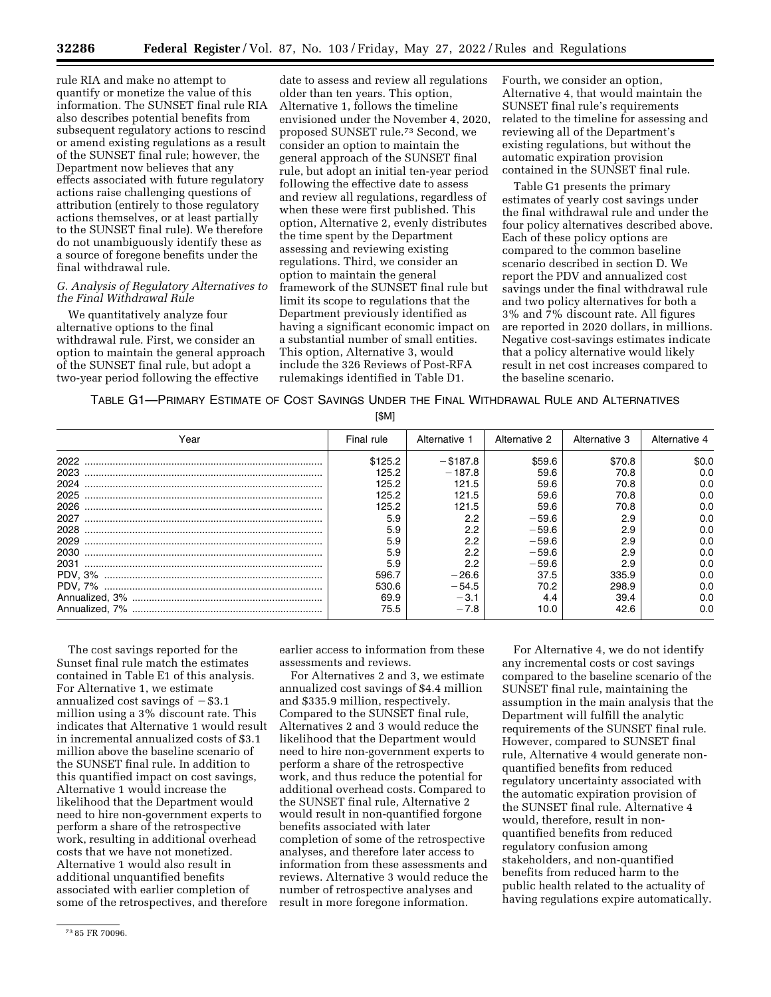rule RIA and make no attempt to quantify or monetize the value of this information. The SUNSET final rule RIA also describes potential benefits from subsequent regulatory actions to rescind or amend existing regulations as a result of the SUNSET final rule; however, the Department now believes that any effects associated with future regulatory actions raise challenging questions of attribution (entirely to those regulatory actions themselves, or at least partially to the SUNSET final rule). We therefore do not unambiguously identify these as a source of foregone benefits under the final withdrawal rule.

## *G. Analysis of Regulatory Alternatives to the Final Withdrawal Rule*

We quantitatively analyze four alternative options to the final withdrawal rule. First, we consider an option to maintain the general approach of the SUNSET final rule, but adopt a two-year period following the effective

date to assess and review all regulations older than ten years. This option, Alternative 1, follows the timeline envisioned under the November 4, 2020, proposed SUNSET rule.73 Second, we consider an option to maintain the general approach of the SUNSET final rule, but adopt an initial ten-year period following the effective date to assess and review all regulations, regardless of when these were first published. This option, Alternative 2, evenly distributes the time spent by the Department assessing and reviewing existing regulations. Third, we consider an option to maintain the general framework of the SUNSET final rule but limit its scope to regulations that the Department previously identified as having a significant economic impact on a substantial number of small entities. This option, Alternative 3, would include the 326 Reviews of Post-RFA rulemakings identified in Table D1.

Fourth, we consider an option, Alternative 4, that would maintain the SUNSET final rule's requirements related to the timeline for assessing and reviewing all of the Department's existing regulations, but without the automatic expiration provision contained in the SUNSET final rule.

Table G1 presents the primary estimates of yearly cost savings under the final withdrawal rule and under the four policy alternatives described above. Each of these policy options are compared to the common baseline scenario described in section D. We report the PDV and annualized cost savings under the final withdrawal rule and two policy alternatives for both a 3% and 7% discount rate. All figures are reported in 2020 dollars, in millions. Negative cost-savings estimates indicate that a policy alternative would likely result in net cost increases compared to the baseline scenario.

TABLE G1—PRIMARY ESTIMATE OF COST SAVINGS UNDER THE FINAL WITHDRAWAL RULE AND ALTERNATIVES

[\$M]

| Year | Final rule | Alternative 1 | Alternative 2 | Alternative 3 | Alternative 4 |
|------|------------|---------------|---------------|---------------|---------------|
| 2022 | \$125.2    | $-$ \$187.8   | \$59.6        | \$70.8        | \$0.0         |
| 2023 | 125.2      | $-187.8$      | 59.6          | 70.8          | 0.0           |
| 2024 | 125.2      | 121.5         | 59.6          | 70.8          | 0.0           |
| 2025 | 125.2      | 121.5         | 59.6          | 70.8          | 0.0           |
| 2026 | 125.2      | 121.5         | 59.6          | 70.8          | 0.0           |
| 2027 | 5.9        | 2.2           | $-59.6$       | 2.9           | 0.0           |
| 2028 | 5.9        | 2.2           | $-59.6$       | 2.9           | 0.0           |
| 2029 | 5.9        | 2.2           | $-59.6$       | 2.9           | 0.0           |
| 2030 | 5.9        | 2.2           | $-59.6$       | 2.9           | 0.0           |
| 2031 | 5.9        | 2.2           | $-59.6$       | 2.9           | 0.0           |
|      | 596.7      | $-26.6$       | 37.5          | 335.9         | 0.0           |
|      | 530.6      | $-54.5$       | 70.2          | 298.9         | 0.0           |
|      | 69.9       | $-3.1$        | 4.4           | 39.4          | 0.0           |
|      | 75.5       | $-7.8$        | 10.0          | 42.6          | 0.0           |

The cost savings reported for the Sunset final rule match the estimates contained in Table E1 of this analysis. For Alternative 1, we estimate annualized cost savings of  $-$ \$3.1 million using a 3% discount rate. This indicates that Alternative 1 would result in incremental annualized costs of \$3.1 million above the baseline scenario of the SUNSET final rule. In addition to this quantified impact on cost savings, Alternative 1 would increase the likelihood that the Department would need to hire non-government experts to perform a share of the retrospective work, resulting in additional overhead costs that we have not monetized. Alternative 1 would also result in additional unquantified benefits associated with earlier completion of some of the retrospectives, and therefore

assessments and reviews. For Alternatives 2 and 3, we estimate

earlier access to information from these

annualized cost savings of \$4.4 million and \$335.9 million, respectively. Compared to the SUNSET final rule, Alternatives 2 and 3 would reduce the likelihood that the Department would need to hire non-government experts to perform a share of the retrospective work, and thus reduce the potential for additional overhead costs. Compared to the SUNSET final rule, Alternative 2 would result in non-quantified forgone benefits associated with later completion of some of the retrospective analyses, and therefore later access to information from these assessments and reviews. Alternative 3 would reduce the number of retrospective analyses and result in more foregone information.

For Alternative 4, we do not identify any incremental costs or cost savings compared to the baseline scenario of the SUNSET final rule, maintaining the assumption in the main analysis that the Department will fulfill the analytic requirements of the SUNSET final rule. However, compared to SUNSET final rule, Alternative 4 would generate nonquantified benefits from reduced regulatory uncertainty associated with the automatic expiration provision of the SUNSET final rule. Alternative 4 would, therefore, result in nonquantified benefits from reduced regulatory confusion among stakeholders, and non-quantified benefits from reduced harm to the public health related to the actuality of having regulations expire automatically.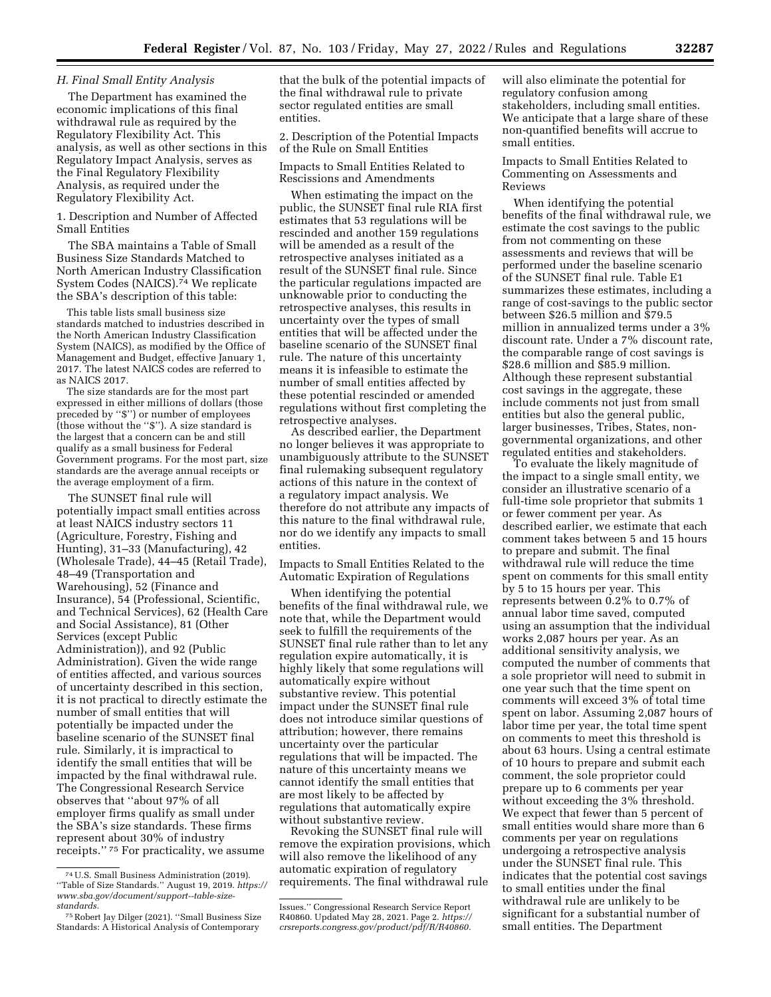#### *H. Final Small Entity Analysis*

The Department has examined the economic implications of this final withdrawal rule as required by the Regulatory Flexibility Act. This analysis, as well as other sections in this Regulatory Impact Analysis, serves as the Final Regulatory Flexibility Analysis, as required under the Regulatory Flexibility Act.

1. Description and Number of Affected Small Entities

The SBA maintains a Table of Small Business Size Standards Matched to North American Industry Classification System Codes (NAICS).<sup>74</sup> We replicate the SBA's description of this table:

This table lists small business size standards matched to industries described in the North American Industry Classification System (NAICS), as modified by the Office of Management and Budget, effective January 1, 2017. The latest NAICS codes are referred to as NAICS 2017.

The size standards are for the most part expressed in either millions of dollars (those preceded by ''\$'') or number of employees (those without the ''\$''). A size standard is the largest that a concern can be and still qualify as a small business for Federal Government programs. For the most part, size standards are the average annual receipts or the average employment of a firm.

The SUNSET final rule will potentially impact small entities across at least NAICS industry sectors 11 (Agriculture, Forestry, Fishing and Hunting), 31–33 (Manufacturing), 42 (Wholesale Trade), 44–45 (Retail Trade), 48–49 (Transportation and Warehousing), 52 (Finance and Insurance), 54 (Professional, Scientific, and Technical Services), 62 (Health Care and Social Assistance), 81 (Other Services (except Public Administration)), and 92 (Public Administration). Given the wide range of entities affected, and various sources of uncertainty described in this section, it is not practical to directly estimate the number of small entities that will potentially be impacted under the baseline scenario of the SUNSET final rule. Similarly, it is impractical to identify the small entities that will be impacted by the final withdrawal rule. The Congressional Research Service observes that ''about 97% of all employer firms qualify as small under the SBA's size standards. These firms represent about 30% of industry receipts.'' 75 For practicality, we assume

that the bulk of the potential impacts of the final withdrawal rule to private sector regulated entities are small entities.

2. Description of the Potential Impacts of the Rule on Small Entities

Impacts to Small Entities Related to Rescissions and Amendments

When estimating the impact on the public, the SUNSET final rule RIA first estimates that 53 regulations will be rescinded and another 159 regulations will be amended as a result of the retrospective analyses initiated as a result of the SUNSET final rule. Since the particular regulations impacted are unknowable prior to conducting the retrospective analyses, this results in uncertainty over the types of small entities that will be affected under the baseline scenario of the SUNSET final rule. The nature of this uncertainty means it is infeasible to estimate the number of small entities affected by these potential rescinded or amended regulations without first completing the retrospective analyses.

As described earlier, the Department no longer believes it was appropriate to unambiguously attribute to the SUNSET final rulemaking subsequent regulatory actions of this nature in the context of a regulatory impact analysis. We therefore do not attribute any impacts of this nature to the final withdrawal rule, nor do we identify any impacts to small entities.

Impacts to Small Entities Related to the Automatic Expiration of Regulations

When identifying the potential benefits of the final withdrawal rule, we note that, while the Department would seek to fulfill the requirements of the SUNSET final rule rather than to let any regulation expire automatically, it is highly likely that some regulations will automatically expire without substantive review. This potential impact under the SUNSET final rule does not introduce similar questions of attribution; however, there remains uncertainty over the particular regulations that will be impacted. The nature of this uncertainty means we cannot identify the small entities that are most likely to be affected by regulations that automatically expire without substantive review.

Revoking the SUNSET final rule will remove the expiration provisions, which will also remove the likelihood of any automatic expiration of regulatory requirements. The final withdrawal rule

will also eliminate the potential for regulatory confusion among stakeholders, including small entities. We anticipate that a large share of these non-quantified benefits will accrue to small entities.

Impacts to Small Entities Related to Commenting on Assessments and Reviews

When identifying the potential benefits of the final withdrawal rule, we estimate the cost savings to the public from not commenting on these assessments and reviews that will be performed under the baseline scenario of the SUNSET final rule. Table E1 summarizes these estimates, including a range of cost-savings to the public sector between \$26.5 million and \$79.5 million in annualized terms under a 3% discount rate. Under a 7% discount rate, the comparable range of cost savings is \$28.6 million and \$85.9 million. Although these represent substantial cost savings in the aggregate, these include comments not just from small entities but also the general public, larger businesses, Tribes, States, nongovernmental organizations, and other regulated entities and stakeholders.

To evaluate the likely magnitude of the impact to a single small entity, we consider an illustrative scenario of a full-time sole proprietor that submits 1 or fewer comment per year. As described earlier, we estimate that each comment takes between 5 and 15 hours to prepare and submit. The final withdrawal rule will reduce the time spent on comments for this small entity by 5 to 15 hours per year. This represents between 0.2% to 0.7% of annual labor time saved, computed using an assumption that the individual works 2,087 hours per year. As an additional sensitivity analysis, we computed the number of comments that a sole proprietor will need to submit in one year such that the time spent on comments will exceed 3% of total time spent on labor. Assuming 2,087 hours of labor time per year, the total time spent on comments to meet this threshold is about 63 hours. Using a central estimate of 10 hours to prepare and submit each comment, the sole proprietor could prepare up to 6 comments per year without exceeding the 3% threshold. We expect that fewer than 5 percent of small entities would share more than 6 comments per year on regulations undergoing a retrospective analysis under the SUNSET final rule. This indicates that the potential cost savings to small entities under the final withdrawal rule are unlikely to be significant for a substantial number of small entities. The Department

<sup>74</sup>U.S. Small Business Administration (2019). ''Table of Size Standards.'' August 19, 2019. *[https://](https://www.sba.gov/document/support--table-size-standards) [www.sba.gov/document/support--table-size](https://www.sba.gov/document/support--table-size-standards)[standards.](https://www.sba.gov/document/support--table-size-standards)* 

<sup>75</sup>Robert Jay Dilger (2021). ''Small Business Size Standards: A Historical Analysis of Contemporary

Issues.'' Congressional Research Service Report R40860. Updated May 28, 2021. Page 2. *[https://](https://crsreports.congress.gov/product/pdf/R/R40860) [crsreports.congress.gov/product/pdf/R/R40860.](https://crsreports.congress.gov/product/pdf/R/R40860)*